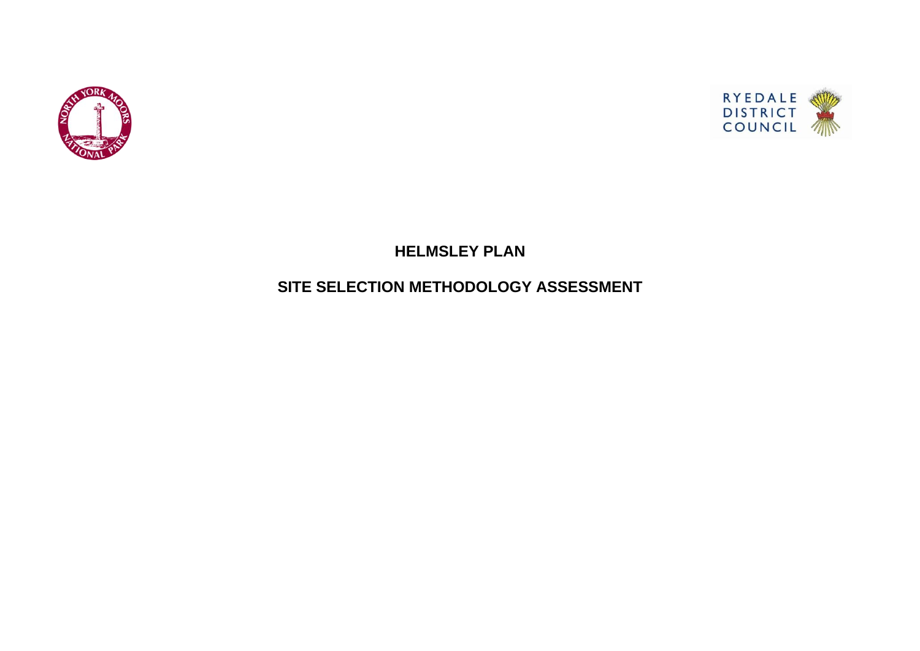

# **HELMSLEY PLAN**

# **SITE SELECTION METHODOLOGY ASSESSMENT**

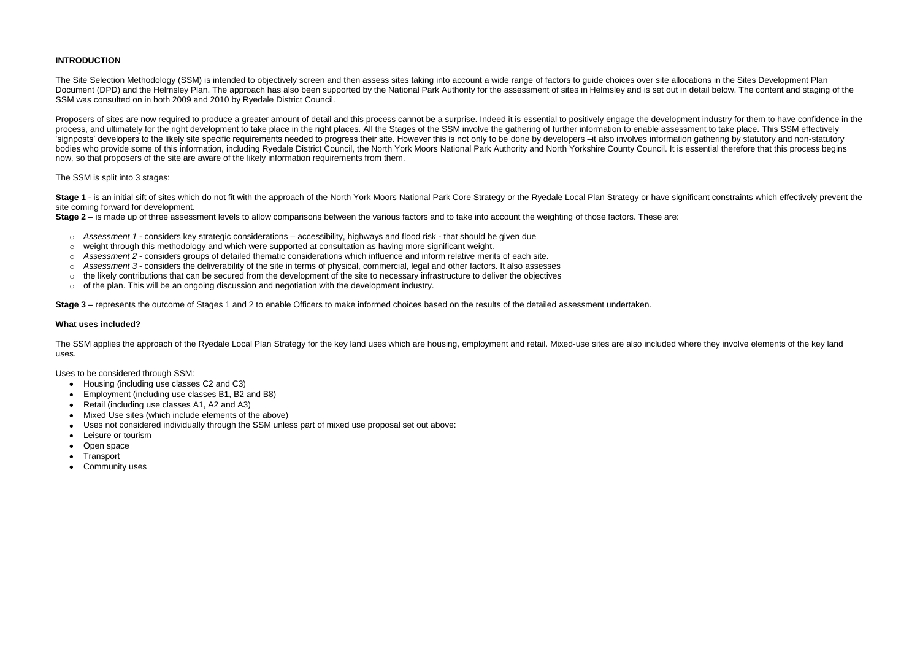## **INTRODUCTION**

The Site Selection Methodology (SSM) is intended to objectively screen and then assess sites taking into account a wide range of factors to guide choices over site allocations in the Sites Development Plan Document (DPD) and the Helmsley Plan. The approach has also been supported by the National Park Authority for the assessment of sites in Helmsley and is set out in detail below. The content and staging of the SSM was consulted on in both 2009 and 2010 by Ryedale District Council.

Proposers of sites are now required to produce a greater amount of detail and this process cannot be a surprise. Indeed it is essential to positively engage the development industry for them to have confidence in the process, and ultimately for the right development to take place in the right places. All the Stages of the SSM involve the gathering of further information to enable assessment to take place. This SSM effectively 'signposts' developers to the likely site specific requirements needed to progress their site. However this is not only to be done by developers –it also involves information gathering by statutory and non-statutory bodies who provide some of this information, including Ryedale District Council, the North York Moors National Park Authority and North Yorkshire County Council. It is essential therefore that this process begins now, so that proposers of the site are aware of the likely information requirements from them.

Stage 1 - is an initial sift of sites which do not fit with the approach of the North York Moors National Park Core Strategy or the Ryedale Local Plan Strategy or have significant constraints which effectively prevent the site coming forward for development.

- o *Assessment 1*  considers key strategic considerations accessibility, highways and flood risk that should be given due
- $\circ$  weight through this methodology and which were supported at consultation as having more significant weight.
- o *Assessment 2*  considers groups of detailed thematic considerations which influence and inform relative merits of each site.
- o *Assessment 3*  considers the deliverability of the site in terms of physical, commercial, legal and other factors. It also assesses
- $\circ$  the likely contributions that can be secured from the development of the site to necessary infrastructure to deliver the objectives
- $\circ$  of the plan. This will be an ongoing discussion and negotiation with the development industry.

### The SSM is split into 3 stages:

**Stage 2** – is made up of three assessment levels to allow comparisons between the various factors and to take into account the weighting of those factors. These are:

**Stage 3** – represents the outcome of Stages 1 and 2 to enable Officers to make informed choices based on the results of the detailed assessment undertaken.

#### **What uses included?**

The SSM applies the approach of the Ryedale Local Plan Strategy for the key land uses which are housing, employment and retail. Mixed-use sites are also included where they involve elements of the key land uses.

Uses to be considered through SSM:

- Housing (including use classes C2 and C3)
- Employment (including use classes B1, B2 and B8)
- Retail (including use classes A1, A2 and A3)
- Mixed Use sites (which include elements of the above)
- Uses not considered individually through the SSM unless part of mixed use proposal set out above:  $\bullet$
- Leisure or tourism  $\bullet$
- Open space  $\bullet$
- Transport
- Community uses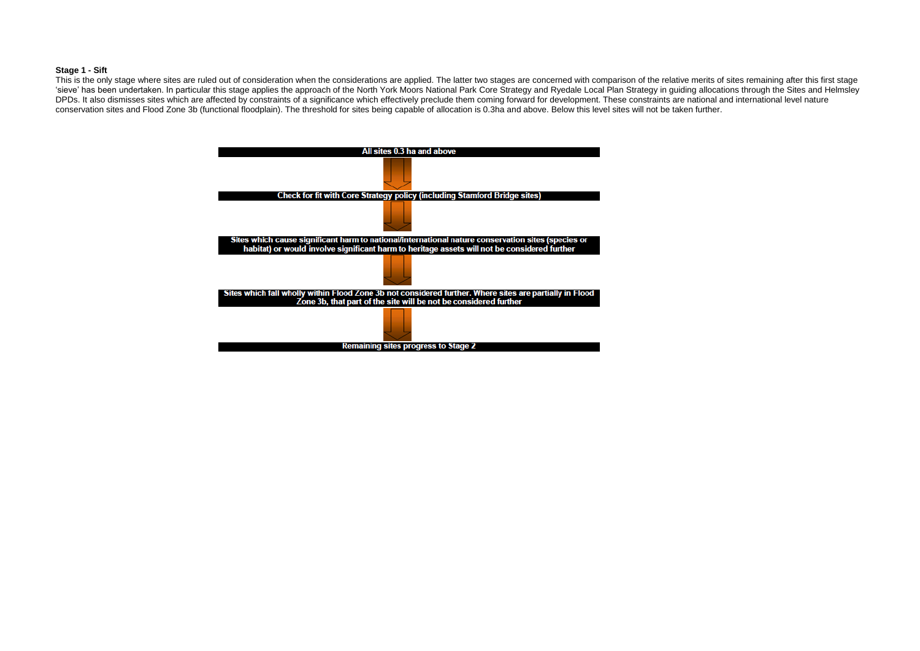#### **Stage 1 - Sift**

This is the only stage where sites are ruled out of consideration when the considerations are applied. The latter two stages are concerned with comparison of the relative merits of sites remaining after this first stage 'sieve' has been undertaken. In particular this stage applies the approach of the North York Moors National Park Core Strategy and Ryedale Local Plan Strategy in guiding allocations through the Sites and Helmsley DPDs. It also dismisses sites which are affected by constraints of a significance which effectively preclude them coming forward for development. These constraints are national and international level nature conservation sites and Flood Zone 3b (functional floodplain). The threshold for sites being capable of allocation is 0.3ha and above. Below this level sites will not be taken further.

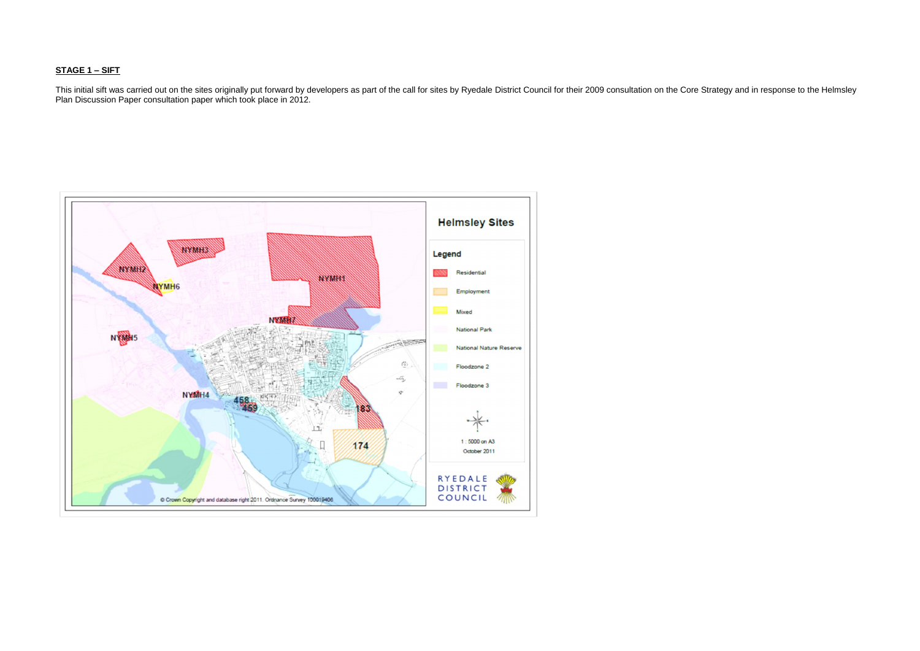## **STAGE 1 – SIFT**

This initial sift was carried out on the sites originally put forward by developers as part of the call for sites by Ryedale District Council for their 2009 consultation on the Core Strategy and in response to the Helmsley Plan Discussion Paper consultation paper which took place in 2012.

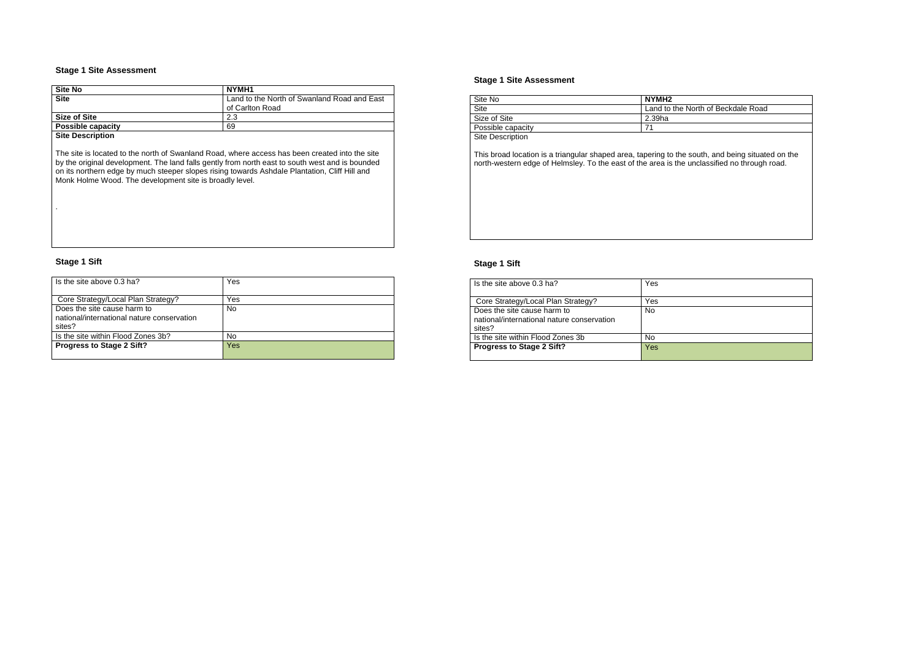| Site No                  | NYMH1                                                          |
|--------------------------|----------------------------------------------------------------|
| <b>Site</b>              | Land to the North of Swanland Road and East<br>of Carlton Road |
| <b>Size of Site</b>      | 2.3                                                            |
| <b>Possible capacity</b> | 69                                                             |
|                          |                                                                |

**Site Description**

The site is located to the north of Swanland Road, where access has been created into the site by the original development. The land falls gently from north east to south west and is bounded on its northern edge by much steeper slopes rising towards Ashdale Plantation, Cliff Hill and Monk Holme Wood. The development site is broadly level.

.

# **Stage 1 Sift**

| Is the site above 0.3 ha?                                                           | Yes       |
|-------------------------------------------------------------------------------------|-----------|
| Core Strategy/Local Plan Strategy?                                                  | Yes       |
| Does the site cause harm to<br>national/international nature conservation<br>sites? | <b>No</b> |
| Is the site within Flood Zones 3b?                                                  | No        |
| <b>Progress to Stage 2 Sift?</b>                                                    | Yes       |

#### **Stage 1 Site Assessment**

| Site No                 | NYMH <sub>2</sub> |
|-------------------------|-------------------|
| <b>Site</b>             | Land to the No    |
| Size of Site            | 2.39ha            |
| Possible capacity       |                   |
| <b>Site Description</b> |                   |

This broad location is a triangular shaped area, tapering to the south, and being situated on the north-western edge of Helmsley. To the east of the area is the unclassified no through road.

### **Stage 1 Sift**

| Is the site above 0.3 ha?                                                           | Yes |
|-------------------------------------------------------------------------------------|-----|
| Core Strategy/Local Plan Strategy?                                                  | Yes |
| Does the site cause harm to<br>national/international nature conservation<br>sites? | No  |
| Is the site within Flood Zones 3b                                                   | No  |
| <b>Progress to Stage 2 Sift?</b>                                                    | Yes |

## orth of Beckdale Road

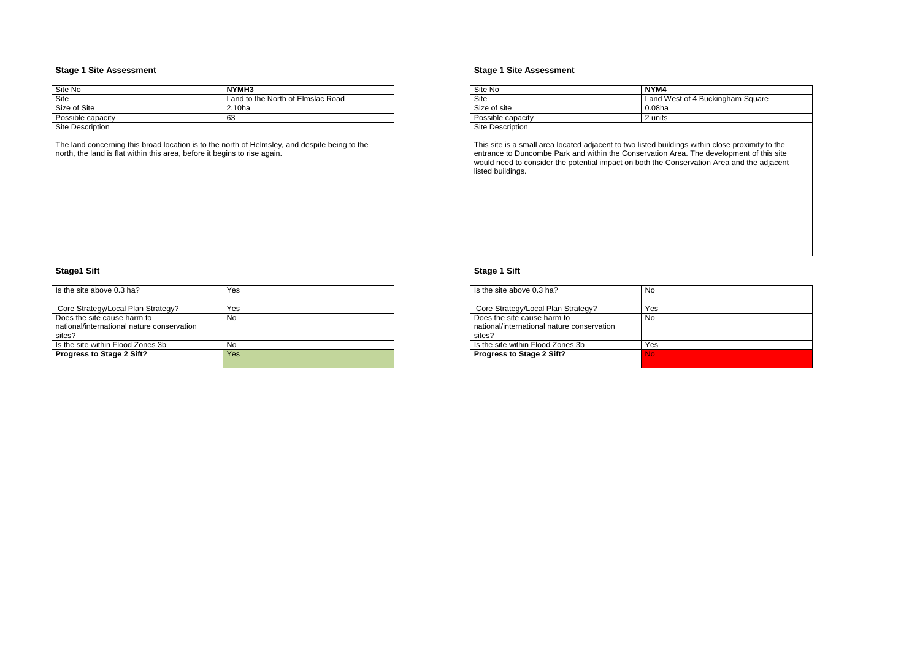The land concerning this broad location is to the north of Helmsley, and despite being to the north, the land is flat within this area, before it begins to rise again.

| Site No            | NYMH3                             |
|--------------------|-----------------------------------|
| Site               | Land to the North of Elmslac Road |
| Size of Site       | 2.10ha                            |
| Possible capacity  | 63                                |
| Other Distribution |                                   |

Site Description

## **Stage1 Sift**

This site is a small area located adjacent to two listed buildings within close proximity to the entrance to Duncombe Park and within the Conservation Area. The development of this site would need to consider the potential impact on both the Conservation Area and the adjacent listed buildings.

| Is the site above 0.3 ha?                                                           | Yes |
|-------------------------------------------------------------------------------------|-----|
| Core Strategy/Local Plan Strategy?                                                  | Yes |
| Does the site cause harm to<br>national/international nature conservation<br>sites? | No  |
| Is the site within Flood Zones 3b                                                   | No  |
| <b>Progress to Stage 2 Sift?</b>                                                    | Yes |

### **Stage 1 Site Assessment**

| Site No                 | NYM4           |
|-------------------------|----------------|
| Site                    | Land West of 4 |
| Size of site            | 0.08ha         |
| Possible capacity       | 2 units        |
| <b>Site Description</b> |                |

## **Stage 1 Sift**

| Is the site above $0.3$ ha?                                                         | No        |
|-------------------------------------------------------------------------------------|-----------|
| Core Strategy/Local Plan Strategy?                                                  | Yes       |
| Does the site cause harm to<br>national/international nature conservation<br>sites? | No        |
| Is the site within Flood Zones 3b                                                   | Yes       |
| <b>Progress to Stage 2 Sift?</b>                                                    | <b>No</b> |

## 4 Buckingham Square

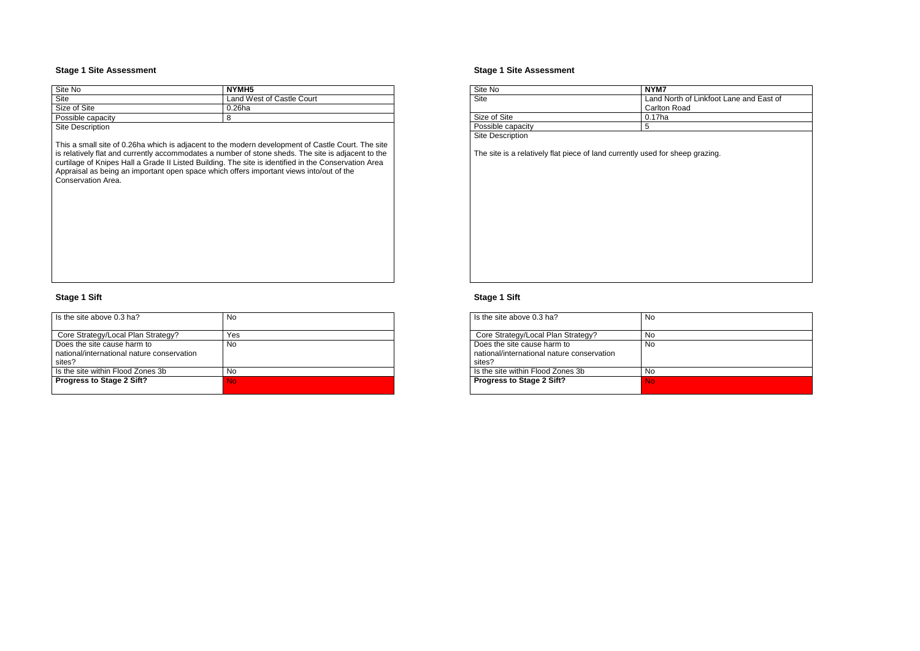| Site No           | NYMH5                     |
|-------------------|---------------------------|
| Site              | Land West of Castle Court |
| Size of Site      | 0.26ha                    |
| Possible capacity | 8                         |
| Site Description  |                           |

This a small site of 0.26ha which is adjacent to the modern development of Castle Court. The site is relatively flat and currently accommodates a number of stone sheds. The site is adjacent to the curtilage of Knipes Hall a Grade II Listed Building. The site is identified in the Conservation Area Appraisal as being an important open space which offers important views into/out of the Conservation Area.

## **Stage 1 Sift**

| Is the site above 0.3 ha?                  | No  |
|--------------------------------------------|-----|
|                                            |     |
| Core Strategy/Local Plan Strategy?         | Yes |
| Does the site cause harm to                | No  |
| national/international nature conservation |     |
| sites?                                     |     |
| Is the site within Flood Zones 3b          | No  |
| <b>Progress to Stage 2 Sift?</b>           | No  |
|                                            |     |

### **Stage 1 Site Assessment**

| Site No                 | NYM7                |
|-------------------------|---------------------|
| Site                    | Land North of I     |
|                         | <b>Carlton Road</b> |
| Size of Site            | 0.17ha              |
| Possible capacity       | 5                   |
| <b>Site Description</b> |                     |

The site is a relatively flat piece of land currently used for sheep grazing.

## **Stage 1 Sift**

| Is the site above 0.3 ha?                                                           | No |
|-------------------------------------------------------------------------------------|----|
| Core Strategy/Local Plan Strategy?                                                  | No |
| Does the site cause harm to<br>national/international nature conservation<br>sites? | No |
| Is the site within Flood Zones 3b                                                   | No |
| <b>Progress to Stage 2 Sift?</b>                                                    | No |

## Linkfoot Lane and East of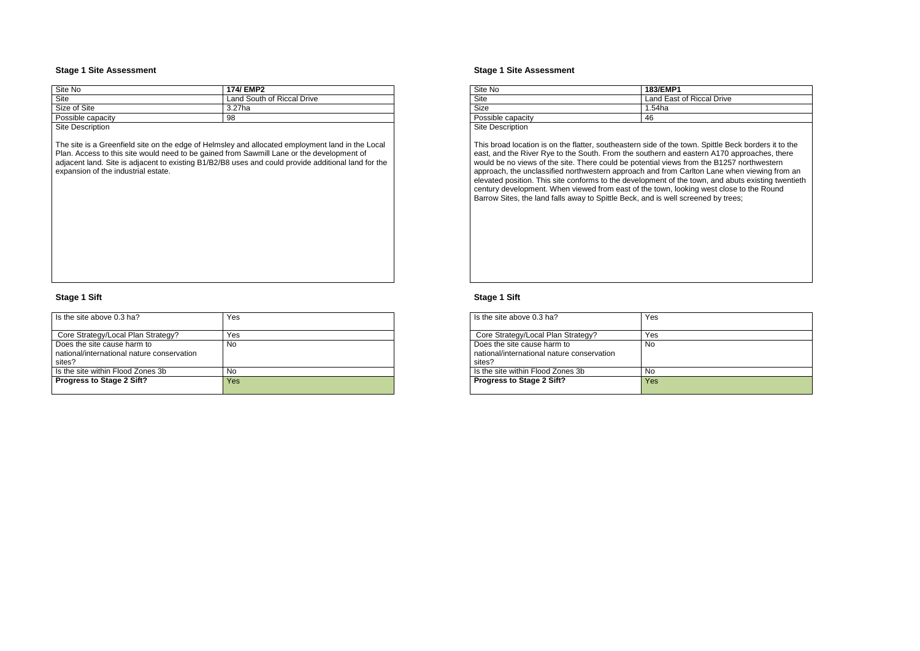| Site No                                   | 174/ EMP2                  |
|-------------------------------------------|----------------------------|
| <b>Site</b>                               | Land South of Riccal Drive |
| Size of Site                              | 3.27ha                     |
| Possible capacity                         | 98                         |
| $\sim$ $\sim$ $\sim$ $\sim$ $\sim$ $\sim$ |                            |

Site Description

The site is a Greenfield site on the edge of Helmsley and allocated employment land in the Local Plan. Access to this site would need to be gained from Sawmill Lane or the development of adjacent land. Site is adjacent to existing B1/B2/B8 uses and could provide additional land for the expansion of the industrial estate.

### **Stage 1 Sift**

| Is the site above 0.3 ha?                  | Yes |
|--------------------------------------------|-----|
|                                            |     |
| Core Strategy/Local Plan Strategy?         | Yes |
| Does the site cause harm to                | No  |
| national/international nature conservation |     |
| sites?                                     |     |
| Is the site within Flood Zones 3b          | No  |
| <b>Progress to Stage 2 Sift?</b>           | Yes |
|                                            |     |

#### **Stage 1 Site Assessment**

| Site No           | <b>183/EMP1</b> |
|-------------------|-----------------|
| Site              | Land East of R  |
| <b>Size</b>       | 1.54ha          |
| Possible capacity | 46              |
| $\sim$ $\sim$     |                 |

Site Description

This broad location is on the flatter, southeastern side of the town. Spittle Beck borders it to the east, and the River Rye to the South. From the southern and eastern A170 approaches, there would be no views of the site. There could be potential views from the B1257 northwestern approach, the unclassified northwestern approach and from Carlton Lane when viewing from an elevated position. This site conforms to the development of the town, and abuts existing twentieth century development. When viewed from east of the town, looking west close to the Round Barrow Sites, the land falls away to Spittle Beck, and is well screened by trees;

## **Stage 1 Sift**

| Is the site above 0.3 ha?                                                           | Yes |
|-------------------------------------------------------------------------------------|-----|
| Core Strategy/Local Plan Strategy?                                                  | Yes |
| Does the site cause harm to<br>national/international nature conservation<br>sites? | No  |
| Is the site within Flood Zones 3b                                                   | No  |
| <b>Progress to Stage 2 Sift?</b>                                                    | Yes |

## Riccal Drive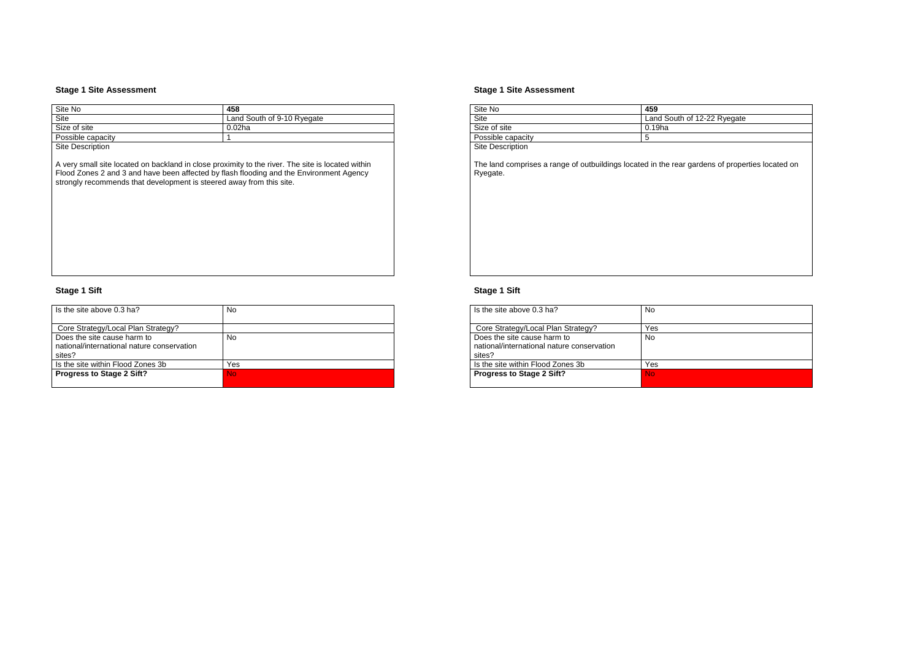| Site No           | 458                        |
|-------------------|----------------------------|
| Site              | Land South of 9-10 Ryegate |
| Size of site      | 0.02ha                     |
| Possible capacity |                            |

**Site Description** 

A very small site located on backland in close proximity to the river. The site is located within Flood Zones 2 and 3 and have been affected by flash flooding and the Environment Agency strongly recommends that development is steered away from this site.

# **Stage 1 Sift**

| Is the site above $0.3$ ha?                                                         | No        |
|-------------------------------------------------------------------------------------|-----------|
| Core Strategy/Local Plan Strategy?                                                  |           |
| Does the site cause harm to<br>national/international nature conservation<br>sites? | No        |
| Is the site within Flood Zones 3b                                                   | Yes       |
| <b>Progress to Stage 2 Sift?</b>                                                    | <b>No</b> |

## **Stage 1 Site Assessment**

| Site No                 | 459             |
|-------------------------|-----------------|
| Site                    | Land South of 1 |
| Size of site            | $0.19$ ha       |
| Possible capacity       | 5               |
| <b>Site Description</b> |                 |

The land comprises a range of outbuildings located in the rear gardens of properties located on Ryegate.

# **Stage 1 Sift**

| Is the site above $0.3$ ha?                                                         | No        |
|-------------------------------------------------------------------------------------|-----------|
| Core Strategy/Local Plan Strategy?                                                  | Yes       |
| Does the site cause harm to<br>national/international nature conservation<br>sites? | <b>No</b> |
| Is the site within Flood Zones 3b                                                   | Yes       |
| <b>Progress to Stage 2 Sift?</b>                                                    | <b>No</b> |
|                                                                                     |           |

## 12-22 Ryegate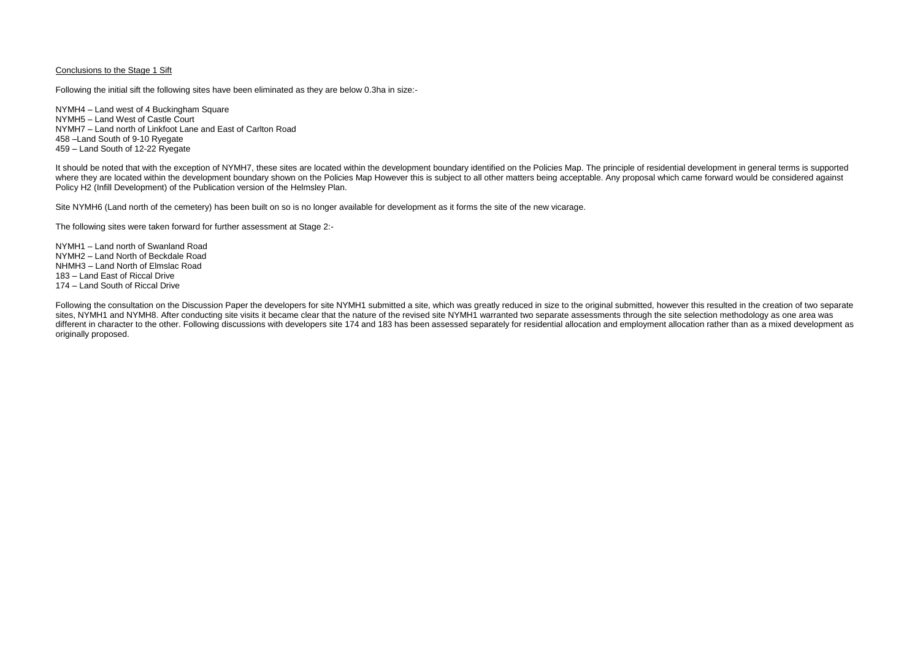## Conclusions to the Stage 1 Sift

Following the initial sift the following sites have been eliminated as they are below 0.3ha in size:-

NYMH4 – Land west of 4 Buckingham Square NYMH5 – Land West of Castle Court NYMH7 – Land north of Linkfoot Lane and East of Carlton Road 458 –Land South of 9-10 Ryegate 459 – Land South of 12-22 Ryegate

It should be noted that with the exception of NYMH7, these sites are located within the development boundary identified on the Policies Map. The principle of residential development in general terms is supported where they are located within the development boundary shown on the Policies Map However this is subject to all other matters being acceptable. Any proposal which came forward would be considered against Policy H2 (Infill Development) of the Publication version of the Helmsley Plan.

Site NYMH6 (Land north of the cemetery) has been built on so is no longer available for development as it forms the site of the new vicarage.

Following the consultation on the Discussion Paper the developers for site NYMH1 submitted a site, which was greatly reduced in size to the original submitted, however this resulted in the creation of two separate sites, NYMH1 and NYMH8. After conducting site visits it became clear that the nature of the revised site NYMH1 warranted two separate assessments through the site selection methodology as one area was different in character to the other. Following discussions with developers site 174 and 183 has been assessed separately for residential allocation and employment allocation rather than as a mixed development as originally proposed.

The following sites were taken forward for further assessment at Stage 2:-

NYMH1 – Land north of Swanland Road NYMH2 – Land North of Beckdale Road NHMH3 – Land North of Elmslac Road 183 – Land East of Riccal Drive 174 – Land South of Riccal Drive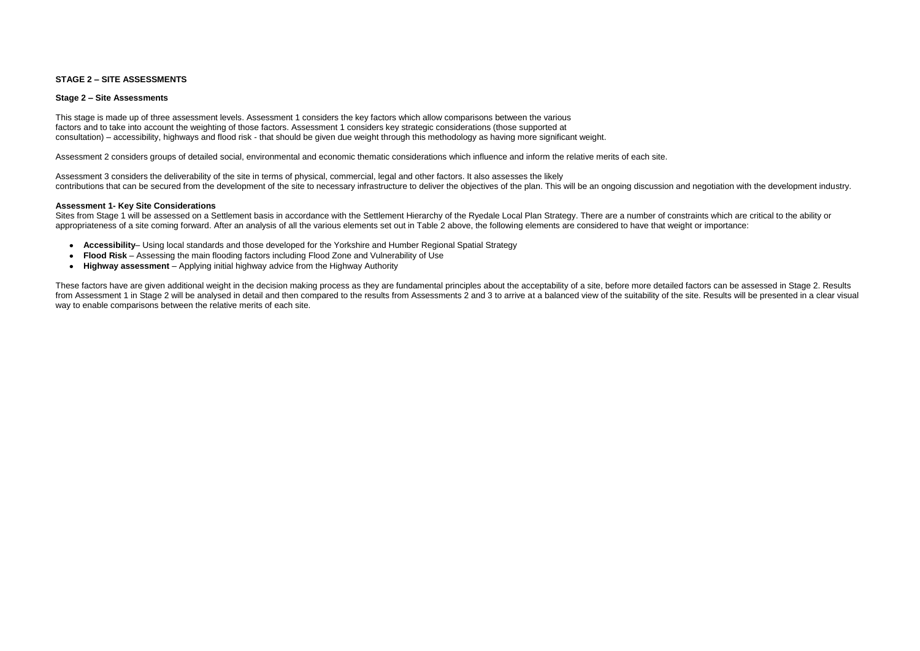## **STAGE 2 – SITE ASSESSMENTS**

### **Stage 2 – Site Assessments**

This stage is made up of three assessment levels. Assessment 1 considers the key factors which allow comparisons between the various factors and to take into account the weighting of those factors. Assessment 1 considers key strategic considerations (those supported at consultation) – accessibility, highways and flood risk - that should be given due weight through this methodology as having more significant weight.

Assessment 2 considers groups of detailed social, environmental and economic thematic considerations which influence and inform the relative merits of each site.

Sites from Stage 1 will be assessed on a Settlement basis in accordance with the Settlement Hierarchy of the Ryedale Local Plan Strategy. There are a number of constraints which are critical to the ability or appropriateness of a site coming forward. After an analysis of all the various elements set out in Table 2 above, the following elements are considered to have that weight or importance:

Assessment 3 considers the deliverability of the site in terms of physical, commercial, legal and other factors. It also assesses the likely contributions that can be secured from the development of the site to necessary infrastructure to deliver the objectives of the plan. This will be an ongoing discussion and negotiation with the development industry.

### **Assessment 1- Key Site Considerations**

- **Accessibility** Using local standards and those developed for the Yorkshire and Humber Regional Spatial Strategy
- **Flood Risk**  Assessing the main flooding factors including Flood Zone and Vulnerability of Use
- $\bullet$ **Highway assessment** – Applying initial highway advice from the Highway Authority

These factors have are given additional weight in the decision making process as they are fundamental principles about the acceptability of a site, before more detailed factors can be assessed in Stage 2. Results from Assessment 1 in Stage 2 will be analysed in detail and then compared to the results from Assessments 2 and 3 to arrive at a balanced view of the suitability of the site. Results will be presented in a clear visual way to enable comparisons between the relative merits of each site.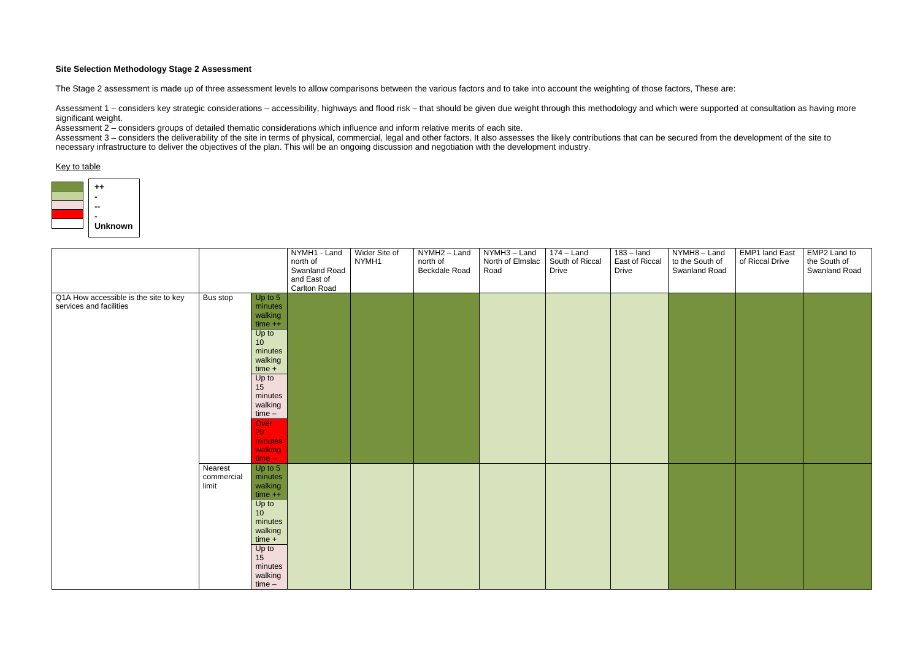### **Site Selection Methodology Stage 2 Assessment**

The Stage 2 assessment is made up of three assessment levels to allow comparisons between the various factors and to take into account the weighting of those factors, These are:

Assessment 1 – considers key strategic considerations – accessibility, highways and flood risk – that should be given due weight through this methodology and which were supported at consultation as having more significant weight.

Assessment 3 – considers the deliverability of the site in terms of physical, commercial, legal and other factors. It also assesses the likely contributions that can be secured from the development of the site to necessary infrastructure to deliver the objectives of the plan. This will be an ongoing discussion and negotiation with the development industry.

Assessment 2 – considers groups of detailed thematic considerations which influence and inform relative merits of each site.

#### Key to table

|                                       |            |                 | NYMH1 - Land  | Wider Site of | NYMH <sub>2</sub> – Land | NYMH3 - Land     | $174 -$ Land    | $183 -$ land   | NYMH8-Land      | <b>EMP1 land East</b> | EMP2 Land to  |
|---------------------------------------|------------|-----------------|---------------|---------------|--------------------------|------------------|-----------------|----------------|-----------------|-----------------------|---------------|
|                                       |            |                 | north of      | NYMH1         | north of                 | North of Elmslac | South of Riccal | East of Riccal | to the South of | of Riccal Drive       | the South of  |
|                                       |            |                 | Swanland Road |               | Beckdale Road            | Road             | <b>Drive</b>    | <b>Drive</b>   | Swanland Road   |                       | Swanland Road |
|                                       |            |                 | and East of   |               |                          |                  |                 |                |                 |                       |               |
|                                       |            |                 | Carlton Road  |               |                          |                  |                 |                |                 |                       |               |
| Q1A How accessible is the site to key | Bus stop   | Up to $5$       |               |               |                          |                  |                 |                |                 |                       |               |
| services and facilities               |            | minutes         |               |               |                          |                  |                 |                |                 |                       |               |
|                                       |            | walking         |               |               |                          |                  |                 |                |                 |                       |               |
|                                       |            |                 |               |               |                          |                  |                 |                |                 |                       |               |
|                                       |            | $time + +$      |               |               |                          |                  |                 |                |                 |                       |               |
|                                       |            | Up to           |               |               |                          |                  |                 |                |                 |                       |               |
|                                       |            | 10 <sub>1</sub> |               |               |                          |                  |                 |                |                 |                       |               |
|                                       |            | minutes         |               |               |                          |                  |                 |                |                 |                       |               |
|                                       |            | walking         |               |               |                          |                  |                 |                |                 |                       |               |
|                                       |            | $time +$        |               |               |                          |                  |                 |                |                 |                       |               |
|                                       |            | Up to           |               |               |                          |                  |                 |                |                 |                       |               |
|                                       |            | 15              |               |               |                          |                  |                 |                |                 |                       |               |
|                                       |            | minutes         |               |               |                          |                  |                 |                |                 |                       |               |
|                                       |            | walking         |               |               |                          |                  |                 |                |                 |                       |               |
|                                       |            | $time -$        |               |               |                          |                  |                 |                |                 |                       |               |
|                                       |            | Over            |               |               |                          |                  |                 |                |                 |                       |               |
|                                       |            | 20 <sub>1</sub> |               |               |                          |                  |                 |                |                 |                       |               |
|                                       |            | minutes         |               |               |                          |                  |                 |                |                 |                       |               |
|                                       |            | walking         |               |               |                          |                  |                 |                |                 |                       |               |
|                                       |            | $time -$        |               |               |                          |                  |                 |                |                 |                       |               |
|                                       | Nearest    | Up to 5         |               |               |                          |                  |                 |                |                 |                       |               |
|                                       | commercial | minutes         |               |               |                          |                  |                 |                |                 |                       |               |
|                                       | limit      | walking         |               |               |                          |                  |                 |                |                 |                       |               |
|                                       |            | $time++$        |               |               |                          |                  |                 |                |                 |                       |               |
|                                       |            | Up to           |               |               |                          |                  |                 |                |                 |                       |               |
|                                       |            | 10              |               |               |                          |                  |                 |                |                 |                       |               |
|                                       |            | minutes         |               |               |                          |                  |                 |                |                 |                       |               |
|                                       |            | walking         |               |               |                          |                  |                 |                |                 |                       |               |
|                                       |            | $time +$        |               |               |                          |                  |                 |                |                 |                       |               |
|                                       |            | Up to           |               |               |                          |                  |                 |                |                 |                       |               |
|                                       |            | 15              |               |               |                          |                  |                 |                |                 |                       |               |
|                                       |            | minutes         |               |               |                          |                  |                 |                |                 |                       |               |
|                                       |            | walking         |               |               |                          |                  |                 |                |                 |                       |               |
|                                       |            | $time -$        |               |               |                          |                  |                 |                |                 |                       |               |
|                                       |            |                 |               |               |                          |                  |                 |                |                 |                       |               |

- 
- 

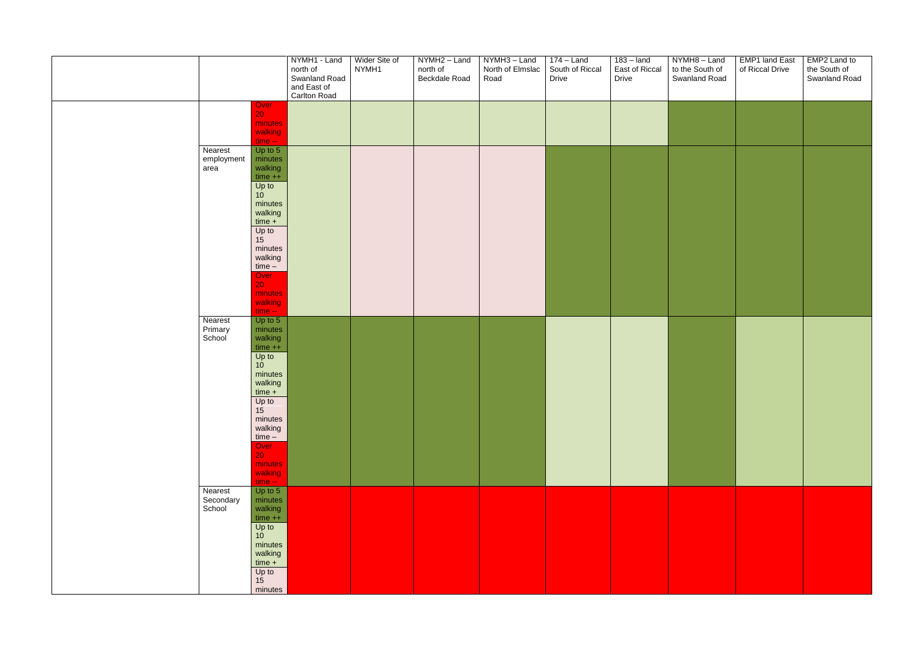|                                |                                                                                                                                                                                                                                            | NYMH1 - Land<br>north of<br>Swanland Road<br>and East of<br>Carlton Road | Wider Site of<br>NYMH1 | NYMH2 - Land<br>north of<br>Beckdale Road | NYMH <sub>3</sub> – Land<br>North of Elmslac<br>Road | $174 -$ Land<br>South of Riccal<br>Drive | $183 -$ land<br>East of Riccal<br>Drive | NYMH8-Land<br>to the South of<br>Swanland Road | <b>EMP1 land East</b><br>of Riccal Drive | EMP2 Land to<br>the South of<br>Swanland Road |
|--------------------------------|--------------------------------------------------------------------------------------------------------------------------------------------------------------------------------------------------------------------------------------------|--------------------------------------------------------------------------|------------------------|-------------------------------------------|------------------------------------------------------|------------------------------------------|-----------------------------------------|------------------------------------------------|------------------------------------------|-----------------------------------------------|
|                                | Over<br>20 <sub>1</sub><br>minutes<br>walking<br>$time -$                                                                                                                                                                                  |                                                                          |                        |                                           |                                                      |                                          |                                         |                                                |                                          |                                               |
| Nearest<br>employment<br>area  | Up to 5<br>minutes<br>walking<br>$time++$<br>Up to<br>10 <sup>10</sup><br>minutes<br>walking<br>$time +$<br>Up to<br>15<br>minutes<br>walking<br>$time -$<br>Over<br>20<br>minutes<br>walking<br>$time -$                                  |                                                                          |                        |                                           |                                                      |                                          |                                         |                                                |                                          |                                               |
| Nearest<br>Primary<br>School   | Up to $5$<br>minutes<br>walking<br>$time++$<br>Up to<br>10 <sup>°</sup><br>minutes<br>walking<br>$\frac{\text{time +}}{\text{Up to}}$<br>15<br>minutes<br>walking<br>$time -$<br>Over<br>20 <sub>1</sub><br>minutes<br>walking<br>$time -$ |                                                                          |                        |                                           |                                                      |                                          |                                         |                                                |                                          |                                               |
| Nearest<br>Secondary<br>School | Up to 5<br>minutes<br>walking<br>$time++$<br>$Up$ to<br>10 <sup>1</sup><br>minutes<br>walking<br>$time +$<br>Up to $15$<br>minutes                                                                                                         |                                                                          |                        |                                           |                                                      |                                          |                                         |                                                |                                          |                                               |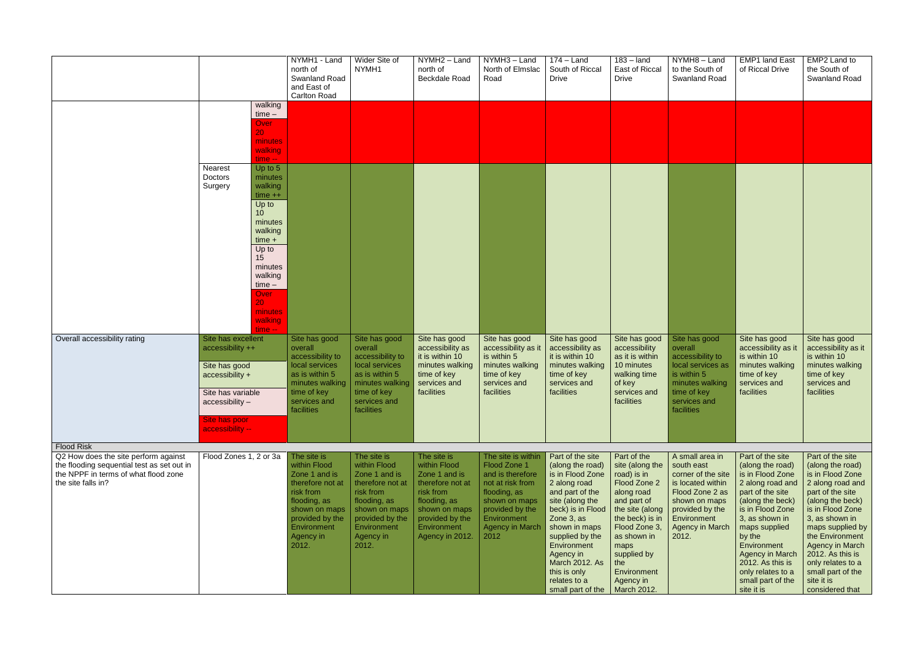|                                                                                                                                                  |                                                                                                                                                         |                                                                                                                                                                                                     | NYMH1 - Land<br>north of<br><b>Swanland Road</b><br>and East of<br><b>Carlton Road</b>                                                                                 | Wider Site of<br>NYMH1                                                                                                                                                 | NYMH2 - Land<br>north of<br><b>Beckdale Road</b>                                                                                                                    | NYMH3 - Land<br>North of Elmslac<br>Road                                                                                                                                        | $174 -$ Land<br>South of Riccal<br><b>Drive</b>                                                                                                                                                                                                                                                            | $183 -$ land<br>East of Riccal<br><b>Drive</b>                                                                                                                                                                         | NYMH8-Land<br>to the South of<br><b>Swanland Road</b>                                                                                                                             | <b>EMP1 land East</b><br>of Riccal Drive                                                                                                                                                                                                                                                                   | EMP2 Land to<br>the South of<br>Swanland Road                                                                                                                                                                                                                                                                              |
|--------------------------------------------------------------------------------------------------------------------------------------------------|---------------------------------------------------------------------------------------------------------------------------------------------------------|-----------------------------------------------------------------------------------------------------------------------------------------------------------------------------------------------------|------------------------------------------------------------------------------------------------------------------------------------------------------------------------|------------------------------------------------------------------------------------------------------------------------------------------------------------------------|---------------------------------------------------------------------------------------------------------------------------------------------------------------------|---------------------------------------------------------------------------------------------------------------------------------------------------------------------------------|------------------------------------------------------------------------------------------------------------------------------------------------------------------------------------------------------------------------------------------------------------------------------------------------------------|------------------------------------------------------------------------------------------------------------------------------------------------------------------------------------------------------------------------|-----------------------------------------------------------------------------------------------------------------------------------------------------------------------------------|------------------------------------------------------------------------------------------------------------------------------------------------------------------------------------------------------------------------------------------------------------------------------------------------------------|----------------------------------------------------------------------------------------------------------------------------------------------------------------------------------------------------------------------------------------------------------------------------------------------------------------------------|
|                                                                                                                                                  |                                                                                                                                                         | walking<br>$time -$<br>Over<br>20.<br>minutes<br>walking<br>time -- i                                                                                                                               |                                                                                                                                                                        |                                                                                                                                                                        |                                                                                                                                                                     |                                                                                                                                                                                 |                                                                                                                                                                                                                                                                                                            |                                                                                                                                                                                                                        |                                                                                                                                                                                   |                                                                                                                                                                                                                                                                                                            |                                                                                                                                                                                                                                                                                                                            |
|                                                                                                                                                  | Nearest<br>Doctors<br>Surgery                                                                                                                           | Up to 5<br>minutes<br>walking<br>$time++$<br>Up to<br>10<br>minutes<br>walking<br>$time +$<br>Up to<br>15<br>minutes<br>walking<br>$time -$<br><b>Over</b><br>20.<br>minutes<br>walking<br>$time -$ |                                                                                                                                                                        |                                                                                                                                                                        |                                                                                                                                                                     |                                                                                                                                                                                 |                                                                                                                                                                                                                                                                                                            |                                                                                                                                                                                                                        |                                                                                                                                                                                   |                                                                                                                                                                                                                                                                                                            |                                                                                                                                                                                                                                                                                                                            |
| Overall accessibility rating                                                                                                                     | Site has excellent<br>accessibility ++<br>Site has good<br>accessibility +<br>Site has variable<br>accessibility -<br>Site has poor<br>accessibility -- |                                                                                                                                                                                                     | Site has good<br>overall<br>accessibility to<br>local services<br>as is within 5<br>minutes walking<br>time of key<br>services and<br>facilities                       | Site has good<br>overall<br>accessibility to<br>local services<br>as is within 5<br>minutes walking<br>time of key<br>services and<br>facilities                       | Site has good<br>accessibility as<br>it is within 10<br>minutes walking<br>time of key<br>services and<br>facilities                                                | Site has good<br>accessibility as it<br>is within 5<br>minutes walking<br>time of key<br>services and<br>facilities                                                             | Site has good<br>accessibility as<br>it is within 10<br>minutes walking<br>time of key<br>services and<br>facilities                                                                                                                                                                                       | Site has good<br>accessibility<br>as it is within<br>10 minutes<br>walking time<br>of key<br>services and<br>facilities                                                                                                | Site has good<br>overall<br>accessibility to<br>local services as<br>is within 5<br>minutes walking<br>time of key<br>services and<br>facilities                                  | Site has good<br>accessibility as it<br>is within 10<br>minutes walking<br>time of key<br>services and<br>facilities                                                                                                                                                                                       | Site has good<br>accessibility as it<br>is within 10<br>minutes walking<br>time of key<br>services and<br>facilities                                                                                                                                                                                                       |
| <b>Flood Risk</b>                                                                                                                                |                                                                                                                                                         |                                                                                                                                                                                                     |                                                                                                                                                                        |                                                                                                                                                                        |                                                                                                                                                                     |                                                                                                                                                                                 |                                                                                                                                                                                                                                                                                                            |                                                                                                                                                                                                                        |                                                                                                                                                                                   |                                                                                                                                                                                                                                                                                                            |                                                                                                                                                                                                                                                                                                                            |
| Q2 How does the site perform against<br>the flooding sequential test as set out in<br>the NPPF in terms of what flood zone<br>the site falls in? | Flood Zones 1, 2 or 3a                                                                                                                                  |                                                                                                                                                                                                     | The site is<br>within Flood<br>Zone 1 and is<br>therefore not at<br>risk from<br>flooding, as<br>shown on maps<br>provided by the<br>Environment<br>Agency in<br>2012. | The site is<br>within Flood<br>Zone 1 and is<br>therefore not at<br>risk from<br>flooding, as<br>shown on maps<br>provided by the<br>Environment<br>Agency in<br>2012. | The site is<br>within Flood<br>Zone 1 and is<br>therefore not at<br>risk from<br>flooding, as<br>shown on maps<br>provided by the<br>Environment<br>Agency in 2012. | The site is within<br>Flood Zone 1<br>and is therefore<br>not at risk from<br>flooding, as<br>shown on maps<br>provided by the<br>Environment<br><b>Agency in March</b><br>2012 | Part of the site<br>(along the road)<br>is in Flood Zone<br>2 along road<br>and part of the<br>site (along the<br>beck) is in Flood   the site (along<br>Zone 3, as<br>shown in maps<br>supplied by the<br>Environment<br>Agency in<br>March 2012. As<br>this is only<br>relates to a<br>small part of the | Part of the<br>site (along the<br>road) is in<br>Flood Zone 2<br>along road<br>and part of<br>the beck) is in<br>Flood Zone 3,<br>as shown in<br>maps<br>supplied by<br>the<br>Environment<br>Agency in<br>March 2012. | A small area in<br>south east<br>corner of the site<br>is located within<br>Flood Zone 2 as<br>shown on maps<br>provided by the<br>Environment<br><b>Agency in March</b><br>2012. | Part of the site<br>(along the road)<br>is in Flood Zone<br>2 along road and<br>part of the site<br>(along the beck)<br>is in Flood Zone<br>3, as shown in<br>maps supplied<br>by the<br>Environment<br><b>Agency in March</b><br>2012. As this is<br>only relates to a<br>small part of the<br>site it is | Part of the site<br>(along the road)<br>is in Flood Zone<br>2 along road and<br>part of the site<br>(along the beck)<br>is in Flood Zone<br>3, as shown in<br>maps supplied by<br>the Environment<br><b>Agency in March</b><br>2012. As this is<br>only relates to a<br>small part of the<br>site it is<br>considered that |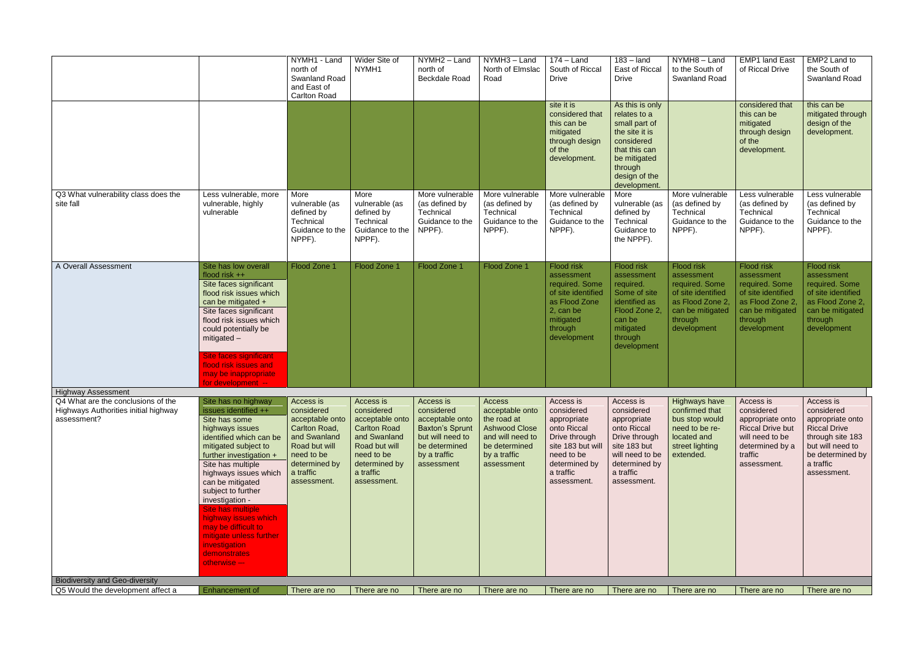|                                                                                           |                                                                                                                                                                                                                                                                                                                                                                                                                          | NYMH1 - Land<br>north of<br>Swanland Road<br>and East of<br>Carlton Road                                                                                | Wider Site of<br>NYMH1                                                                                                                                        | NYMH2 - Land<br>north of<br>Beckdale Road                                                                                               | NYMH3 - Land<br>North of Elmslac<br>Road                                                                                            | $174 -$ Land<br>South of Riccal<br><b>Drive</b>                                                                                                        | $183 -$ land<br>East of Riccal<br><b>Drive</b>                                                                                                                | NYMH8-Land<br>to the South of<br><b>Swanland Road</b>                                                                              | <b>EMP1 land East</b><br>of Riccal Drive                                                                                                  | EMP2 Land to<br>the South of<br>Swanland Road                                                                                                              |
|-------------------------------------------------------------------------------------------|--------------------------------------------------------------------------------------------------------------------------------------------------------------------------------------------------------------------------------------------------------------------------------------------------------------------------------------------------------------------------------------------------------------------------|---------------------------------------------------------------------------------------------------------------------------------------------------------|---------------------------------------------------------------------------------------------------------------------------------------------------------------|-----------------------------------------------------------------------------------------------------------------------------------------|-------------------------------------------------------------------------------------------------------------------------------------|--------------------------------------------------------------------------------------------------------------------------------------------------------|---------------------------------------------------------------------------------------------------------------------------------------------------------------|------------------------------------------------------------------------------------------------------------------------------------|-------------------------------------------------------------------------------------------------------------------------------------------|------------------------------------------------------------------------------------------------------------------------------------------------------------|
|                                                                                           |                                                                                                                                                                                                                                                                                                                                                                                                                          |                                                                                                                                                         |                                                                                                                                                               |                                                                                                                                         |                                                                                                                                     | site it is<br>considered that<br>this can be<br>mitigated<br>through design<br>of the<br>development.                                                  | As this is only<br>relates to a<br>small part of<br>the site it is<br>considered<br>that this can<br>be mitigated<br>through<br>design of the<br>development. |                                                                                                                                    | considered that<br>this can be<br>mitigated<br>through design<br>of the<br>development.                                                   | this can be<br>mitigated through<br>design of the<br>development.                                                                                          |
| Q3 What vulnerability class does the<br>site fall                                         | Less vulnerable, more<br>vulnerable, highly<br>vulnerable                                                                                                                                                                                                                                                                                                                                                                | More<br>vulnerable (as<br>defined by<br>Technical<br>Guidance to the<br>NPPF).                                                                          | More<br>vulnerable (as<br>defined by<br>Technical<br>Guidance to the<br>NPPF).                                                                                | More vulnerable<br>(as defined by<br>Technical<br>Guidance to the<br>NPPF).                                                             | More vulnerable<br>(as defined by<br>Technical<br>Guidance to the<br>NPPF).                                                         | More vulnerable<br>(as defined by<br>Technical<br>Guidance to the<br>NPPF).                                                                            | More<br>vulnerable (as<br>defined by<br>Technical<br>Guidance to<br>the NPPF).                                                                                | More vulnerable<br>(as defined by<br>Technical<br>Guidance to the<br>NPPF).                                                        | Less vulnerable<br>(as defined by<br>Technical<br>Guidance to the<br>NPPF).                                                               | Less vulnerable<br>(as defined by<br>Technical<br>Guidance to the<br>NPPF).                                                                                |
| A Overall Assessment                                                                      | Site has low overall<br>flood risk $++$<br>Site faces significant<br>flood risk issues which<br>can be mitigated +<br>Site faces significant<br>flood risk issues which<br>could potentially be<br>mitigated $-$<br><b>Site faces significant</b><br>flood risk issues and<br>may be inappropriate<br>for development --                                                                                                 | Flood Zone 1                                                                                                                                            | Flood Zone 1                                                                                                                                                  | Flood Zone 1                                                                                                                            | Flood Zone 1                                                                                                                        | Flood risk<br>assessment<br>required. Some<br>of site identified<br>as Flood Zone<br>2, can be<br>mitigated<br>through<br>development                  | Flood risk<br>assessment<br>required.<br>Some of site<br>identified as<br>Flood Zone 2,<br>can be<br>mitigated<br>through<br>development                      | Flood risk<br>assessment<br>required. Some<br>of site identified<br>as Flood Zone 2.<br>can be mitigated<br>through<br>development | <b>Flood risk</b><br>assessment<br>required. Some<br>of site identified<br>as Flood Zone 2,<br>can be mitigated<br>through<br>development | <b>Flood risk</b><br>assessment<br>required. Some<br>of site identified<br>as Flood Zone 2,<br>can be mitigated<br>through<br>development                  |
| <b>Highway Assessment</b>                                                                 |                                                                                                                                                                                                                                                                                                                                                                                                                          |                                                                                                                                                         |                                                                                                                                                               |                                                                                                                                         |                                                                                                                                     |                                                                                                                                                        |                                                                                                                                                               |                                                                                                                                    |                                                                                                                                           |                                                                                                                                                            |
| Q4 What are the conclusions of the<br>Highways Authorities initial highway<br>assessment? | Site has no highway<br>issues identified ++<br>Site has some<br>highways issues<br>identified which can be<br>mitigated subject to<br>further investigation +<br>Site has multiple<br>highways issues which<br>can be mitigated<br>subject to further<br>investigation -<br>Site has multiple<br>highway issues which<br>may be difficult to<br>mitigate unless further<br>investigation<br>demonstrates<br>otherwise -- | Access is<br>considered<br>acceptable onto<br>Carlton Road,<br>and Swanland<br>Road but will<br>need to be<br>determined by<br>a traffic<br>assessment. | Access is<br>considered<br>acceptable onto<br><b>Carlton Road</b><br>and Swanland<br>Road but will<br>need to be<br>determined by<br>a traffic<br>assessment. | Access is<br>considered<br>acceptable onto<br><b>Baxton's Sprunt</b><br>but will need to<br>be determined<br>by a traffic<br>assessment | Access<br>acceptable onto<br>the road at<br><b>Ashwood Close</b><br>and will need to<br>be determined<br>by a traffic<br>assessment | Access is<br>considered<br>appropriate<br>onto Riccal<br>Drive through<br>site 183 but will<br>need to be<br>determined by<br>a traffic<br>assessment. | Access is<br>considered<br>appropriate<br>onto Riccal<br>Drive through<br>site 183 but<br>will need to be<br>determined by<br>a traffic<br>assessment.        | Highways have Access is<br>confirmed that<br>bus stop would<br>need to be re-<br>located and<br>street lighting<br>extended.       | considered<br>appropriate onto<br><b>Riccal Drive but</b><br>will need to be<br>determined by a<br>traffic<br>assessment.                 | Access is<br>considered<br>appropriate onto<br><b>Riccal Drive</b><br>through site 183<br>but will need to<br>be determined by<br>a traffic<br>assessment. |
| <b>Biodiversity and Geo-diversity</b>                                                     |                                                                                                                                                                                                                                                                                                                                                                                                                          |                                                                                                                                                         |                                                                                                                                                               |                                                                                                                                         |                                                                                                                                     |                                                                                                                                                        |                                                                                                                                                               |                                                                                                                                    |                                                                                                                                           |                                                                                                                                                            |
| Q5 Would the development affect a                                                         | <b>Enhancement of</b>                                                                                                                                                                                                                                                                                                                                                                                                    | There are no                                                                                                                                            | There are no                                                                                                                                                  | There are no                                                                                                                            | There are no                                                                                                                        | There are no                                                                                                                                           | There are no                                                                                                                                                  | There are no                                                                                                                       | There are no                                                                                                                              | There are no                                                                                                                                               |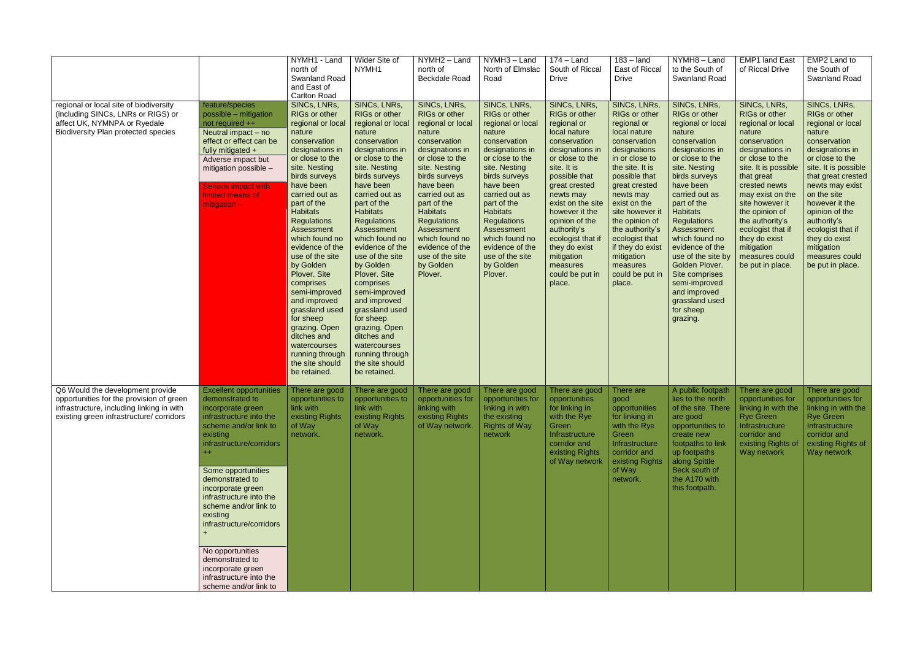|                                                                                                                                                                       |                                                                                                                                                                                                                                                                                                                                                                                                                                                     | NYMH1 - Land<br>north of<br>Swanland Road<br>and East of<br><b>Carlton Road</b>                                                                                                                                                                                                                                                                                                                                                                                                                                                   | Wider Site of<br>NYMH1                                                                                                                                                                                                                                                                                                                                                                                                                                                                                                            | NYMH2 - Land<br>north of<br>Beckdale Road                                                                                                                                                                                                                                                                                                        | NYMH3 - Land<br>North of Elmslac<br>Road                                                                                                                                                                                                                                                                                                         | $174 -$ Land<br>South of Riccal<br><b>Drive</b>                                                                                                                                                                                                                                                                                                       | $183 -$ land<br>East of Riccal<br><b>Drive</b>                                                                                                                                                                                                                                                                                                        | NYMH8-Land<br>to the South of<br><b>Swanland Road</b>                                                                                                                                                                                                                                                                                                                                                                                | <b>EMP1 land East</b><br>of Riccal Drive                                                                                                                                                                                                                                                                                                        | EMP2 Land to<br>the South of<br>Swanland Road                                                                                                                                                                                                                                                                                                   |
|-----------------------------------------------------------------------------------------------------------------------------------------------------------------------|-----------------------------------------------------------------------------------------------------------------------------------------------------------------------------------------------------------------------------------------------------------------------------------------------------------------------------------------------------------------------------------------------------------------------------------------------------|-----------------------------------------------------------------------------------------------------------------------------------------------------------------------------------------------------------------------------------------------------------------------------------------------------------------------------------------------------------------------------------------------------------------------------------------------------------------------------------------------------------------------------------|-----------------------------------------------------------------------------------------------------------------------------------------------------------------------------------------------------------------------------------------------------------------------------------------------------------------------------------------------------------------------------------------------------------------------------------------------------------------------------------------------------------------------------------|--------------------------------------------------------------------------------------------------------------------------------------------------------------------------------------------------------------------------------------------------------------------------------------------------------------------------------------------------|--------------------------------------------------------------------------------------------------------------------------------------------------------------------------------------------------------------------------------------------------------------------------------------------------------------------------------------------------|-------------------------------------------------------------------------------------------------------------------------------------------------------------------------------------------------------------------------------------------------------------------------------------------------------------------------------------------------------|-------------------------------------------------------------------------------------------------------------------------------------------------------------------------------------------------------------------------------------------------------------------------------------------------------------------------------------------------------|--------------------------------------------------------------------------------------------------------------------------------------------------------------------------------------------------------------------------------------------------------------------------------------------------------------------------------------------------------------------------------------------------------------------------------------|-------------------------------------------------------------------------------------------------------------------------------------------------------------------------------------------------------------------------------------------------------------------------------------------------------------------------------------------------|-------------------------------------------------------------------------------------------------------------------------------------------------------------------------------------------------------------------------------------------------------------------------------------------------------------------------------------------------|
| regional or local site of biodiversity<br>(including SINCs, LNRs or RIGS) or<br>affect UK, NYMNPA or Ryedale<br><b>Biodiversity Plan protected species</b>            | feature/species<br>possible - mitigation<br>not required ++<br>Neutral impact $-$ no<br>effect or effect can be<br>fully mitigated +<br>Adverse impact but<br>mitigation possible -<br><b>Serious impact with</b><br>limited means of<br>mitigation --                                                                                                                                                                                              | SINCs, LNRs,<br>RIGs or other<br>regional or local<br>nature<br>conservation<br>designations in<br>or close to the<br>site. Nesting<br>birds surveys<br>have been<br>carried out as<br>part of the<br><b>Habitats</b><br><b>Regulations</b><br>Assessment<br>which found no<br>evidence of the<br>use of the site<br>by Golden<br>Plover. Site<br>comprises<br>semi-improved<br>and improved<br>grassland used<br>for sheep<br>grazing. Open<br>ditches and<br>watercourses<br>running through<br>the site should<br>be retained. | SINCs, LNRs,<br>RIGs or other<br>regional or local<br>nature<br>conservation<br>designations in<br>or close to the<br>site. Nesting<br>birds surveys<br>have been<br>carried out as<br>part of the<br><b>Habitats</b><br><b>Regulations</b><br>Assessment<br>which found no<br>evidence of the<br>use of the site<br>by Golden<br>Plover. Site<br>comprises<br>semi-improved<br>and improved<br>grassland used<br>for sheep<br>grazing. Open<br>ditches and<br>watercourses<br>running through<br>the site should<br>be retained. | SINCs, LNRs,<br><b>RIGs or other</b><br>regional or local<br>nature<br>conservation<br>designations in<br>or close to the<br>site. Nesting<br>birds surveys<br>have been<br>carried out as<br>part of the<br><b>Habitats</b><br><b>Regulations</b><br>Assessment<br>which found no<br>evidence of the<br>use of the site<br>by Golden<br>Plover. | SINCs, LNRs,<br><b>RIGs or other</b><br>regional or local<br>nature<br>conservation<br>designations in<br>or close to the<br>site. Nesting<br>birds surveys<br>have been<br>carried out as<br>part of the<br><b>Habitats</b><br><b>Regulations</b><br>Assessment<br>which found no<br>evidence of the<br>use of the site<br>by Golden<br>Plover. | SINCs, LNRs,<br>RIGs or other<br>regional or<br>local nature<br>conservation<br>designations in<br>or close to the<br>site. It is<br>possible that<br>great crested<br>newts may<br>exist on the site<br>however it the<br>opinion of the<br>authority's<br>ecologist that if<br>they do exist<br>mitigation<br>measures<br>could be put in<br>place. | SINCs, LNRs,<br>RIGs or other<br>regional or<br>local nature<br>conservation<br>designations<br>in or close to<br>the site. It is<br>possible that<br>great crested<br>newts may<br>exist on the<br>site however it<br>the opinion of<br>the authority's<br>ecologist that<br>if they do exist<br>mitigation<br>measures<br>could be put in<br>place. | SINCs, LNRs,<br>RIGs or other<br>regional or local<br>nature<br>conservation<br>designations in<br>or close to the<br>site. Nesting<br>birds surveys<br>have been<br>carried out as<br>part of the<br><b>Habitats</b><br><b>Regulations</b><br>Assessment<br>which found no<br>evidence of the<br>use of the site by<br>Golden Plover.<br>Site comprises<br>semi-improved<br>and improved<br>grassland used<br>for sheep<br>grazing. | SINCs, LNRs,<br>RIGs or other<br>regional or local<br>nature<br>conservation<br>designations in<br>or close to the<br>site. It is possible<br>that great<br>crested newts<br>may exist on the<br>site however it<br>the opinion of<br>the authority's<br>ecologist that if<br>they do exist<br>mitigation<br>measures could<br>be put in place. | SINCs, LNRs,<br>RIGs or other<br>regional or local<br>nature<br>conservation<br>designations in<br>or close to the<br>site. It is possible<br>that great crested<br>newts may exist<br>on the site<br>however it the<br>opinion of the<br>authority's<br>ecologist that if<br>they do exist<br>mitigation<br>measures could<br>be put in place. |
| Q6 Would the development provide<br>opportunities for the provision of green<br>infrastructure, including linking in with<br>existing green infrastructure/ corridors | <b>Excellent opportunities</b><br>demonstrated to<br>incorporate green<br>infrastructure into the<br>scheme and/or link to<br>existing<br>infrastructure/corridors<br>$+$<br>Some opportunities<br>demonstrated to<br>incorporate green<br>infrastructure into the<br>scheme and/or link to<br>existing<br>infrastructure/corridors<br>No opportunities<br>demonstrated to<br>incorporate green<br>infrastructure into the<br>scheme and/or link to | There are good<br>link with<br>existing Rights<br>of Way<br>network.                                                                                                                                                                                                                                                                                                                                                                                                                                                              | There are good<br>opportunities to $\vert$ opportunities to<br>link with<br>existing Rights<br>of Way<br>network.                                                                                                                                                                                                                                                                                                                                                                                                                 | There are good<br>opportunities for<br>linking with<br>existing Rights<br>of Way network.                                                                                                                                                                                                                                                        | There are good<br>opportunities for<br>linking in with<br>the existing<br><b>Rights of Way</b><br>network                                                                                                                                                                                                                                        | There are good<br>opportunities<br>for linking in<br>with the Rye<br>Green<br>Infrastructure<br>corridor and<br>existing Rights<br>of Way network                                                                                                                                                                                                     | There are<br>good<br>opportunities<br>for linking in<br>with the Rye<br>Green<br>Infrastructure<br>corridor and<br>existing Rights<br>of Way<br>network.                                                                                                                                                                                              | A public footpath<br>lies to the north<br>of the site. There<br>are good<br>opportunities to<br>create new<br>footpaths to link<br>up footpaths<br>along Spittle<br>Beck south of<br>the A170 with<br>this footpath.                                                                                                                                                                                                                 | There are good<br>opportunities for<br>linking in with the<br><b>Rye Green</b><br>Infrastructure<br>corridor and<br>existing Rights of<br>Way network                                                                                                                                                                                           | There are good<br>opportunities for<br>linking in with the<br><b>Rye Green</b><br>Infrastructure<br>corridor and<br>existing Rights of<br>Way network                                                                                                                                                                                           |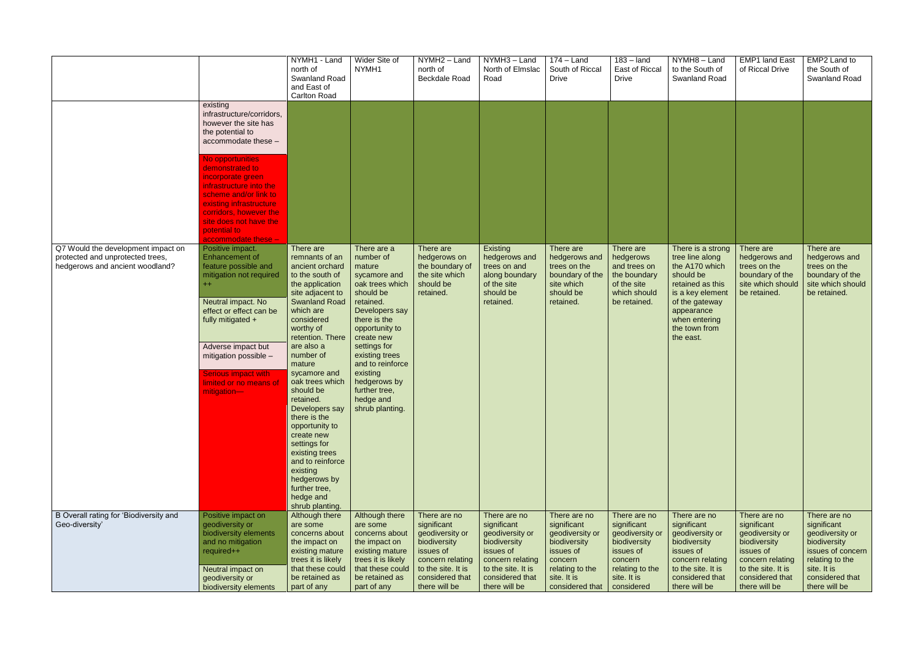|                                                                                                           |                                                                                                                                                                                                                                                                                                                                                | NYMH1 - Land<br>north of<br>Swanland Road<br>and East of<br><b>Carlton Road</b>                                                                                                                                                                                                                                                                                                                                                                                                                     | Wider Site of<br>NYMH1                                                                                                                                                                                                                                                                               | NYMH2 - Land<br>north of<br>Beckdale Road                                                                                                                 | NYMH3 - Land<br>North of Elmslac<br>Road                                                                                                                  | $174 -$ Land<br>South of Riccal<br><b>Drive</b>                                                                                             | $183 -$ land<br>East of Riccal<br><b>Drive</b>                                                                                         | NYMH8-Land<br>to the South of<br>Swanland Road                                                                                                                                             | <b>EMP1 land East</b><br>of Riccal Drive                                                                                                                  | EMP2 Land to<br>the South of<br>Swanland Road                                                                                                             |
|-----------------------------------------------------------------------------------------------------------|------------------------------------------------------------------------------------------------------------------------------------------------------------------------------------------------------------------------------------------------------------------------------------------------------------------------------------------------|-----------------------------------------------------------------------------------------------------------------------------------------------------------------------------------------------------------------------------------------------------------------------------------------------------------------------------------------------------------------------------------------------------------------------------------------------------------------------------------------------------|------------------------------------------------------------------------------------------------------------------------------------------------------------------------------------------------------------------------------------------------------------------------------------------------------|-----------------------------------------------------------------------------------------------------------------------------------------------------------|-----------------------------------------------------------------------------------------------------------------------------------------------------------|---------------------------------------------------------------------------------------------------------------------------------------------|----------------------------------------------------------------------------------------------------------------------------------------|--------------------------------------------------------------------------------------------------------------------------------------------------------------------------------------------|-----------------------------------------------------------------------------------------------------------------------------------------------------------|-----------------------------------------------------------------------------------------------------------------------------------------------------------|
|                                                                                                           | existing<br>infrastructure/corridors,<br>however the site has<br>the potential to<br>accommodate these -<br>No opportunities<br>demonstrated to<br>incorporate green<br>infrastructure into the<br>scheme and/or link to<br>existing infrastructure<br>corridors, however the<br>site does not have the<br>potential to<br>accommodate these - |                                                                                                                                                                                                                                                                                                                                                                                                                                                                                                     |                                                                                                                                                                                                                                                                                                      |                                                                                                                                                           |                                                                                                                                                           |                                                                                                                                             |                                                                                                                                        |                                                                                                                                                                                            |                                                                                                                                                           |                                                                                                                                                           |
| Q7 Would the development impact on<br>protected and unprotected trees,<br>hedgerows and ancient woodland? | Positive impact.<br><b>Enhancement of</b><br>feature possible and<br>mitigation not required<br>$^{++}$<br>Neutral impact. No<br>effect or effect can be<br>fully mitigated +<br>Adverse impact but<br>mitigation possible -<br><b>Serious impact with</b><br>limited or no means of<br>mitigation-                                            | There are<br>remnants of an<br>ancient orchard<br>to the south of<br>the application<br>site adjacent to<br><b>Swanland Road</b><br>which are<br>considered<br>worthy of<br>retention. There<br>are also a<br>number of<br>mature<br>sycamore and<br>oak trees which<br>should be<br>retained.<br>Developers say<br>there is the<br>opportunity to<br>create new<br>settings for<br>existing trees<br>and to reinforce<br>existing<br>hedgerows by<br>further tree,<br>hedge and<br>shrub planting. | There are a<br>number of<br>mature<br>sycamore and<br>oak trees which<br>should be<br>retained.<br>Developers say<br>there is the<br>opportunity to<br>create new<br>settings for<br>existing trees<br>and to reinforce<br>existing<br>hedgerows by<br>further tree,<br>hedge and<br>shrub planting. | There are<br>hedgerows on<br>the boundary of<br>the site which<br>should be<br>retained.                                                                  | Existing<br>hedgerows and<br>trees on and<br>along boundary<br>of the site<br>should be<br>retained.                                                      | There are<br>hedgerows and<br>trees on the<br>boundary of the<br>site which<br>should be<br>retained.                                       | There are<br>hedgerows<br>and trees on<br>the boundary<br>of the site<br>which should<br>be retained.                                  | There is a strong<br>tree line along<br>the A170 which<br>should be<br>retained as this<br>is a key element<br>of the gateway<br>appearance<br>when entering<br>the town from<br>the east. | There are<br>hedgerows and<br>trees on the<br>boundary of the<br>site which should<br>be retained.                                                        | There are<br>hedgerows and<br>trees on the<br>boundary of the<br>site which should<br>be retained.                                                        |
| B Overall rating for 'Biodiversity and<br>Geo-diversity'                                                  | Positive impact on<br>geodiversity or<br>biodiversity elements<br>and no mitigation<br>required++<br>Neutral impact on<br>geodiversity or<br>biodiversity elements                                                                                                                                                                             | Although there<br>are some<br>concerns about<br>the impact on<br>existing mature<br>trees it is likely<br>that these could<br>be retained as<br>part of any                                                                                                                                                                                                                                                                                                                                         | Although there<br>are some<br>concerns about<br>the impact on<br>existing mature<br>trees it is likely<br>that these could<br>be retained as<br>part of any                                                                                                                                          | There are no<br>significant<br>geodiversity or<br>biodiversity<br>issues of<br>concern relating<br>to the site. It is<br>considered that<br>there will be | There are no<br>significant<br>geodiversity or<br>biodiversity<br>issues of<br>concern relating<br>to the site. It is<br>considered that<br>there will be | There are no<br>significant<br>geodiversity or<br>biodiversity<br>issues of<br>concern<br>relating to the<br>site. It is<br>considered that | There are no<br>significant<br>geodiversity or<br>biodiversity<br>issues of<br>concern<br>relating to the<br>site. It is<br>considered | There are no<br>significant<br>geodiversity or<br>biodiversity<br>issues of<br>concern relating<br>to the site. It is<br>considered that<br>there will be                                  | There are no<br>significant<br>geodiversity or<br>biodiversity<br>issues of<br>concern relating<br>to the site. It is<br>considered that<br>there will be | There are no<br>significant<br>geodiversity or<br>biodiversity<br>issues of concern<br>relating to the<br>site. It is<br>considered that<br>there will be |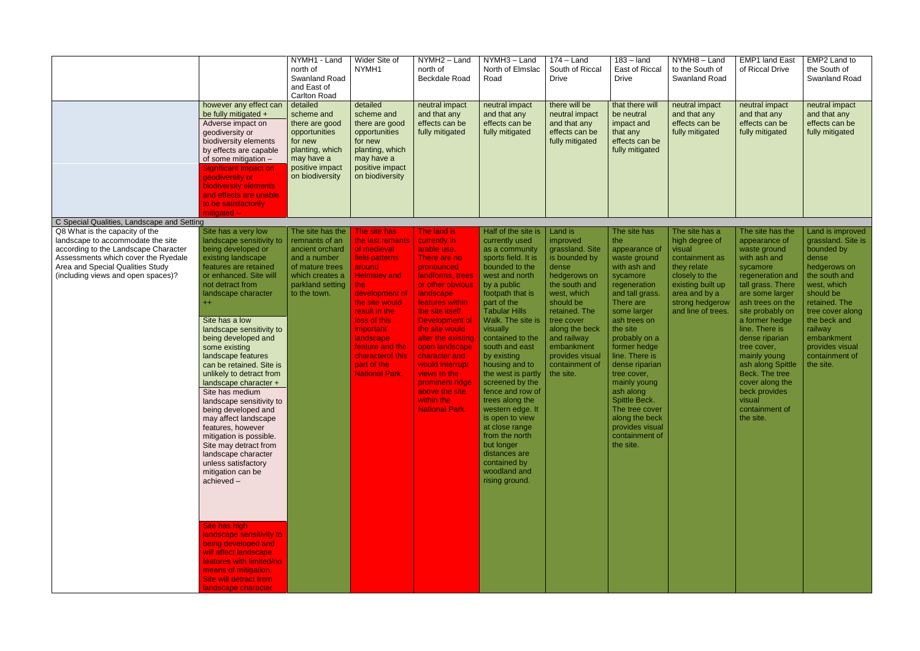|                                                                                                                                                                                                                              | however any effect can<br>be fully mitigated +<br>Adverse impact on<br>geodiversity or<br>biodiversity elements<br>by effects are capable<br>of some mitigation -<br><b>Significant impact on</b><br>geodiversity or<br><b>biodiversity elements</b><br>and effects are unable<br>to be satisfactorily                                                                                                                                                                                                                                                                                                                                                                                                                                                                                                                                                  | NYMH1 - Land<br>north of<br><b>Swanland Road</b><br>and East of<br><b>Carlton Road</b><br>detailed<br>scheme and<br>there are good<br>opportunities<br>for new<br>planting, which<br>may have a<br>positive impact<br>on biodiversity | Wider Site of<br>NYMH1<br>detailed<br>scheme and<br>there are good<br>opportunities<br>for new<br>planting, which<br>may have a<br>positive impact<br>on biodiversity                                                                                                                           | NYMH2 - Land<br>north of<br><b>Beckdale Road</b><br>neutral impact<br>and that any<br>effects can be<br>fully mitigated                                                                                                                                                                                                                                                          | NYMH3 - Land<br>North of Elmslac<br>Road<br>neutral impact<br>and that any<br>effects can be<br>fully mitigated                                                                                                                                                                                                                                                                                                                                                                                                                                  | $174 -$ Land<br>South of Riccal<br><b>Drive</b><br>there will be<br>neutral impact<br>and that any<br>effects can be<br>fully mitigated                                                                                                                       | $183 -$ land<br>East of Riccal<br><b>Drive</b><br>that there will<br>be neutral<br>impact and<br>that any<br>effects can be<br>fully mitigated                                                                                                                                                                                                                                                      | NYMH8 - Land<br>to the South of<br><b>Swanland Road</b><br>neutral impact<br>and that any<br>effects can be<br>fully mitigated                                               | <b>EMP1 land East</b><br>of Riccal Drive<br>neutral impact<br>and that any<br>effects can be<br>fully mitigated                                                                                                                                                                                                                                                                            | EMP2 Land to<br>the South of<br>Swanland Road<br>neutral impact<br>and that any<br>effects can be<br>fully mitigated                                                                                                                                       |
|------------------------------------------------------------------------------------------------------------------------------------------------------------------------------------------------------------------------------|---------------------------------------------------------------------------------------------------------------------------------------------------------------------------------------------------------------------------------------------------------------------------------------------------------------------------------------------------------------------------------------------------------------------------------------------------------------------------------------------------------------------------------------------------------------------------------------------------------------------------------------------------------------------------------------------------------------------------------------------------------------------------------------------------------------------------------------------------------|---------------------------------------------------------------------------------------------------------------------------------------------------------------------------------------------------------------------------------------|-------------------------------------------------------------------------------------------------------------------------------------------------------------------------------------------------------------------------------------------------------------------------------------------------|----------------------------------------------------------------------------------------------------------------------------------------------------------------------------------------------------------------------------------------------------------------------------------------------------------------------------------------------------------------------------------|--------------------------------------------------------------------------------------------------------------------------------------------------------------------------------------------------------------------------------------------------------------------------------------------------------------------------------------------------------------------------------------------------------------------------------------------------------------------------------------------------------------------------------------------------|---------------------------------------------------------------------------------------------------------------------------------------------------------------------------------------------------------------------------------------------------------------|-----------------------------------------------------------------------------------------------------------------------------------------------------------------------------------------------------------------------------------------------------------------------------------------------------------------------------------------------------------------------------------------------------|------------------------------------------------------------------------------------------------------------------------------------------------------------------------------|--------------------------------------------------------------------------------------------------------------------------------------------------------------------------------------------------------------------------------------------------------------------------------------------------------------------------------------------------------------------------------------------|------------------------------------------------------------------------------------------------------------------------------------------------------------------------------------------------------------------------------------------------------------|
| C Special Qualities, Landscape and Setting                                                                                                                                                                                   | mitigated --                                                                                                                                                                                                                                                                                                                                                                                                                                                                                                                                                                                                                                                                                                                                                                                                                                            |                                                                                                                                                                                                                                       |                                                                                                                                                                                                                                                                                                 |                                                                                                                                                                                                                                                                                                                                                                                  |                                                                                                                                                                                                                                                                                                                                                                                                                                                                                                                                                  |                                                                                                                                                                                                                                                               |                                                                                                                                                                                                                                                                                                                                                                                                     |                                                                                                                                                                              |                                                                                                                                                                                                                                                                                                                                                                                            |                                                                                                                                                                                                                                                            |
| Q8 What is the capacity of the<br>landscape to accommodate the site<br>according to the Landscape Character<br>Assessments which cover the Ryedale<br>Area and Special Qualities Study<br>(including views and open spaces)? | Site has a very low<br>landscape sensitivity to<br>being developed or<br>existing landscape<br>features are retained<br>or enhanced. Site will<br>not detract from<br>landscape character<br>$++$<br>Site has a low<br>landscape sensitivity to<br>being developed and<br>some existing<br>landscape features<br>can be retained. Site is<br>unlikely to detract from<br>landscape character +<br>Site has medium<br>landscape sensitivity to<br>being developed and<br>may affect landscape<br>features, however<br>mitigation is possible.<br>Site may detract from<br>landscape character<br>unless satisfactory<br>mitigation can be<br>achieved-<br>Site has high<br>landscape sensitivity to<br>being developed and<br>will affect landscape<br>features with limited/no<br>means of mitigation.<br>Site will detract from<br>landscape character | The site has the<br>remnants of an<br>ancient orchard<br>and a number<br>of mature trees<br>which creates a<br>parkland setting<br>to the town.                                                                                       | The site has<br>the last remants<br>of medieval<br>field patterns<br>around<br><b>Helmsley and</b><br>the:<br>development of<br>the site would<br>result in the<br>loss of this<br><i>important</i><br>landscape<br>feature and the<br>characterof this<br>part of the<br><b>National Park.</b> | The land is<br>currently in<br>arable use.<br>There are no<br>pronounced<br>landforms, trees<br>or other obvious<br>landscape<br>features within<br>the site itself.<br>Development of<br>the site would<br>alter the existing<br>open landscape<br>character and<br>would interrupt<br>views to the<br>prominent ridge<br>above the site<br>within the<br><b>National Park.</b> | Half of the site is<br>currently used<br>as a community<br>sports field. It is<br>bounded to the<br>west and north<br>by a public<br>footpath that is<br>part of the<br><b>Tabular Hills</b><br>Walk. The site is<br>visually<br>contained to the<br>south and east<br>by existing<br>housing and to<br>the west is partly<br>screened by the<br>fence and row of<br>trees along the<br>western edge. It<br>is open to view<br>at close range<br>from the north<br>but longer<br>distances are<br>contained by<br>woodland and<br>rising ground. | Land is<br>improved<br>grassland. Site<br>is bounded by<br>dense<br>hedgerows on<br>the south and<br>west, which<br>should be<br>retained. The<br>tree cover<br>along the beck<br>and railway<br>embankment<br>provides visual<br>containment of<br>the site. | The site has<br>the<br>appearance of<br>waste ground<br>with ash and<br>sycamore<br>regeneration<br>and tall grass.<br>There are<br>some larger<br>ash trees on<br>the site<br>probably on a<br>former hedge<br>line. There is<br>dense riparian<br>tree cover,<br>mainly young<br>ash along<br>Spittle Beck.<br>The tree cover<br>along the beck<br>provides visual<br>containment of<br>the site. | The site has a<br>high degree of<br>visual<br>containment as<br>they relate<br>closely to the<br>existing built up<br>area and by a<br>strong hedgerow<br>and line of trees. | The site has the<br>appearance of<br>waste ground<br>with ash and<br>sycamore<br>regeneration and<br>tall grass. There<br>are some larger<br>ash trees on the<br>site probably on<br>a former hedge<br>line. There is<br>dense riparian<br>tree cover,<br>mainly young<br>ash along Spittle<br>Beck. The tree<br>cover along the<br>beck provides<br>visual<br>containment of<br>the site. | Land is improved<br>grassland. Site is<br>bounded by<br>dense<br>hedgerows on<br>the south and<br>west, which<br>should be<br>retained. The<br>tree cover along<br>the beck and<br>railway<br>embankment<br>provides visual<br>containment of<br>the site. |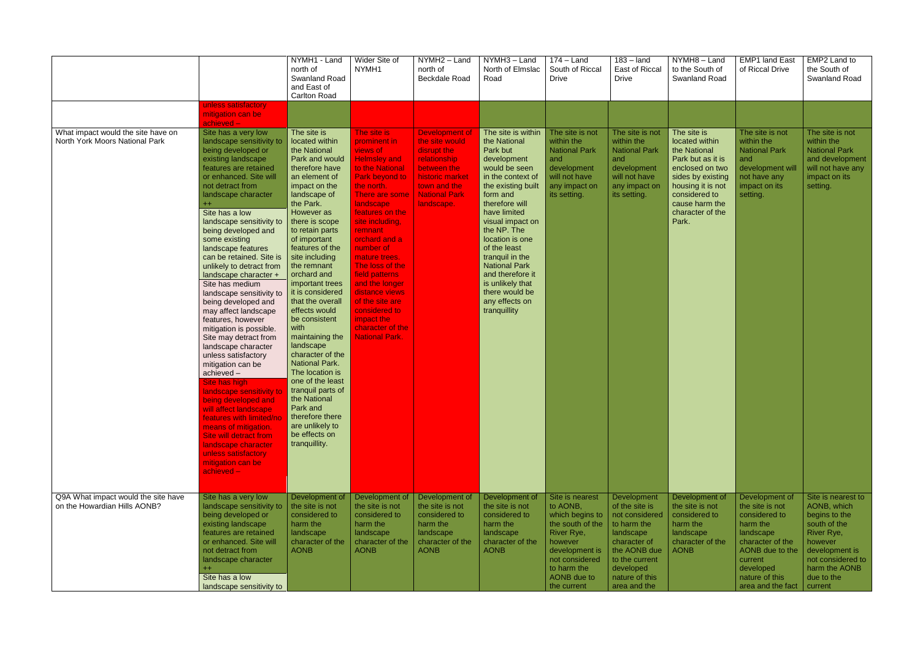|                                                                      |                                                                                                                                                                                                                                                                                                                                                                                                                                                                                                                                                                                                                                                                                                                                                                                                                                                                                                                 | NYMH1 - Land<br>north of<br><b>Swanland Road</b><br>and East of<br><b>Carlton Road</b>                                                                                                                                                                                                                                                                                                                                                                                                                                                                                                                                                   | Wider Site of<br>NYMH1                                                                                                                                                                                                                                                                                                                                                                                                   | NYMH2 - Land<br>north of<br><b>Beckdale Road</b>                                                                                                               | NYMH3-Land<br>North of Elmslac<br>Road                                                                                                                                                                                                                                                                                                                                               | $174 -$ Land<br>South of Riccal<br><b>Drive</b>                                                                                                                              | $183 -$ land<br>East of Riccal<br><b>Drive</b>                                                                                                                               | NYMH8-Land<br>to the South of<br><b>Swanland Road</b>                                                                                                                                           | <b>EMP1 land East</b><br>of Riccal Drive                                                                                                                                          | EMP2 Land to<br>the South of<br>Swanland Road                                                                                                                                |
|----------------------------------------------------------------------|-----------------------------------------------------------------------------------------------------------------------------------------------------------------------------------------------------------------------------------------------------------------------------------------------------------------------------------------------------------------------------------------------------------------------------------------------------------------------------------------------------------------------------------------------------------------------------------------------------------------------------------------------------------------------------------------------------------------------------------------------------------------------------------------------------------------------------------------------------------------------------------------------------------------|------------------------------------------------------------------------------------------------------------------------------------------------------------------------------------------------------------------------------------------------------------------------------------------------------------------------------------------------------------------------------------------------------------------------------------------------------------------------------------------------------------------------------------------------------------------------------------------------------------------------------------------|--------------------------------------------------------------------------------------------------------------------------------------------------------------------------------------------------------------------------------------------------------------------------------------------------------------------------------------------------------------------------------------------------------------------------|----------------------------------------------------------------------------------------------------------------------------------------------------------------|--------------------------------------------------------------------------------------------------------------------------------------------------------------------------------------------------------------------------------------------------------------------------------------------------------------------------------------------------------------------------------------|------------------------------------------------------------------------------------------------------------------------------------------------------------------------------|------------------------------------------------------------------------------------------------------------------------------------------------------------------------------|-------------------------------------------------------------------------------------------------------------------------------------------------------------------------------------------------|-----------------------------------------------------------------------------------------------------------------------------------------------------------------------------------|------------------------------------------------------------------------------------------------------------------------------------------------------------------------------|
|                                                                      | unless satisfactory<br>mitigation can be<br>achieved-                                                                                                                                                                                                                                                                                                                                                                                                                                                                                                                                                                                                                                                                                                                                                                                                                                                           |                                                                                                                                                                                                                                                                                                                                                                                                                                                                                                                                                                                                                                          |                                                                                                                                                                                                                                                                                                                                                                                                                          |                                                                                                                                                                |                                                                                                                                                                                                                                                                                                                                                                                      |                                                                                                                                                                              |                                                                                                                                                                              |                                                                                                                                                                                                 |                                                                                                                                                                                   |                                                                                                                                                                              |
| What impact would the site have on<br>North York Moors National Park | Site has a very low<br>landscape sensitivity to<br>being developed or<br>existing landscape<br>features are retained<br>or enhanced. Site will<br>not detract from<br>landscape character<br>$+$<br>Site has a low<br>landscape sensitivity to<br>being developed and<br>some existing<br>landscape features<br>can be retained. Site is<br>unlikely to detract from<br>landscape character +<br>Site has medium<br>landscape sensitivity to<br>being developed and<br>may affect landscape<br>features, however<br>mitigation is possible.<br>Site may detract from<br>landscape character<br>unless satisfactory<br>mitigation can be<br>achieved-<br>Site has high<br>landscape sensitivity to<br>being developed and<br>will affect landscape<br>features with limited/no<br>means of mitigation.<br>Site will detract from<br>landscape character<br>unless satisfactory<br>mitigation can be<br>achieved- | The site is<br>located within<br>the National<br>Park and would<br>therefore have<br>an element of<br>impact on the<br>landscape of<br>the Park.<br>However as<br>there is scope<br>to retain parts<br>of important<br>features of the<br>site including<br>the remnant<br>orchard and<br>important trees<br>it is considered<br>that the overall<br>effects would<br>be consistent<br>with<br>maintaining the<br>landscape<br>character of the<br><b>National Park.</b><br>The location is<br>one of the least<br>tranguil parts of<br>the National<br>Park and<br>therefore there<br>are unlikely to<br>be effects on<br>tranquillity. | The site is<br>prominent in<br>views of<br><b>Helmsley and</b><br>to the National<br>Park beyond to<br>the north.<br>There are some<br>landscape<br>features on the<br>site including,<br>remnant<br>orchard and a<br>number of<br>mature trees.<br>The loss of the<br>field patterns<br>and the longer<br>distance views<br>of the site are<br>considered to<br>impact the<br>character of the<br><b>National Park.</b> | <b>Development of</b><br>the site would<br>disrupt the<br>relationship<br>between the<br>historic market<br>town and the<br><b>National Park</b><br>landscape. | The site is within<br>the National<br>Park but<br>development<br>would be seen<br>in the context of<br>the existing built<br>form and<br>therefore will<br>have limited<br>visual impact on<br>the NP. The<br>location is one<br>of the least<br>tranquil in the<br><b>National Park</b><br>and therefore it<br>is unlikely that<br>there would be<br>any effects on<br>tranquillity | The site is not<br>within the<br><b>National Park</b><br>and<br>development<br>will not have<br>any impact on<br>its setting.                                                | The site is not<br>within the<br><b>National Park</b><br>and<br>development<br>will not have<br>any impact on<br>its setting.                                                | The site is<br>located within<br>the National<br>Park but as it is<br>enclosed on two<br>sides by existing<br>housing it is not<br>considered to<br>cause harm the<br>character of the<br>Park. | The site is not<br>within the<br>National Park<br>and<br>development will<br>not have any<br>impact on its<br>setting.                                                            | The site is not<br>within the<br><b>National Park</b><br>and development<br>will not have any<br>impact on its<br>setting.                                                   |
| Q9A What impact would the site have<br>on the Howardian Hills AONB?  | Site has a very low<br>landscape sensitivity to<br>being developed or<br>existing landscape<br>features are retained<br>or enhanced. Site will<br>not detract from<br>landscape character<br>$^{++}$<br>Site has a low<br>landscape sensitivity to                                                                                                                                                                                                                                                                                                                                                                                                                                                                                                                                                                                                                                                              | Development of<br>the site is not<br>considered to<br>harm the<br>landscape<br>character of the<br><b>AONB</b>                                                                                                                                                                                                                                                                                                                                                                                                                                                                                                                           | Development of<br>the site is not<br>considered to<br>harm the<br>landscape<br>character of the<br><b>AONB</b>                                                                                                                                                                                                                                                                                                           | Development of<br>the site is not<br>considered to<br>harm the<br>landscape<br>character of the<br><b>AONB</b>                                                 | Development of<br>the site is not<br>considered to<br>harm the<br>landscape<br>character of the<br><b>AONB</b>                                                                                                                                                                                                                                                                       | Site is nearest<br>to AONB,<br>which begins to<br>the south of the<br>River Rye,<br>however<br>development is<br>not considered<br>to harm the<br>AONB due to<br>the current | Development<br>of the site is<br>not considered<br>to harm the<br>landscape<br>character of<br>the AONB due<br>to the current<br>developed<br>nature of this<br>area and the | Development of<br>the site is not<br>considered to<br>harm the<br>landscape<br>character of the<br><b>AONB</b>                                                                                  | Development of<br>the site is not<br>considered to<br>harm the<br>landscape<br>character of the<br>AONB due to the<br>current<br>developed<br>nature of this<br>area and the fact | Site is nearest to<br>AONB, which<br>begins to the<br>south of the<br>River Rye,<br>however<br>development is<br>not considered to<br>harm the AONB<br>due to the<br>current |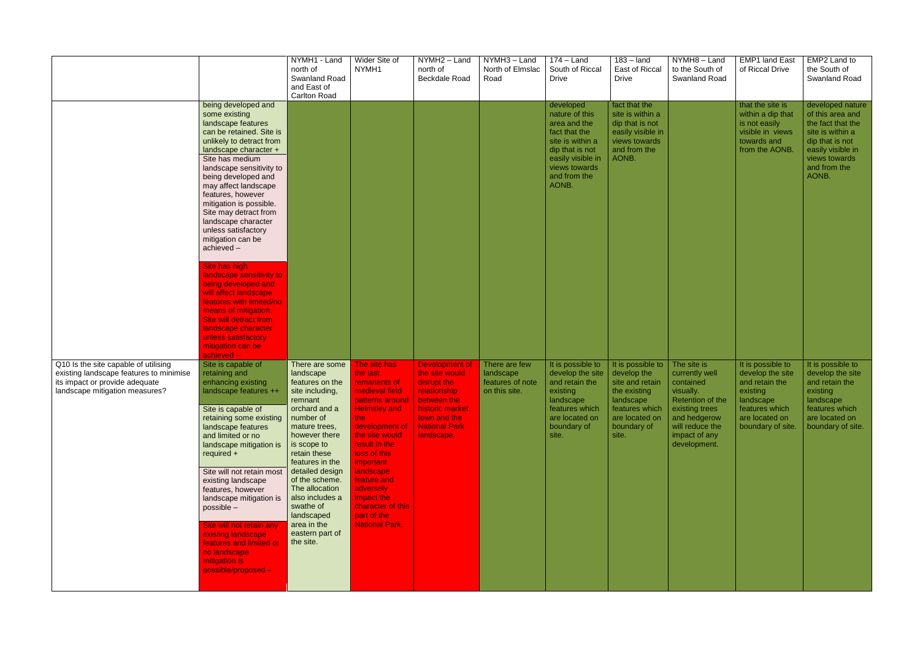|                                                                                                                                                     |                                                                                                                                                                                                                                                                                                                                                                                                                                                                                                                                                                                                                                                                        | NYMH1 - Land<br>north of<br>Swanland Road<br>and East of<br><b>Carlton Road</b>                                                                                                                                                                                                                                                                    | Wider Site of<br>NYMH1                                                                                                                                                                                                                                                                                                     | NYMH2 - Land<br>north of<br><b>Beckdale Road</b>                                                                                                        | NYMH3 - Land<br>North of Elmslac<br>Road                        | $174 -$ Land<br>South of Riccal<br><b>Drive</b>                                                                                                                    | $183 -$ land<br>East of Riccal<br><b>Drive</b>                                                                                               | NYMH8-Land<br>to the South of<br><b>Swanland Road</b>                                                                                                             | <b>EMP1 land East</b><br>of Riccal Drive                                                                                                    | EMP2 Land to<br>the South of<br><b>Swanland Road</b>                                                                                                            |
|-----------------------------------------------------------------------------------------------------------------------------------------------------|------------------------------------------------------------------------------------------------------------------------------------------------------------------------------------------------------------------------------------------------------------------------------------------------------------------------------------------------------------------------------------------------------------------------------------------------------------------------------------------------------------------------------------------------------------------------------------------------------------------------------------------------------------------------|----------------------------------------------------------------------------------------------------------------------------------------------------------------------------------------------------------------------------------------------------------------------------------------------------------------------------------------------------|----------------------------------------------------------------------------------------------------------------------------------------------------------------------------------------------------------------------------------------------------------------------------------------------------------------------------|---------------------------------------------------------------------------------------------------------------------------------------------------------|-----------------------------------------------------------------|--------------------------------------------------------------------------------------------------------------------------------------------------------------------|----------------------------------------------------------------------------------------------------------------------------------------------|-------------------------------------------------------------------------------------------------------------------------------------------------------------------|---------------------------------------------------------------------------------------------------------------------------------------------|-----------------------------------------------------------------------------------------------------------------------------------------------------------------|
|                                                                                                                                                     | being developed and<br>some existing<br>landscape features<br>can be retained. Site is<br>unlikely to detract from<br>landscape character +<br>Site has medium<br>landscape sensitivity to<br>being developed and<br>may affect landscape<br>features, however<br>mitigation is possible.<br>Site may detract from<br>landscape character<br>unless satisfactory<br>mitigation can be<br>achieved-<br>Site has high<br>landscape sensitivity to<br>being developed and<br>will affect landscape<br>features with limited/no<br>means of mitigation.<br><b>Site will detract from</b><br>landscape character<br>unless satisfactory<br>mitigation can be<br>achieved -- |                                                                                                                                                                                                                                                                                                                                                    |                                                                                                                                                                                                                                                                                                                            |                                                                                                                                                         |                                                                 | developed<br>nature of this<br>area and the<br>fact that the<br>site is within a<br>dip that is not<br>easily visible in<br>views towards<br>and from the<br>AONB. | fact that the<br>site is within a<br>dip that is not<br>easily visible in<br>views towards<br>and from the<br>AONB.                          |                                                                                                                                                                   | that the site is<br>within a dip that<br>is not easily<br>visible in views<br>towards and<br>from the AONB.                                 | developed nature<br>of this area and<br>the fact that the<br>site is within a<br>dip that is not<br>easily visible in<br>views towards<br>and from the<br>AONB. |
| Q10 Is the site capable of utilising<br>existing landscape features to minimise<br>its impact or provide adequate<br>landscape mitigation measures? | Site is capable of<br>retaining and<br>enhancing existing<br>landscape features ++<br>Site is capable of<br>retaining some existing<br>landscape features<br>and limited or no<br>landscape mitigation is<br>required +<br>Site will not retain most<br>existing landscape<br>features, however<br>landscape mitigation is<br>possible -<br>Site will not retain any<br>existing landscape<br>features and limited or<br>no landscape<br>mitigation is<br>possible/proposed -                                                                                                                                                                                          | There are some<br>landscape<br>features on the<br>site including,<br>remnant<br>orchard and a<br>number of<br>mature trees,<br>however there<br>is scope to<br>retain these<br>features in the<br>detailed design<br>of the scheme.<br>The allocation<br>also includes a<br>swathe of<br>landscaped<br>area in the<br>eastern part of<br>the site. | The site has<br>the last<br>remanants of<br>medieval field<br>patterns around<br><b>Helmsley and</b><br>the l<br>development of<br>the site would<br>result in the<br>loss of this<br><i>important</i><br>landscape<br>feature.and<br>adversely<br>impact the<br>character of this<br>part of the<br><b>National Park.</b> | Development of<br>the site would<br>disrupt the<br>relationship<br>between the<br>historic market<br>town and the<br><b>National Park</b><br>landscape. | There are few<br>landscape<br>features of note<br>on this site. | It is possible to<br>develop the site<br>and retain the<br>existing<br>landscape<br>features which<br>are located on<br>boundary of<br>site.                       | It is possible to<br>develop the<br>site and retain<br>the existing<br>landscape<br>features which<br>are located on<br>boundary of<br>site. | The site is<br>currently well<br>contained<br>visually.<br>Retention of the<br>existing trees<br>and hedgerow<br>will reduce the<br>impact of any<br>development. | It is possible to<br>develop the site<br>and retain the<br>existing<br>  landscape<br>features which<br>are located on<br>boundary of site. | It is possible to<br>develop the site<br>and retain the<br>existing<br>landscape<br>features which<br>are located on<br>boundary of site.                       |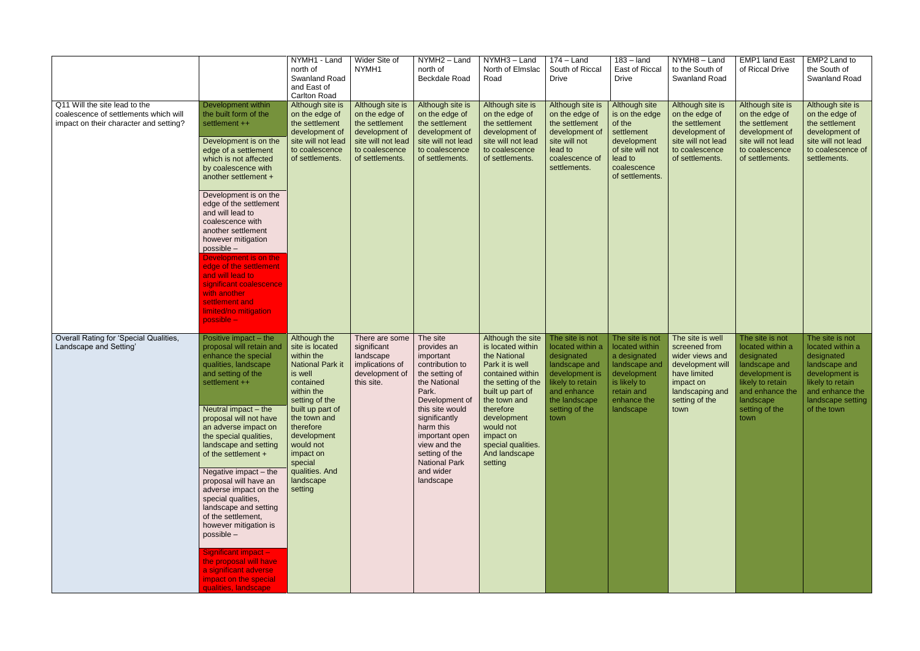|                                                                                                                  |                                                                                                                                                                                                                                                                                                                                                                                                                                                                                                                                                                                                                    | NYMH1 - Land<br>north of<br>Swanland Road<br>and East of<br><b>Carlton Road</b>                                                                                                                                                                                                 | Wider Site of<br>NYMH1                                                                                                            | NYMH2 - Land<br>north of<br><b>Beckdale Road</b>                                                                                                                                                                                                                                                 | NYMH3 - Land<br>North of Elmslac<br>Road                                                                                                                                                                                                        | $174 -$ Land<br>South of Riccal<br><b>Drive</b>                                                                                                                    | $183 -$ land<br>East of Riccal<br><b>Drive</b>                                                                                              | NYMH8-Land<br>to the South of<br><b>Swanland Road</b>                                                                                              | <b>EMP1</b> land East<br>of Riccal Drive                                                                                                                           | EMP2 Land to<br>the South of<br><b>Swanland Road</b>                                                                                                            |
|------------------------------------------------------------------------------------------------------------------|--------------------------------------------------------------------------------------------------------------------------------------------------------------------------------------------------------------------------------------------------------------------------------------------------------------------------------------------------------------------------------------------------------------------------------------------------------------------------------------------------------------------------------------------------------------------------------------------------------------------|---------------------------------------------------------------------------------------------------------------------------------------------------------------------------------------------------------------------------------------------------------------------------------|-----------------------------------------------------------------------------------------------------------------------------------|--------------------------------------------------------------------------------------------------------------------------------------------------------------------------------------------------------------------------------------------------------------------------------------------------|-------------------------------------------------------------------------------------------------------------------------------------------------------------------------------------------------------------------------------------------------|--------------------------------------------------------------------------------------------------------------------------------------------------------------------|---------------------------------------------------------------------------------------------------------------------------------------------|----------------------------------------------------------------------------------------------------------------------------------------------------|--------------------------------------------------------------------------------------------------------------------------------------------------------------------|-----------------------------------------------------------------------------------------------------------------------------------------------------------------|
| Q11 Will the site lead to the<br>coalescence of settlements which will<br>impact on their character and setting? | Development within<br>the built form of the<br>settlement ++<br>Development is on the<br>edge of a settlement<br>which is not affected<br>by coalescence with<br>another settlement +<br>Development is on the<br>edge of the settlement<br>and will lead to<br>coalescence with<br>another settlement<br>however mitigation<br>possible -<br>Development is on the<br>edge of the settlement<br>and will lead to<br>significant coalescence<br>with another<br>settlement and<br>limited/no mitigation<br>$possible -$                                                                                            | Although site is<br>on the edge of<br>the settlement<br>development of<br>site will not lead<br>to coalescence<br>of settlements.                                                                                                                                               | Although site is<br>on the edge of<br>the settlement<br>development of<br>site will not lead<br>to coalescence<br>of settlements. | Although site is<br>on the edge of<br>the settlement<br>development of<br>site will not lead<br>to coalescence<br>of settlements.                                                                                                                                                                | Although site is<br>on the edge of<br>the settlement<br>development of<br>site will not lead<br>to coalescence<br>of settlements.                                                                                                               | Although site is<br>on the edge of<br>the settlement<br>development of<br>site will not<br>lead to<br>coalescence of<br>settlements.                               | Although site<br>is on the edge<br>of the<br>settlement<br>development<br>of site will not<br>lead to<br>coalescence<br>of settlements.     | Although site is<br>on the edge of<br>the settlement<br>development of<br>site will not lead<br>to coalescence<br>of settlements.                  | Although site is<br>on the edge of<br>the settlement<br>development of<br>site will not lead<br>to coalescence<br>of settlements.                                  | Although site is<br>on the edge of<br>the settlement<br>development of<br>site will not lead<br>to coalescence of<br>settlements.                               |
| Overall Rating for 'Special Qualities,<br>Landscape and Setting'                                                 | Positive impact – the<br>proposal will retain and<br>enhance the special<br>qualities, landscape<br>and setting of the<br>settlement ++<br>Neutral impact $-$ the<br>proposal will not have<br>an adverse impact on<br>the special qualities,<br>landscape and setting<br>of the settlement +<br>Negative impact $-$ the<br>proposal will have an<br>adverse impact on the<br>special qualities,<br>landscape and setting<br>of the settlement,<br>however mitigation is<br>possible -<br>Significant impact -<br>the proposal will have<br>a significant adverse<br>impact on the special<br>qualities, landscape | Although the<br>site is located<br>within the<br><b>National Park it</b><br>is well<br>contained<br>within the<br>setting of the<br>built up part of<br>the town and<br>therefore<br>development<br>would not<br>impact on<br>special<br>qualities. And<br>landscape<br>setting | There are some<br>significant<br>landscape<br>implications of<br>development of<br>this site.                                     | The site<br>provides an<br>important<br>contribution to<br>the setting of<br>the National<br>Park.<br>Development of $\vert$ the town and<br>this site would<br>significantly<br>harm this<br>important open<br>view and the<br>setting of the<br><b>National Park</b><br>and wider<br>landscape | Although the site<br>is located within<br>the National<br>Park it is well<br>contained within<br>the setting of the<br>built up part of<br>therefore<br>development<br>would not<br>impact on<br>special qualities.<br>And landscape<br>setting | The site is not<br>located within a<br>designated<br>landscape and<br>development is<br>likely to retain<br>and enhance<br>the landscape<br>setting of the<br>town | The site is not<br>located within<br>a designated<br>landscape and<br>development<br>is likely to<br>retain and<br>enhance the<br>landscape | The site is well<br>screened from<br>wider views and<br>development will<br>have limited<br>impact on<br>landscaping and<br>setting of the<br>town | The site is not<br>located within a<br>designated<br>landscape and<br>development is<br>likely to retain<br>and enhance the<br>landscape<br>setting of the<br>town | The site is not<br>located within a<br>designated<br>landscape and<br>development is<br>likely to retain<br>and enhance the<br>landscape setting<br>of the town |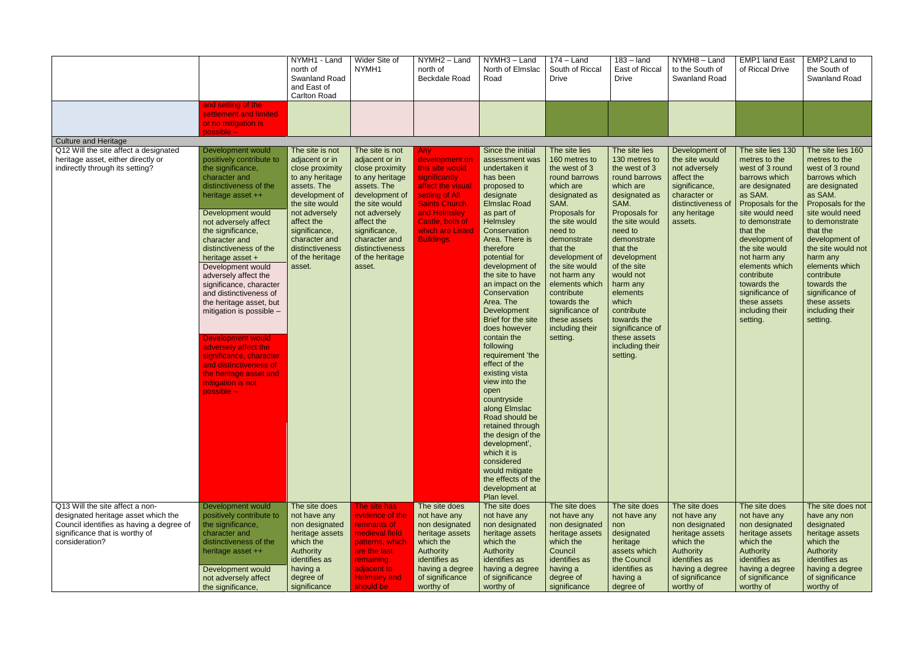|                                                                                                                                                                        |                                                                                                                                                                                                                                                                                                                                                                                                                                                                                                                                                                                                    | NYMH1 - Land<br>north of<br><b>Swanland Road</b><br>and East of<br>Carlton Road                                                                                                                                                             | Wider Site of<br>NYMH1                                                                                                                                                                                                                      | NYMH2 - Land<br>north of<br><b>Beckdale Road</b>                                                                                                                                                     | NYMH3 - Land<br>North of Elmslac<br>Road                                                                                                                                                                                                                                                                                                                                                                                                                                                                                                                                                                                                                                 | $174 -$ Land<br>South of Riccal<br><b>Drive</b>                                                                                                                                                                                                                                                                                                      | $183 -$ land<br>East of Riccal<br><b>Drive</b>                                                                                                                                                                                                                                                                                                             | NYMH8-Land<br>to the South of<br><b>Swanland Road</b>                                                                                                            | <b>EMP1 land East</b><br>of Riccal Drive                                                                                                                                                                                                                                                                                                       | EMP2 Land to<br>the South of<br>Swanland Road                                                                                                                                                                                                                                                                                                  |
|------------------------------------------------------------------------------------------------------------------------------------------------------------------------|----------------------------------------------------------------------------------------------------------------------------------------------------------------------------------------------------------------------------------------------------------------------------------------------------------------------------------------------------------------------------------------------------------------------------------------------------------------------------------------------------------------------------------------------------------------------------------------------------|---------------------------------------------------------------------------------------------------------------------------------------------------------------------------------------------------------------------------------------------|---------------------------------------------------------------------------------------------------------------------------------------------------------------------------------------------------------------------------------------------|------------------------------------------------------------------------------------------------------------------------------------------------------------------------------------------------------|--------------------------------------------------------------------------------------------------------------------------------------------------------------------------------------------------------------------------------------------------------------------------------------------------------------------------------------------------------------------------------------------------------------------------------------------------------------------------------------------------------------------------------------------------------------------------------------------------------------------------------------------------------------------------|------------------------------------------------------------------------------------------------------------------------------------------------------------------------------------------------------------------------------------------------------------------------------------------------------------------------------------------------------|------------------------------------------------------------------------------------------------------------------------------------------------------------------------------------------------------------------------------------------------------------------------------------------------------------------------------------------------------------|------------------------------------------------------------------------------------------------------------------------------------------------------------------|------------------------------------------------------------------------------------------------------------------------------------------------------------------------------------------------------------------------------------------------------------------------------------------------------------------------------------------------|------------------------------------------------------------------------------------------------------------------------------------------------------------------------------------------------------------------------------------------------------------------------------------------------------------------------------------------------|
|                                                                                                                                                                        | and setting of the<br>settlement and limited<br>or no mitigation is<br>possible -                                                                                                                                                                                                                                                                                                                                                                                                                                                                                                                  |                                                                                                                                                                                                                                             |                                                                                                                                                                                                                                             |                                                                                                                                                                                                      |                                                                                                                                                                                                                                                                                                                                                                                                                                                                                                                                                                                                                                                                          |                                                                                                                                                                                                                                                                                                                                                      |                                                                                                                                                                                                                                                                                                                                                            |                                                                                                                                                                  |                                                                                                                                                                                                                                                                                                                                                |                                                                                                                                                                                                                                                                                                                                                |
| <b>Culture and Heritage</b>                                                                                                                                            |                                                                                                                                                                                                                                                                                                                                                                                                                                                                                                                                                                                                    |                                                                                                                                                                                                                                             |                                                                                                                                                                                                                                             |                                                                                                                                                                                                      |                                                                                                                                                                                                                                                                                                                                                                                                                                                                                                                                                                                                                                                                          |                                                                                                                                                                                                                                                                                                                                                      |                                                                                                                                                                                                                                                                                                                                                            |                                                                                                                                                                  |                                                                                                                                                                                                                                                                                                                                                |                                                                                                                                                                                                                                                                                                                                                |
| Q12 Will the site affect a designated<br>heritage asset, either directly or<br>indirectly through its setting?                                                         | Development would<br>positively contribute to<br>the significance,<br>character and<br>distinctiveness of the<br>heritage asset ++<br>Development would<br>not adversely affect<br>the significance,<br>character and<br>distinctiveness of the<br>heritage asset +<br>Development would<br>adversely affect the<br>significance, character<br>and distinctiveness of<br>the heritage asset, but<br>mitigation is possible -<br><b>Development would</b><br>adversely affect the<br>significance, character<br>and distinctiveness of<br>the heritage asset and<br>mitigation is not<br>possible - | The site is not<br>adjacent or in<br>close proximity<br>to any heritage<br>assets. The<br>development of<br>the site would<br>not adversely<br>affect the<br>significance,<br>character and<br>distinctiveness<br>of the heritage<br>asset. | The site is not<br>adjacent or in<br>close proximity<br>to any heritage<br>assets. The<br>development of<br>the site would<br>not adversely<br>affect the<br>significance,<br>character and<br>distinctiveness<br>of the heritage<br>asset. | <b>Any</b><br>development on<br>this site would<br>significantly<br>affect the visual<br>setting of All<br><b>Saints Church</b><br>and Helmsley<br>Castle, both of<br>which are Listed<br>Buildings. | Since the initial<br>assessment was<br>undertaken it<br>has been<br>proposed to<br>designate<br><b>Elmslac Road</b><br>as part of<br>Helmsley<br>Conservation<br>Area. There is<br>therefore<br>potential for<br>development of<br>the site to have<br>an impact on the<br>Conservation<br>Area. The<br>Development<br>Brief for the site<br>does however<br>contain the<br>following<br>requirement 'the<br>effect of the<br>existing vista<br>view into the<br>open<br>countryside<br>along Elmslac<br>Road should be<br>retained through<br>the design of the<br>development',<br>which it is<br>considered<br>would mitigate<br>the effects of the<br>development at | The site lies<br>160 metres to<br>the west of 3<br>round barrows<br>which are<br>designated as<br>SAM.<br>Proposals for<br>the site would<br>need to<br>demonstrate<br>that the<br>development of<br>the site would<br>not harm any<br>elements which<br>contribute<br>towards the<br>significance of<br>these assets<br>including their<br>setting. | The site lies<br>130 metres to<br>the west of 3<br>round barrows<br>which are<br>designated as<br>SAM.<br>Proposals for<br>the site would<br>need to<br>demonstrate<br>that the<br>development<br>of the site<br>would not<br>harm any<br>elements<br>which<br>contribute<br>towards the<br>significance of<br>these assets<br>including their<br>setting. | Development of<br>the site would<br>not adversely<br>affect the<br>significance,<br>character or<br>distinctiveness of<br>any heritage<br>assets.                | The site lies 130<br>metres to the<br>west of 3 round<br>barrows which<br>are designated<br>as SAM.<br>Proposals for the<br>site would need<br>to demonstrate<br>that the<br>development of<br>the site would<br>not harm any<br>elements which<br>contribute<br>towards the<br>significance of<br>these assets<br>including their<br>setting. | The site lies 160<br>metres to the<br>west of 3 round<br>barrows which<br>are designated<br>as SAM.<br>Proposals for the<br>site would need<br>to demonstrate<br>that the<br>development of<br>the site would not<br>harm any<br>elements which<br>contribute<br>towards the<br>significance of<br>these assets<br>including their<br>setting. |
| Q13 Will the site affect a non-<br>designated heritage asset which the<br>Council identifies as having a degree of<br>significance that is worthy of<br>consideration? | Development would<br>positively contribute to<br>the significance,<br>character and<br>distinctiveness of the<br>heritage asset ++<br>Development would<br>not adversely affect<br>the significance,                                                                                                                                                                                                                                                                                                                                                                                               | The site does<br>not have any<br>non designated<br>heritage assets<br>which the<br>Authority<br>identifies as<br>having a<br>degree of<br>significance                                                                                      | The site has<br>evidence of the<br>remnants of<br>medieval field<br>patterns, which<br>are the last<br>remaining<br>adjacent to<br><b>Helmsley and</b><br>should be                                                                         | The site does<br>not have any<br>non designated<br>heritage assets<br>which the<br><b>Authority</b><br>identifies as<br>having a degree<br>of significance<br>worthy of                              | Plan level.<br>The site does<br>not have any<br>non designated<br>heritage assets<br>which the<br>Authority<br>identifies as<br>having a degree<br>of significance<br>worthy of                                                                                                                                                                                                                                                                                                                                                                                                                                                                                          | The site does<br>not have any<br>non designated<br>heritage assets<br>which the<br>Council<br>identifies as<br>having a<br>degree of<br>significance                                                                                                                                                                                                 | The site does<br>not have any<br>non<br>designated<br>heritage<br>assets which<br>the Council<br>identifies as<br>having a<br>degree of                                                                                                                                                                                                                    | The site does<br>not have any<br>non designated<br>heritage assets<br>which the<br>Authority<br>identifies as<br>having a degree<br>of significance<br>worthy of | The site does<br>not have any<br>non designated<br>heritage assets<br>which the<br>Authority<br>identifies as<br>having a degree<br>of significance<br>worthy of                                                                                                                                                                               | The site does not<br>have any non<br>designated<br>heritage assets<br>which the<br>Authority<br>identifies as<br>having a degree<br>of significance<br>worthy of                                                                                                                                                                               |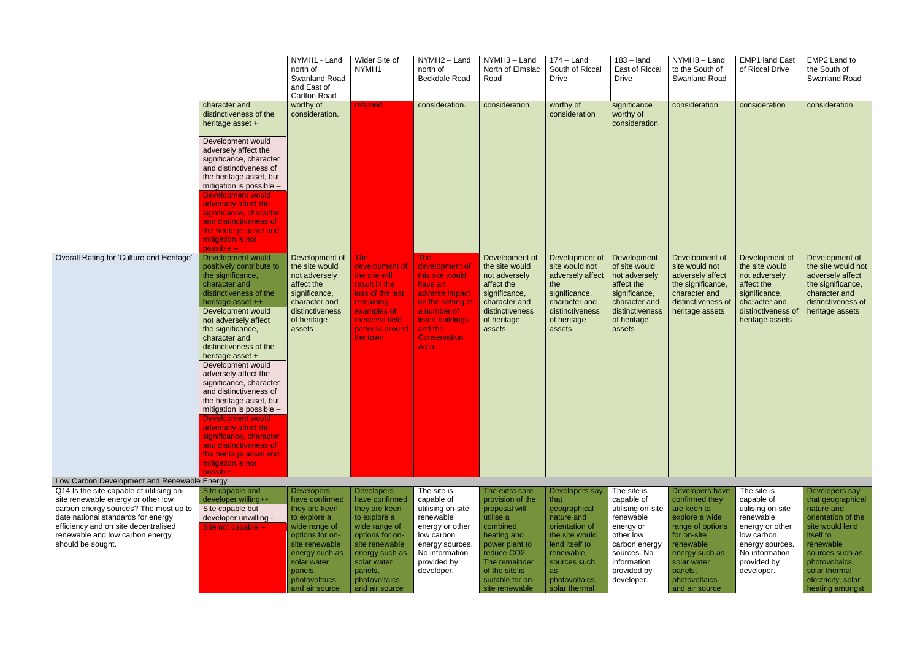|                                                                                                                                                           |                                                                                                                                                                                   | NYMH1 - Land<br>north of<br>Swanland Road<br>and East of<br><b>Carlton Road</b>                                      | Wider Site of<br>NYMH1                                                                                           | NYMH2 - Land<br>north of<br>Beckdale Road                                                                  | NYMH3 - Land<br>North of Elmslac<br>Road                                                                              | $174 -$ Land<br>South of Riccal<br><b>Drive</b>                                                                  | $183 -$ land<br>East of Riccal<br><b>Drive</b>                                                                   | NYMH8-Land<br>to the South of<br><b>Swanland Road</b>                                                                               | <b>EMP1 land East</b><br>of Riccal Drive                                                                                | EMP2 Land to<br>the South of<br>Swanland Road                                                                                           |
|-----------------------------------------------------------------------------------------------------------------------------------------------------------|-----------------------------------------------------------------------------------------------------------------------------------------------------------------------------------|----------------------------------------------------------------------------------------------------------------------|------------------------------------------------------------------------------------------------------------------|------------------------------------------------------------------------------------------------------------|-----------------------------------------------------------------------------------------------------------------------|------------------------------------------------------------------------------------------------------------------|------------------------------------------------------------------------------------------------------------------|-------------------------------------------------------------------------------------------------------------------------------------|-------------------------------------------------------------------------------------------------------------------------|-----------------------------------------------------------------------------------------------------------------------------------------|
|                                                                                                                                                           | character and<br>distinctiveness of the<br>heritage asset +                                                                                                                       | worthy of<br>consideration.                                                                                          | retained.                                                                                                        | consideration.                                                                                             | consideration                                                                                                         | worthy of<br>consideration                                                                                       | significance<br>worthy of<br>consideration                                                                       | consideration                                                                                                                       | consideration                                                                                                           | consideration                                                                                                                           |
|                                                                                                                                                           | Development would<br>adversely affect the<br>significance, character<br>and distinctiveness of<br>the heritage asset, but<br>mitigation is possible -<br><b>Development would</b> |                                                                                                                      |                                                                                                                  |                                                                                                            |                                                                                                                       |                                                                                                                  |                                                                                                                  |                                                                                                                                     |                                                                                                                         |                                                                                                                                         |
|                                                                                                                                                           | adversely affect the<br>significance, character<br>and distinctiveness of<br>the heritage asset and<br>mitigation is not<br>possible --                                           |                                                                                                                      |                                                                                                                  |                                                                                                            |                                                                                                                       |                                                                                                                  |                                                                                                                  |                                                                                                                                     |                                                                                                                         |                                                                                                                                         |
| Overall Rating for 'Culture and Heritage'                                                                                                                 | Development would<br>positively contribute to<br>the significance,<br>character and<br>distinctiveness of the<br>heritage asset ++<br>Development would                           | Development of<br>the site would<br>not adversely<br>affect the<br>significance,<br>character and<br>distinctiveness | The:<br>development of<br>the site will<br>result in the<br>loss of the last<br><b>remaining</b><br>examples of  | The:<br>development of<br>this site would<br>have an<br>adverse impact<br>on the setting of<br>a number of | Development of<br>the site would<br>not adversely<br>affect the<br>significance,<br>character and<br>distinctiveness  | Development of<br>site would not<br>adversely affect<br>the<br>significance,<br>character and<br>distinctiveness | Development<br>of site would<br>not adversely<br>affect the<br>significance,<br>character and<br>distinctiveness | Development of<br>site would not<br>adversely affect<br>the significance,<br>character and<br>distinctiveness of<br>heritage assets | Development of<br>the site would<br>not adversely<br>affect the<br>significance,<br>character and<br>distinctiveness of | Development of<br>the site would not<br>adversely affect<br>the significance,<br>character and<br>distinctiveness of<br>heritage assets |
|                                                                                                                                                           | not adversely affect<br>the significance,<br>character and<br>distinctiveness of the<br>heritage asset +<br>Development would                                                     | of heritage<br>assets                                                                                                | medieval field<br>patterns around<br>the town.                                                                   | listed buildings<br>and the<br><b>Conservation</b><br>Area                                                 | of heritage<br>assets                                                                                                 | of heritage<br>assets                                                                                            | of heritage<br>assets                                                                                            |                                                                                                                                     | heritage assets                                                                                                         |                                                                                                                                         |
|                                                                                                                                                           | adversely affect the<br>significance, character<br>and distinctiveness of<br>the heritage asset, but<br>mitigation is possible -                                                  |                                                                                                                      |                                                                                                                  |                                                                                                            |                                                                                                                       |                                                                                                                  |                                                                                                                  |                                                                                                                                     |                                                                                                                         |                                                                                                                                         |
|                                                                                                                                                           | Development would<br>adversely affect the<br>significance, character<br>and distinctiveness of<br>the heritage asset and<br>mitigation is not<br>possible --                      |                                                                                                                      |                                                                                                                  |                                                                                                            |                                                                                                                       |                                                                                                                  |                                                                                                                  |                                                                                                                                     |                                                                                                                         |                                                                                                                                         |
| Low Carbon Development and Renewable Energy                                                                                                               |                                                                                                                                                                                   |                                                                                                                      |                                                                                                                  |                                                                                                            |                                                                                                                       |                                                                                                                  |                                                                                                                  |                                                                                                                                     |                                                                                                                         |                                                                                                                                         |
| Q14 Is the site capable of utilising on-                                                                                                                  | Site capable and                                                                                                                                                                  | <b>Developers</b>                                                                                                    | <b>Developers</b>                                                                                                | The site is                                                                                                | The extra care                                                                                                        | Developers say                                                                                                   | The site is                                                                                                      | Developers have                                                                                                                     | The site is                                                                                                             | Developers say                                                                                                                          |
| site renewable energy or other low<br>carbon energy sources? The most up to<br>date national standards for energy<br>efficiency and on site decentralised | developer willing++<br>Site capable but<br>developer unwilling -<br>Site not capable --                                                                                           | have confirmed<br>they are keen<br>to explore a<br>wide range of                                                     | have confirmed<br>they are keen<br>to explore a<br>wide range of                                                 | capable of<br>utilising on-site<br>renewable<br>energy or other                                            | provision of the<br>proposal will<br>utilise a<br>combined                                                            | that<br>geographical<br>nature and<br>orientation of                                                             | capable of<br>utilising on-site<br>renewable<br>energy or                                                        | confirmed they<br>are keen to<br>explore a wide<br>range of options                                                                 | capable of<br>utilising on-site<br>renewable<br>energy or other                                                         | that geographical<br>nature and<br>orientation of the<br>site would lend                                                                |
| renewable and low carbon energy<br>should be sought.                                                                                                      |                                                                                                                                                                                   | options for on-<br>site renewable<br>energy such as<br>solar water<br>panels,<br>photovoltaics<br>and air source     | options for on-<br>site renewable<br>energy such as<br>solar water<br>panels,<br>photovoltaics<br>and air source | low carbon<br>energy sources.<br>No information<br>provided by<br>developer.                               | heating and<br>power plant to<br>reduce CO2.<br>The remainder<br>of the site is<br>suitable for on-<br>site renewable | the site would<br>lend itself to<br>renewable<br>sources such<br>as<br>photovoltaics,<br>solar thermal           | other low<br>carbon energy<br>sources. No<br>information<br>provided by<br>developer.                            | for on-site<br>renewable<br>energy such as<br>solar water<br>panels,<br>photovoltaics<br>and air source                             | low carbon<br>energy sources.<br>No information<br>provided by<br>developer.                                            | itself to<br>renewable<br>sources such as<br>photovoltaics,<br>solar thermal<br>electricity, solar<br>heating amongst                   |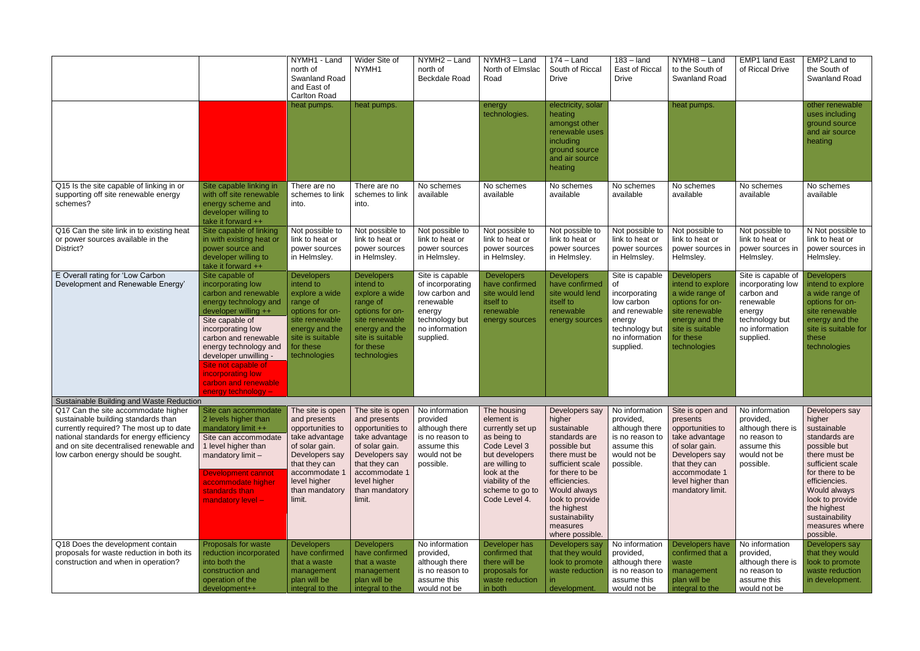|                                                                                                                                                                                                                                                     |                                                                                                                                                                                                                                                                                                                            | NYMH1 - Land<br>north of<br><b>Swanland Road</b><br>and East of<br><b>Carlton Road</b>                                                                                                   | Wider Site of<br>NYMH1                                                                                                                                                                   | NYMH2 - Land<br>north of<br><b>Beckdale Road</b>                                                                              | NYMH3 - Land<br>North of Elmslac<br>Road                                                                                                                                                | $174 -$ Land<br>South of Riccal<br><b>Drive</b>                                                                                                                                                                                                      | $\overline{183}$ – land<br>East of Riccal<br><b>Drive</b>                                                                        | NYMH8-Land<br>to the South of<br><b>Swanland Road</b>                                                                                                                             | <b>EMP1 land East</b><br>of Riccal Drive                                                                                      | EMP2 Land to<br>the South of<br><b>Swanland Road</b>                                                                                                                                                                                                 |
|-----------------------------------------------------------------------------------------------------------------------------------------------------------------------------------------------------------------------------------------------------|----------------------------------------------------------------------------------------------------------------------------------------------------------------------------------------------------------------------------------------------------------------------------------------------------------------------------|------------------------------------------------------------------------------------------------------------------------------------------------------------------------------------------|------------------------------------------------------------------------------------------------------------------------------------------------------------------------------------------|-------------------------------------------------------------------------------------------------------------------------------|-----------------------------------------------------------------------------------------------------------------------------------------------------------------------------------------|------------------------------------------------------------------------------------------------------------------------------------------------------------------------------------------------------------------------------------------------------|----------------------------------------------------------------------------------------------------------------------------------|-----------------------------------------------------------------------------------------------------------------------------------------------------------------------------------|-------------------------------------------------------------------------------------------------------------------------------|------------------------------------------------------------------------------------------------------------------------------------------------------------------------------------------------------------------------------------------------------|
|                                                                                                                                                                                                                                                     |                                                                                                                                                                                                                                                                                                                            | heat pumps.                                                                                                                                                                              | heat pumps.                                                                                                                                                                              |                                                                                                                               | energy<br>technologies.                                                                                                                                                                 | electricity, solar<br>heating<br>amongst other<br>renewable uses<br>including<br>ground source<br>and air source<br>heating                                                                                                                          |                                                                                                                                  | heat pumps.                                                                                                                                                                       |                                                                                                                               | other renewable<br>uses including<br>ground source<br>and air source<br>heating                                                                                                                                                                      |
| Q15 Is the site capable of linking in or<br>supporting off site renewable energy<br>schemes?                                                                                                                                                        | Site capable linking in<br>with off site renewable<br>energy scheme and<br>developer willing to<br>take it forward ++                                                                                                                                                                                                      | There are no<br>schemes to link<br>into.                                                                                                                                                 | There are no<br>schemes to link<br>into.                                                                                                                                                 | No schemes<br>available                                                                                                       | No schemes<br>available                                                                                                                                                                 | No schemes<br>available                                                                                                                                                                                                                              | No schemes<br>available                                                                                                          | No schemes<br>available                                                                                                                                                           | No schemes<br>available                                                                                                       | No schemes<br>available                                                                                                                                                                                                                              |
| Q16 Can the site link in to existing heat<br>or power sources available in the<br>District?                                                                                                                                                         | Site capable of linking<br>in with existing heat or<br>power source and<br>developer willing to<br>take it forward ++                                                                                                                                                                                                      | Not possible to<br>link to heat or<br>power sources<br>in Helmsley.                                                                                                                      | Not possible to<br>link to heat or<br>power sources<br>in Helmsley.                                                                                                                      | Not possible to<br>link to heat or<br>power sources<br>in Helmsley.                                                           | Not possible to<br>link to heat or<br>power sources<br>in Helmsley.                                                                                                                     | Not possible to<br>link to heat or<br>power sources<br>in Helmsley.                                                                                                                                                                                  | Not possible to<br>link to heat or<br>power sources<br>in Helmsley.                                                              | Not possible to<br>link to heat or<br>power sources in<br>Helmsley.                                                                                                               | Not possible to<br>link to heat or<br>power sources in<br>Helmsley.                                                           | N Not possible to<br>link to heat or<br>power sources in<br>Helmsley.                                                                                                                                                                                |
| E Overall rating for 'Low Carbon<br>Development and Renewable Energy'                                                                                                                                                                               | Site capable of<br>incorporating low<br>carbon and renewable<br>energy technology and<br>developer willing ++<br>Site capable of<br>incorporating low<br>carbon and renewable<br>energy technology and<br>developer unwilling -<br>Site not capable of<br>incorporating low<br>carbon and renewable<br>energy technology - | <b>Developers</b><br>intend to<br>explore a wide<br>range of<br>options for on-<br>site renewable<br>energy and the<br>site is suitable<br>for these<br>technologies                     | <b>Developers</b><br>intend to<br>explore a wide<br>range of<br>options for on-<br>site renewable<br>energy and the<br>site is suitable<br>for these<br>technologies                     | Site is capable<br>of incorporating<br>low carbon and<br>renewable<br>energy<br>technology but<br>no information<br>supplied. | <b>Developers</b><br>have confirmed<br>site would lend<br>itself to<br>renewable<br>energy sources                                                                                      | <b>Developers</b><br>have confirmed<br>site would lend<br>itself to<br>renewable<br>energy sources                                                                                                                                                   | Site is capable<br>0f<br>incorporating<br>low carbon<br>and renewable<br>energy<br>technology but<br>no information<br>supplied. | <b>Developers</b><br>intend to explore<br>a wide range of<br>options for on-<br>site renewable<br>energy and the<br>site is suitable<br>for these<br>technologies                 | Site is capable of<br>incorporating low<br>carbon and<br>renewable<br>energy<br>technology but<br>no information<br>supplied. | Developers<br>intend to explore<br>a wide range of<br>options for on-<br>site renewable<br>energy and the<br>site is suitable for<br>these<br>technologies                                                                                           |
| Sustainable Building and Waste Reduction                                                                                                                                                                                                            |                                                                                                                                                                                                                                                                                                                            |                                                                                                                                                                                          |                                                                                                                                                                                          |                                                                                                                               |                                                                                                                                                                                         |                                                                                                                                                                                                                                                      |                                                                                                                                  |                                                                                                                                                                                   |                                                                                                                               |                                                                                                                                                                                                                                                      |
| Q17 Can the site accommodate higher<br>sustainable building standards than<br>currently required? The most up to date<br>national standards for energy efficiency<br>and on site decentralised renewable and<br>low carbon energy should be sought. | Site can accommodate<br>2 levels higher than<br>mandatory limit ++<br>Site can accommodate<br>1 level higher than<br>mandatory limit -<br><b>Development cannot</b><br>accommodate higher<br>standards than<br>mandatory level -                                                                                           | The site is open<br>and presents<br>opportunities to<br>take advantage<br>of solar gain.<br>Developers say<br>that they can<br>accommodate 1<br>level higher<br>than mandatory<br>limit. | The site is open<br>and presents<br>opportunities to<br>take advantage<br>of solar gain.<br>Developers say<br>that they can<br>accommodate 1<br>level higher<br>than mandatory<br>limit. | No information<br>provided<br>although there<br>is no reason to<br>assume this<br>would not be<br>possible.                   | The housing<br>element is<br>currently set up<br>as being to<br>Code Level 3<br>but developers<br>are willing to<br>look at the<br>viability of the<br>scheme to go to<br>Code Level 4. | Developers say<br>higher<br>sustainable<br>standards are<br>possible but<br>there must be<br>sufficient scale<br>for there to be<br>efficiencies.<br>Would always<br>look to provide<br>the highest<br>sustainability<br>measures<br>where possible. | No information<br>provided,<br>although there<br>is no reason to<br>assume this<br>would not be<br>possible.                     | Site is open and<br>presents<br>opportunities to<br>take advantage<br>of solar gain.<br>Developers say<br>that they can<br>accommodate 1<br>level higher than<br>mandatory limit. | No information<br>provided,<br>although there is<br>no reason to<br>assume this<br>would not be<br>possible.                  | Developers say<br>higher<br>sustainable<br>standards are<br>possible but<br>there must be<br>sufficient scale<br>for there to be<br>efficiencies.<br>Would always<br>look to provide<br>the highest<br>sustainability<br>measures where<br>possible. |
| Q18 Does the development contain<br>proposals for waste reduction in both its<br>construction and when in operation?                                                                                                                                | Proposals for waste<br>reduction incorporated<br>into both the<br>construction and<br>operation of the<br>development++                                                                                                                                                                                                    | <b>Developers</b><br>have confirmed<br>that a waste<br>management<br>plan will be<br>integral to the                                                                                     | <b>Developers</b><br>have confirmed<br>that a waste<br>management<br>plan will be<br>integral to the                                                                                     | No information<br>provided,<br>although there<br>is no reason to<br>assume this<br>would not be                               | Developer has<br>confirmed that<br>there will be<br>proposals for<br>waste reduction<br>in both                                                                                         | Developers say<br>that they would<br>look to promote<br>waste reduction<br>development.                                                                                                                                                              | No information<br>provided,<br>although there<br>is no reason to<br>assume this<br>would not be                                  | Developers have<br>confirmed that a<br>waste<br>management<br>plan will be<br>integral to the                                                                                     | No information<br>provided,<br>although there is<br>no reason to<br>assume this<br>would not be                               | Developers say<br>that they would<br>look to promote<br>waste reduction<br>in development.                                                                                                                                                           |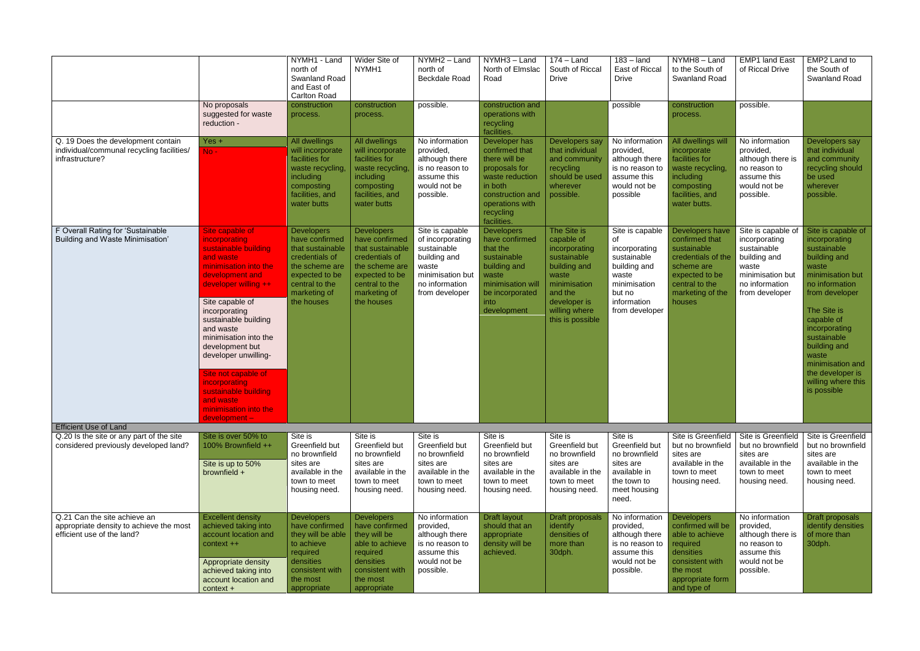|                                                                                                       | No proposals                                                                                                                                                                                                                                                                                                                                                                                                        | NYMH1 - Land<br>north of<br>Swanland Road<br>and East of<br><b>Carlton Road</b><br>construction                                                               | Wider Site of<br>NYMH <sub>1</sub><br>construction                                                                                                            | NYMH2 - Land<br>north of<br>Beckdale Road<br>possible.                                                                              | NYMH3 - Land<br>North of Elmslac<br>Road<br>construction and                                                                                                       | $174 -$ Land<br>South of Riccal<br><b>Drive</b>                                                                                                                    | $183 -$ land<br>East of Riccal<br><b>Drive</b><br>possible                                                                                | NYMH8-Land<br>to the South of<br><b>Swanland Road</b><br>construction                                                                                  | <b>EMP1 land East</b><br>of Riccal Drive<br>possible.                                                                               | EMP2 Land to<br>the South of<br>Swanland Road                                                                                                                                                                                                                                                          |
|-------------------------------------------------------------------------------------------------------|---------------------------------------------------------------------------------------------------------------------------------------------------------------------------------------------------------------------------------------------------------------------------------------------------------------------------------------------------------------------------------------------------------------------|---------------------------------------------------------------------------------------------------------------------------------------------------------------|---------------------------------------------------------------------------------------------------------------------------------------------------------------|-------------------------------------------------------------------------------------------------------------------------------------|--------------------------------------------------------------------------------------------------------------------------------------------------------------------|--------------------------------------------------------------------------------------------------------------------------------------------------------------------|-------------------------------------------------------------------------------------------------------------------------------------------|--------------------------------------------------------------------------------------------------------------------------------------------------------|-------------------------------------------------------------------------------------------------------------------------------------|--------------------------------------------------------------------------------------------------------------------------------------------------------------------------------------------------------------------------------------------------------------------------------------------------------|
|                                                                                                       | suggested for waste<br>reduction -                                                                                                                                                                                                                                                                                                                                                                                  | process.                                                                                                                                                      | process.                                                                                                                                                      |                                                                                                                                     | operations with<br>recycling<br>facilities.                                                                                                                        |                                                                                                                                                                    |                                                                                                                                           | process.                                                                                                                                               |                                                                                                                                     |                                                                                                                                                                                                                                                                                                        |
| Q. 19 Does the development contain<br>individual/communal recycling facilities/<br>infrastructure?    | $Yes +$<br>$No -$                                                                                                                                                                                                                                                                                                                                                                                                   | All dwellings<br>will incorporate<br>facilities for<br>waste recycling,<br><i>including</i><br>composting<br>facilities, and<br>water butts                   | All dwellings<br>will incorporate<br>facilities for<br>waste recycling,<br>including<br>composting<br>facilities, and<br>water butts                          | No information<br>provided,<br>although there<br>is no reason to<br>assume this<br>would not be<br>possible.                        | Developer has<br>confirmed that<br>there will be<br>proposals for<br>waste reduction<br>in both<br>construction and<br>operations with<br>recycling<br>facilities. | Developers say<br>that individual<br>and community<br>recycling<br>should be used<br>wherever<br>possible.                                                         | No information<br>provided,<br>although there<br>is no reason to<br>assume this<br>would not be<br>possible                               | All dwellings will<br>incorporate<br>facilities for<br>waste recycling,<br>including<br>composting<br>facilities, and<br>water butts.                  | No information<br>provided,<br>although there is<br>no reason to<br>assume this<br>would not be<br>possible.                        | Developers say<br>that individual<br>and community<br>recycling should<br>be used<br>wherever<br>possible.                                                                                                                                                                                             |
| F Overall Rating for 'Sustainable<br>Building and Waste Minimisation'                                 | Site capable of<br>incorporating<br>sustainable building<br>and waste<br>minimisation into the<br>development and<br>developer willing ++<br>Site capable of<br>incorporating<br>sustainable building<br>and waste<br>minimisation into the<br>development but<br>developer unwilling-<br>Site not capable of<br><i>incorporating</i><br>sustainable building<br>and waste<br>minimisation into the<br>development- | <b>Developers</b><br>have confirmed<br>that sustainable<br>credentials of<br>the scheme are<br>expected to be<br>central to the<br>marketing of<br>the houses | <b>Developers</b><br>have confirmed<br>that sustainable<br>credentials of<br>the scheme are<br>expected to be<br>central to the<br>marketing of<br>the houses | Site is capable<br>of incorporating<br>sustainable<br>building and<br>waste<br>minimisation but<br>no information<br>from developer | <b>Developers</b><br>have confirmed<br>that the<br>sustainable<br>building and<br>waste<br>minimisation will<br>be incorporated<br>into<br>development             | The Site is<br>capable of<br>incorporating<br>sustainable<br>building and<br>waste<br>minimisation<br>and the<br>developer is<br>willing where<br>this is possible | Site is capable<br>of<br>incorporating<br>sustainable<br>building and<br>waste<br>minimisation<br>but no<br>information<br>from developer | Developers have<br>confirmed that<br>sustainable<br>credentials of the<br>scheme are<br>expected to be<br>central to the<br>marketing of the<br>houses | Site is capable of<br>incorporating<br>sustainable<br>building and<br>waste<br>minimisation but<br>no information<br>from developer | Site is capable of<br>incorporating<br>sustainable<br>building and<br>waste<br>minimisation but<br>no information<br>from developer<br>The Site is<br>capable of<br>incorporating<br>sustainable<br>building and<br>waste<br>minimisation and<br>the developer is<br>willing where this<br>is possible |
| <b>Efficient Use of Land</b>                                                                          |                                                                                                                                                                                                                                                                                                                                                                                                                     |                                                                                                                                                               |                                                                                                                                                               |                                                                                                                                     |                                                                                                                                                                    |                                                                                                                                                                    |                                                                                                                                           |                                                                                                                                                        |                                                                                                                                     |                                                                                                                                                                                                                                                                                                        |
| Q.20 Is the site or any part of the site<br>considered previously developed land?                     | Site is over 50% to<br>100% Brownfield ++<br>Site is up to 50%<br>brownfield +                                                                                                                                                                                                                                                                                                                                      | Site is<br>Greenfield but<br>no brownfield<br>sites are<br>available in the<br>town to meet<br>housing need.                                                  | Site is<br>Greenfield but<br>no brownfield<br>sites are<br>available in the<br>town to meet<br>housing need.                                                  | Site is<br>Greenfield but<br>no brownfield<br>sites are<br>available in the<br>town to meet<br>housing need.                        | Site is<br>Greenfield but<br>no brownfield<br>sites are<br>available in the<br>town to meet<br>housing need.                                                       | Site is<br>Greenfield but<br>no brownfield<br>sites are<br>available in the<br>town to meet<br>housing need.                                                       | Site is<br>Greenfield but<br>no brownfield<br>sites are<br>available in<br>the town to<br>meet housing<br>need.                           | Site is Greenfield<br>but no brownfield<br>sites are<br>available in the<br>town to meet<br>housing need.                                              | Site is Greenfield<br>but no brownfield<br>sites are<br>available in the<br>town to meet<br>housing need.                           | Site is Greenfield<br>but no brownfield<br>sites are<br>available in the<br>town to meet<br>housing need.                                                                                                                                                                                              |
| Q.21 Can the site achieve an<br>appropriate density to achieve the most<br>efficient use of the land? | <b>Excellent density</b><br>achieved taking into<br>account location and<br>context ++<br>Appropriate density<br>achieved taking into<br>account location and<br>$context +$                                                                                                                                                                                                                                        | <b>Developers</b><br>have confirmed<br>they will be able<br>to achieve<br>required<br>densities<br>consistent with<br>the most<br>appropriate                 | <b>Developers</b><br>have confirmed<br>they will be<br>able to achieve<br>required<br>densities<br>consistent with<br>the most<br>appropriate                 | No information<br>provided,<br>although there<br>is no reason to<br>assume this<br>would not be<br>possible.                        | Draft layout<br>should that an<br>appropriate<br>density will be<br>achieved.                                                                                      | Draft proposals<br>identify<br>densities of<br>more than<br>30dph.                                                                                                 | No information<br>provided,<br>although there<br>is no reason to<br>assume this<br>would not be<br>possible.                              | <b>Developers</b><br>confirmed will be<br>able to achieve<br>required<br>densities<br>consistent with<br>the most<br>appropriate form<br>and type of   | No information<br>provided,<br>although there is<br>no reason to<br>assume this<br>would not be<br>possible.                        | Draft proposals<br>identify densities<br>of more than<br>30dph.                                                                                                                                                                                                                                        |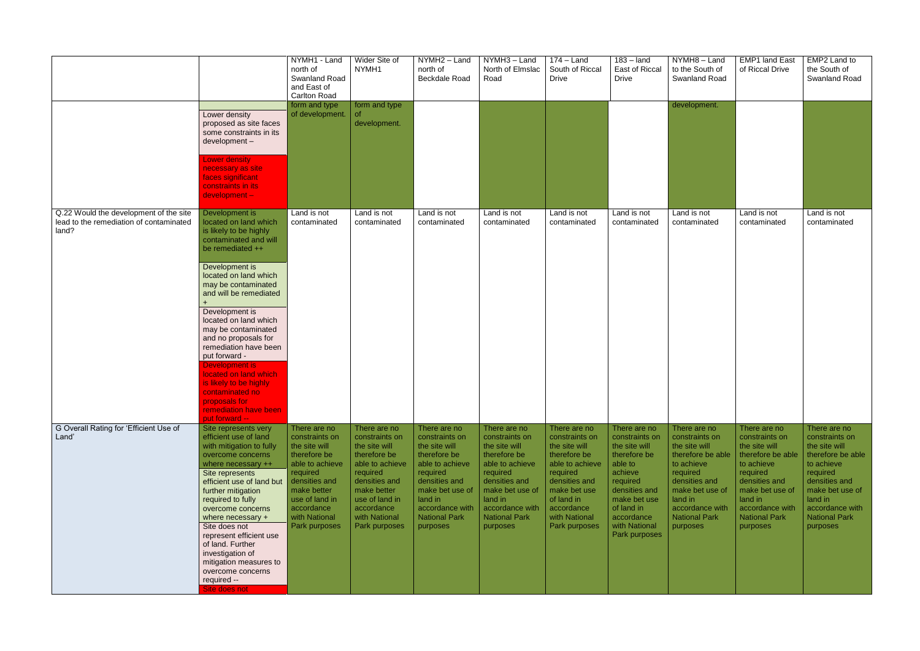|                                                                                            |                                                                                                                                                                                                                                                                                                                                                                                                                                                                                                    | NYMH1 - Land<br>north of<br>Swanland Road<br>and East of<br>Carlton Road                                                                                                                         | Wider Site of<br>NYMH1                                                                                                                                                                           | NYMH2 - Land<br>north of<br>Beckdale Road                                                                                                                                                            | NYMH3-Land<br>North of Elmslac<br>Road                                                                                                                                                               | $174 -$ Land<br>South of Riccal<br><b>Drive</b>                                                                                                                                               | $183 -$ land<br>East of Riccal<br><b>Drive</b>                                                                                                                                                   | NYMH8-Land<br>to the South of<br>Swanland Road                                                                                                                                                       | <b>EMP1 land East</b><br>of Riccal Drive                                                                                                                                                             | EMP2 Land to<br>the South of<br>Swanland Road                                                                                                                                                        |
|--------------------------------------------------------------------------------------------|----------------------------------------------------------------------------------------------------------------------------------------------------------------------------------------------------------------------------------------------------------------------------------------------------------------------------------------------------------------------------------------------------------------------------------------------------------------------------------------------------|--------------------------------------------------------------------------------------------------------------------------------------------------------------------------------------------------|--------------------------------------------------------------------------------------------------------------------------------------------------------------------------------------------------|------------------------------------------------------------------------------------------------------------------------------------------------------------------------------------------------------|------------------------------------------------------------------------------------------------------------------------------------------------------------------------------------------------------|-----------------------------------------------------------------------------------------------------------------------------------------------------------------------------------------------|--------------------------------------------------------------------------------------------------------------------------------------------------------------------------------------------------|------------------------------------------------------------------------------------------------------------------------------------------------------------------------------------------------------|------------------------------------------------------------------------------------------------------------------------------------------------------------------------------------------------------|------------------------------------------------------------------------------------------------------------------------------------------------------------------------------------------------------|
|                                                                                            | Lower density<br>proposed as site faces<br>some constraints in its<br>development-<br><b>Lower density</b><br>necessary as site<br>faces significant<br>constraints in its<br>development-                                                                                                                                                                                                                                                                                                         | form and type<br>of development.                                                                                                                                                                 | form and type<br>of.<br>development.                                                                                                                                                             |                                                                                                                                                                                                      |                                                                                                                                                                                                      |                                                                                                                                                                                               |                                                                                                                                                                                                  | development.                                                                                                                                                                                         |                                                                                                                                                                                                      |                                                                                                                                                                                                      |
| Q.22 Would the development of the site<br>lead to the remediation of contaminated<br>land? | Development is<br>located on land which<br>is likely to be highly<br>contaminated and will<br>be remediated ++<br>Development is<br>located on land which<br>may be contaminated<br>and will be remediated<br>Development is<br>located on land which<br>may be contaminated<br>and no proposals for<br>remediation have been<br>put forward -<br>Development is<br>located on land which<br>is likely to be highly<br>contaminated no<br>proposals for<br>remediation have been<br>put forward -- | Land is not<br>contaminated                                                                                                                                                                      | Land is not<br>contaminated                                                                                                                                                                      | Land is not<br>contaminated                                                                                                                                                                          | Land is not<br>contaminated                                                                                                                                                                          | Land is not<br>contaminated                                                                                                                                                                   | Land is not<br>contaminated                                                                                                                                                                      | Land is not<br>contaminated                                                                                                                                                                          | Land is not<br>contaminated                                                                                                                                                                          | Land is not<br>contaminated                                                                                                                                                                          |
| G Overall Rating for 'Efficient Use of<br>Land'                                            | Site represents very<br>efficient use of land<br>with mitigation to fully<br>overcome concerns<br>where necessary ++<br>Site represents<br>efficient use of land but<br>further mitigation<br>required to fully<br>overcome concerns<br>where necessary +<br>Site does not<br>represent efficient use<br>of land. Further<br>investigation of<br>mitigation measures to<br>overcome concerns<br>required --<br>Site does not                                                                       | There are no<br>constraints on<br>the site will<br>therefore be<br>able to achieve<br>required<br>densities and<br>make better<br>use of land in<br>accordance<br>with National<br>Park purposes | There are no<br>constraints on<br>the site will<br>therefore be<br>able to achieve<br>required<br>densities and<br>make better<br>use of land in<br>accordance<br>with National<br>Park purposes | There are no<br>constraints on<br>the site will<br>therefore be<br>able to achieve<br>required<br>densities and<br>make bet use of<br>land in<br>accordance with<br><b>National Park</b><br>purposes | There are no<br>constraints on<br>the site will<br>therefore be<br>able to achieve<br>required<br>densities and<br>make bet use of<br>land in<br>accordance with<br><b>National Park</b><br>purposes | There are no<br>constraints on<br>the site will<br>therefore be<br>able to achieve<br>required<br>densities and<br>make bet use<br>of land in<br>accordance<br>with National<br>Park purposes | There are no<br>constraints on<br>the site will<br>therefore be<br>able to<br>achieve<br>required<br>densities and<br>make bet use<br>of land in<br>accordance<br>with National<br>Park purposes | There are no<br>constraints on<br>the site will<br>therefore be able<br>to achieve<br>required<br>densities and<br>make bet use of<br>land in<br>accordance with<br><b>National Park</b><br>purposes | There are no<br>constraints on<br>the site will<br>therefore be able<br>to achieve<br>required<br>densities and<br>make bet use of<br>land in<br>accordance with<br><b>National Park</b><br>purposes | There are no<br>constraints on<br>the site will<br>therefore be able<br>to achieve<br>required<br>densities and<br>make bet use of<br>land in<br>accordance with<br><b>National Park</b><br>purposes |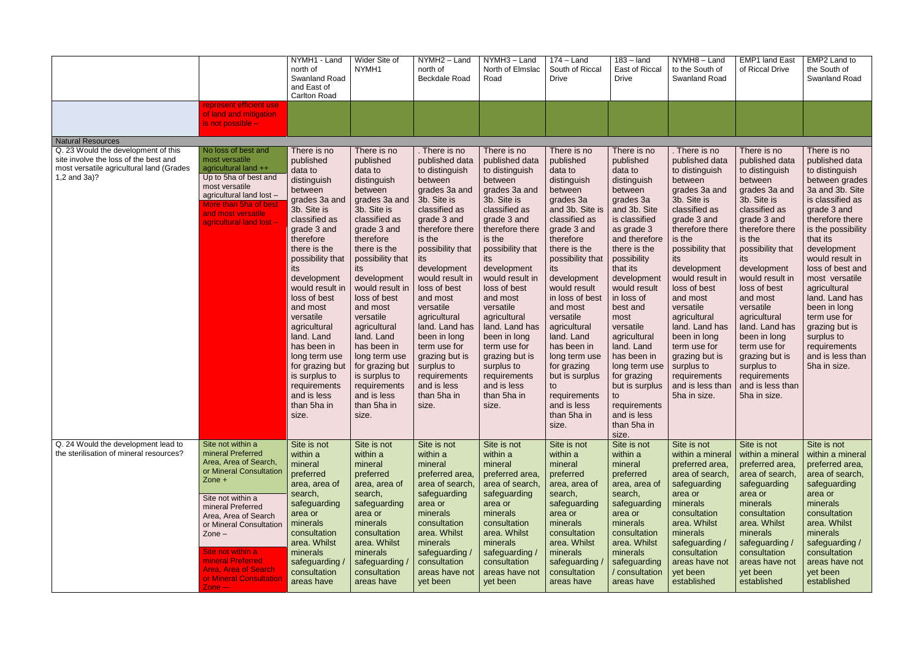|                                                                                                                                          |                                                                                                                                                                                                                                                                                                                                                              | NYMH1 - Land<br>north of<br><b>Swanland Road</b><br>and East of<br>Carlton Road                                                                                                                                                                                                                                                                                                                                  | Wider Site of<br>NYMH1                                                                                                                                                                                                                                                                                                                                                                                           | NYMH2 - Land<br>north of<br>Beckdale Road                                                                                                                                                                                                                                                                                                                                                                                | NYMH3 - Land<br>North of Elmslac<br>Road                                                                                                                                                                                                                                                                                                                                                                               | $174 -$ Land<br>South of Riccal<br><b>Drive</b>                                                                                                                                                                                                                                                                                                                                                                     | $183 -$ land<br>East of Riccal<br><b>Drive</b>                                                                                                                                                                                                                                                                                                                                                          | NYMH8-Land<br>to the South of<br>Swanland Road                                                                                                                                                                                                                                                                                                                                                                        | <b>EMP1 land East</b><br>of Riccal Drive                                                                                                                                                                                                                                                                                                                                                                            | EMP2 Land to<br>the South of<br>Swanland Road                                                                                                                                                                                                                                                                                                                                                              |
|------------------------------------------------------------------------------------------------------------------------------------------|--------------------------------------------------------------------------------------------------------------------------------------------------------------------------------------------------------------------------------------------------------------------------------------------------------------------------------------------------------------|------------------------------------------------------------------------------------------------------------------------------------------------------------------------------------------------------------------------------------------------------------------------------------------------------------------------------------------------------------------------------------------------------------------|------------------------------------------------------------------------------------------------------------------------------------------------------------------------------------------------------------------------------------------------------------------------------------------------------------------------------------------------------------------------------------------------------------------|--------------------------------------------------------------------------------------------------------------------------------------------------------------------------------------------------------------------------------------------------------------------------------------------------------------------------------------------------------------------------------------------------------------------------|------------------------------------------------------------------------------------------------------------------------------------------------------------------------------------------------------------------------------------------------------------------------------------------------------------------------------------------------------------------------------------------------------------------------|---------------------------------------------------------------------------------------------------------------------------------------------------------------------------------------------------------------------------------------------------------------------------------------------------------------------------------------------------------------------------------------------------------------------|---------------------------------------------------------------------------------------------------------------------------------------------------------------------------------------------------------------------------------------------------------------------------------------------------------------------------------------------------------------------------------------------------------|-----------------------------------------------------------------------------------------------------------------------------------------------------------------------------------------------------------------------------------------------------------------------------------------------------------------------------------------------------------------------------------------------------------------------|---------------------------------------------------------------------------------------------------------------------------------------------------------------------------------------------------------------------------------------------------------------------------------------------------------------------------------------------------------------------------------------------------------------------|------------------------------------------------------------------------------------------------------------------------------------------------------------------------------------------------------------------------------------------------------------------------------------------------------------------------------------------------------------------------------------------------------------|
|                                                                                                                                          | represent efficient use<br>of land and mitigation<br>is not possible -                                                                                                                                                                                                                                                                                       |                                                                                                                                                                                                                                                                                                                                                                                                                  |                                                                                                                                                                                                                                                                                                                                                                                                                  |                                                                                                                                                                                                                                                                                                                                                                                                                          |                                                                                                                                                                                                                                                                                                                                                                                                                        |                                                                                                                                                                                                                                                                                                                                                                                                                     |                                                                                                                                                                                                                                                                                                                                                                                                         |                                                                                                                                                                                                                                                                                                                                                                                                                       |                                                                                                                                                                                                                                                                                                                                                                                                                     |                                                                                                                                                                                                                                                                                                                                                                                                            |
| <b>Natural Resources</b>                                                                                                                 |                                                                                                                                                                                                                                                                                                                                                              |                                                                                                                                                                                                                                                                                                                                                                                                                  |                                                                                                                                                                                                                                                                                                                                                                                                                  |                                                                                                                                                                                                                                                                                                                                                                                                                          |                                                                                                                                                                                                                                                                                                                                                                                                                        |                                                                                                                                                                                                                                                                                                                                                                                                                     |                                                                                                                                                                                                                                                                                                                                                                                                         |                                                                                                                                                                                                                                                                                                                                                                                                                       |                                                                                                                                                                                                                                                                                                                                                                                                                     |                                                                                                                                                                                                                                                                                                                                                                                                            |
| Q. 23 Would the development of this<br>site involve the loss of the best and<br>most versatile agricultural land (Grades<br>1,2 and 3a)? | No loss of best and<br>most versatile<br>agricultural land ++<br>Up to 5ha of best and<br>most versatile<br>agricultural land lost -<br>More than 5ha of best<br>and most versatile<br>agricultural land lost -                                                                                                                                              | There is no<br>published<br>data to<br>distinguish<br>between<br>grades 3a and<br>3b. Site is<br>classified as<br>grade 3 and<br>therefore<br>there is the<br>possibility that<br>its<br>development<br>would result in<br>loss of best<br>and most<br>versatile<br>agricultural<br>land. Land<br>has been in<br>long term use<br>for grazing but<br>is surplus to<br>requirements<br>and is less<br>than 5ha in | There is no<br>published<br>data to<br>distinguish<br>between<br>grades 3a and<br>3b. Site is<br>classified as<br>grade 3 and<br>therefore<br>there is the<br>possibility that<br>its<br>development<br>would result in<br>loss of best<br>and most<br>versatile<br>agricultural<br>land. Land<br>has been in<br>long term use<br>for grazing but<br>is surplus to<br>requirements<br>and is less<br>than 5ha in | . There is no<br>published data<br>to distinguish<br>between<br>grades 3a and<br>3b. Site is<br>classified as<br>grade 3 and<br>therefore there<br>is the<br>possibility that<br>its<br>development<br>would result in<br>loss of best<br>and most<br>versatile<br>agricultural<br>land. Land has<br>been in long<br>term use for<br>grazing but is<br>surplus to<br>requirements<br>and is less<br>than 5ha in<br>size. | There is no<br>published data<br>to distinguish<br>between<br>grades 3a and<br>3b. Site is<br>classified as<br>grade 3 and<br>therefore there<br>is the<br>possibility that<br>its<br>development<br>would result in<br>loss of best<br>and most<br>versatile<br>agricultural<br>land. Land has<br>been in long<br>term use for<br>grazing but is<br>surplus to<br>requirements<br>and is less<br>than 5ha in<br>size. | There is no<br>published<br>data to<br>distinguish<br>between<br>grades 3a<br>and 3b. Site is<br>classified as<br>grade 3 and<br>therefore<br>there is the<br>possibility that<br>its<br>development<br>would result<br>in loss of best<br>and most<br>versatile<br>agricultural<br>land. Land<br>has been in<br>long term use<br>for grazing<br>but is surplus<br>to<br>requirements<br>and is less<br>than 5ha in | There is no<br>published<br>data to<br>distinguish<br>between<br>grades 3a<br>and 3b. Site<br>is classified<br>as grade 3<br>and therefore<br>there is the<br>possibility<br>that its<br>development<br>would result<br>in loss of<br>best and<br>most<br>versatile<br>agricultural<br>land. Land<br>has been in<br>long term use<br>for grazing<br>but is surplus<br>to<br>requirements<br>and is less | . There is no<br>published data<br>to distinguish<br>between<br>grades 3a and<br>3b. Site is<br>classified as<br>grade 3 and<br>therefore there<br>is the<br>possibility that<br>its<br>development<br>would result in<br>loss of best<br>and most<br>versatile<br>agricultural<br>land. Land has<br>been in long<br>term use for<br>grazing but is<br>surplus to<br>requirements<br>and is less than<br>5ha in size. | There is no<br>published data<br>to distinguish<br>between<br>grades 3a and<br>3b. Site is<br>classified as<br>grade 3 and<br>therefore there<br>is the<br>possibility that<br>its<br>development<br>would result in<br>loss of best<br>and most<br>versatile<br>agricultural<br>land. Land has<br>been in long<br>term use for<br>grazing but is<br>surplus to<br>requirements<br>and is less than<br>5ha in size. | There is no<br>published data<br>to distinguish<br>between grades<br>3a and 3b. Site<br>is classified as<br>grade 3 and<br>therefore there<br>is the possibility<br>that its<br>development<br>would result in<br>loss of best and<br>most versatile<br>agricultural<br>land. Land has<br>been in long<br>term use for<br>grazing but is<br>surplus to<br>requirements<br>and is less than<br>5ha in size. |
|                                                                                                                                          |                                                                                                                                                                                                                                                                                                                                                              | size.                                                                                                                                                                                                                                                                                                                                                                                                            | size.                                                                                                                                                                                                                                                                                                                                                                                                            |                                                                                                                                                                                                                                                                                                                                                                                                                          |                                                                                                                                                                                                                                                                                                                                                                                                                        | size.                                                                                                                                                                                                                                                                                                                                                                                                               | than 5ha in<br>size.                                                                                                                                                                                                                                                                                                                                                                                    |                                                                                                                                                                                                                                                                                                                                                                                                                       |                                                                                                                                                                                                                                                                                                                                                                                                                     |                                                                                                                                                                                                                                                                                                                                                                                                            |
| Q. 24 Would the development lead to<br>the sterilisation of mineral resources?                                                           | Site not within a<br>mineral Preferred<br>Area, Area of Search,<br>or Mineral Consultation<br>Zone +<br>Site not within a<br>mineral Preferred<br>Area, Area of Search<br>or Mineral Consultation<br>$\mathsf{Zone}-$<br>Site not within a<br>mineral Preferred<br><b>Area, Area of Search</b><br>or Mineral Consultation<br>$\mathsf{Zone} \rightharpoonup$ | Site is not<br>within a<br>mineral<br>preferred<br>area, area of<br>search,<br>safeguarding<br>area or<br>minerals<br>consultation<br>area. Whilst<br>minerals<br>safeguarding /<br>consultation<br>areas have                                                                                                                                                                                                   | Site is not<br>within a<br>mineral<br>preferred<br>area, area of<br>search,<br>safeguarding<br>area or<br>minerals<br>consultation<br>area. Whilst<br>minerals<br>safeguarding /<br>consultation<br>areas have                                                                                                                                                                                                   | Site is not<br>within a<br>mineral<br>preferred area,<br>area of search,<br>safeguarding<br>area or<br>minerals<br>consultation<br>area. Whilst<br>minerals<br>safeguarding /<br>consultation<br>areas have not<br>yet been                                                                                                                                                                                              | Site is not<br>within a<br>mineral<br>preferred area,<br>area of search,<br>safeguarding<br>area or<br>minerals<br>consultation<br>area. Whilst<br>minerals<br>safeguarding /<br>consultation<br>areas have not<br>yet been                                                                                                                                                                                            | Site is not<br>within a<br>mineral<br>preferred<br>area, area of<br>search,<br>safeguarding<br>area or<br>minerals<br>consultation<br>area. Whilst<br>minerals<br>safeguarding<br>consultation<br>areas have                                                                                                                                                                                                        | Site is not<br>within a<br>mineral<br>preferred<br>area, area of<br>search,<br>safeguarding<br>area or<br>minerals<br>consultation<br>area. Whilst<br>minerals<br>safeguarding<br>/ consultation<br>areas have                                                                                                                                                                                          | Site is not<br>within a mineral<br>preferred area,<br>area of search,<br>safeguarding<br>area or<br>minerals<br>consultation<br>area. Whilst<br>minerals<br>safeguarding /<br>consultation<br>areas have not<br>yet been<br>established                                                                                                                                                                               | Site is not<br>within a mineral<br>preferred area,<br>area of search,<br>safeguarding<br>area or<br>minerals<br>consultation<br>area. Whilst<br>minerals<br>safeguarding /<br>consultation<br>areas have not<br>yet been<br>established                                                                                                                                                                             | Site is not<br>within a mineral<br>preferred area,<br>area of search,<br>safeguarding<br>area or<br>minerals<br>consultation<br>area. Whilst<br>minerals<br>safeguarding /<br>consultation<br>areas have not<br>yet been<br>established                                                                                                                                                                    |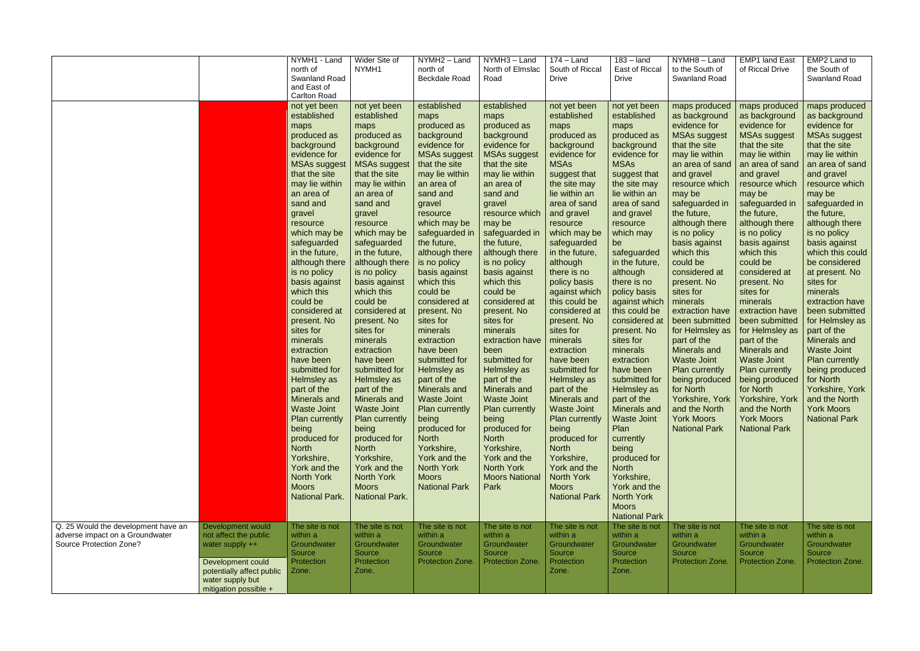|                                                                                                   |                                                                                                                                                                | NYMH1 - Land<br>north of<br>Swanland Road<br>and East of<br><b>Carlton Road</b><br>not yet been<br>established<br>maps<br>produced as<br>background<br>evidence for<br><b>MSAs suggest</b><br>that the site<br>may lie within<br>an area of<br>sand and<br>gravel<br>resource<br>which may be<br>safeguarded<br>in the future,<br>although there<br>is no policy<br>basis against<br>which this | Wider Site of<br>NYMH1<br>not yet been<br>established<br>maps<br>produced as<br>background<br>evidence for<br><b>MSAs suggest</b><br>that the site<br>may lie within<br>an area of<br>sand and<br>gravel<br>resource<br>which may be<br>safeguarded<br>in the future,<br>although there<br>is no policy<br>basis against<br>which this   | NYMH2 - Land<br>north of<br><b>Beckdale Road</b><br>established<br>maps<br>produced as<br>background<br>evidence for<br><b>MSAs suggest</b><br>that the site<br>may lie within<br>an area of<br>sand and<br>gravel<br>resource<br>which may be<br>safeguarded in<br>the future,<br>although there<br>is no policy<br>basis against<br>which this<br>could be | NYMH3 - Land<br>North of Elmslac<br>Road<br>established<br>maps<br>produced as<br>background<br>evidence for<br><b>MSAs suggest</b><br>that the site<br>may lie within<br>an area of<br>sand and<br>gravel<br>resource which<br>may be<br>safeguarded in<br>the future,<br>although there<br>is no policy<br>basis against<br>which this<br>could be | $174 -$ Land<br>South of Riccal<br><b>Drive</b><br>not yet been<br>established<br>maps<br>produced as<br>background<br>evidence for<br><b>MSAs</b><br>suggest that<br>the site may<br>lie within an<br>area of sand<br>and gravel<br>resource<br>which may be<br>safeguarded<br>in the future,<br>although<br>there is no<br>policy basis<br>against which | $183 -$ land<br>East of Riccal<br><b>Drive</b><br>not yet been<br>established<br>maps<br>produced as<br>background<br>evidence for<br><b>MSAs</b><br>suggest that<br>the site may<br>lie within an<br>area of sand<br>and gravel<br>resource<br>which may<br>be<br>safeguarded<br>in the future,<br>although<br>there is no<br>policy basis                             | NYMH8-Land<br>to the South of<br>Swanland Road<br>maps produced<br>as background<br>evidence for<br><b>MSAs suggest</b><br>that the site<br>may lie within<br>an area of sand<br>and gravel<br>resource which<br>may be<br>safeguarded in<br>the future,<br>although there<br>is no policy<br>basis against<br>which this<br>could be<br>considered at<br>present. No<br>sites for | <b>EMP1 land East</b><br>of Riccal Drive<br>maps produced<br>as background<br>evidence for<br><b>MSAs suggest</b><br>that the site<br>may lie within<br>an area of sand<br>and gravel<br>resource which<br>may be<br>safeguarded in<br>the future,<br>although there<br>is no policy<br>basis against<br>which this<br>could be<br>considered at<br>present. No<br>sites for | EMP2 Land to<br>the South of<br>Swanland Road<br>maps produced<br>as background<br>evidence for<br><b>MSAs suggest</b><br>that the site<br>may lie within<br>an area of sand<br>and gravel<br>resource which<br>may be<br>safeguarded in<br>the future,<br>although there<br>is no policy<br>basis against<br>which this could<br>be considered<br>at present. No<br>sites for<br>minerals |
|---------------------------------------------------------------------------------------------------|----------------------------------------------------------------------------------------------------------------------------------------------------------------|-------------------------------------------------------------------------------------------------------------------------------------------------------------------------------------------------------------------------------------------------------------------------------------------------------------------------------------------------------------------------------------------------|------------------------------------------------------------------------------------------------------------------------------------------------------------------------------------------------------------------------------------------------------------------------------------------------------------------------------------------|--------------------------------------------------------------------------------------------------------------------------------------------------------------------------------------------------------------------------------------------------------------------------------------------------------------------------------------------------------------|------------------------------------------------------------------------------------------------------------------------------------------------------------------------------------------------------------------------------------------------------------------------------------------------------------------------------------------------------|------------------------------------------------------------------------------------------------------------------------------------------------------------------------------------------------------------------------------------------------------------------------------------------------------------------------------------------------------------|-------------------------------------------------------------------------------------------------------------------------------------------------------------------------------------------------------------------------------------------------------------------------------------------------------------------------------------------------------------------------|------------------------------------------------------------------------------------------------------------------------------------------------------------------------------------------------------------------------------------------------------------------------------------------------------------------------------------------------------------------------------------|------------------------------------------------------------------------------------------------------------------------------------------------------------------------------------------------------------------------------------------------------------------------------------------------------------------------------------------------------------------------------|--------------------------------------------------------------------------------------------------------------------------------------------------------------------------------------------------------------------------------------------------------------------------------------------------------------------------------------------------------------------------------------------|
|                                                                                                   |                                                                                                                                                                | could be<br>considered at<br>present. No<br>sites for<br>minerals<br>extraction<br>have been<br>submitted for<br>Helmsley as<br>part of the<br>Minerals and<br><b>Waste Joint</b><br>Plan currently<br>being<br>produced for<br><b>North</b><br>Yorkshire,<br>York and the<br><b>North York</b><br><b>Moors</b><br><b>National Park.</b>                                                        | could be<br>considered at<br>present. No<br>sites for<br>minerals<br>extraction<br>have been<br>submitted for<br>Helmsley as<br>part of the<br>Minerals and<br><b>Waste Joint</b><br>Plan currently<br>being<br>produced for<br><b>North</b><br>Yorkshire,<br>York and the<br><b>North York</b><br><b>Moors</b><br><b>National Park.</b> | considered at<br>present. No<br>sites for<br>minerals<br>extraction<br>have been<br>submitted for<br>Helmsley as<br>part of the<br>Minerals and<br><b>Waste Joint</b><br><b>Plan currently</b><br>being<br>produced for<br><b>North</b><br>Yorkshire,<br>York and the<br><b>North York</b><br><b>Moors</b><br><b>National Park</b>                           | considered at<br>present. No<br>sites for<br>minerals<br>extraction have<br>been<br>submitted for<br>Helmsley as<br>part of the<br><b>Minerals and</b><br>  Waste Joint<br><b>Plan currently</b><br>being<br>produced for<br><b>North</b><br>Yorkshire,<br>York and the<br><b>North York</b><br><b>Moors National</b><br>Park                        | this could be<br>considered at<br>present. No<br>sites for<br>minerals<br>extraction<br>have been<br>submitted for<br>Helmsley as<br>part of the<br>Minerals and<br><b>Waste Joint</b><br><b>Plan currently</b><br>being<br>produced for<br><b>North</b><br>Yorkshire,<br>York and the<br><b>North York</b><br><b>Moors</b><br><b>National Park</b>        | against which<br>this could be<br>considered at<br>present. No<br>sites for<br>minerals<br>extraction<br>have been<br>submitted for<br>Helmsley as<br>part of the<br><b>Minerals and</b><br><b>Waste Joint</b><br>Plan<br>currently<br>being<br>produced for<br><b>North</b><br>Yorkshire,<br>York and the<br><b>North York</b><br><b>Moors</b><br><b>National Park</b> | minerals<br>extraction have<br>been submitted<br>for Helmsley as<br>part of the<br>Minerals and<br><b>Waste Joint</b><br>Plan currently<br>being produced<br>for North<br>and the North<br><b>York Moors</b><br><b>National Park</b>                                                                                                                                               | minerals<br>extraction have<br>been submitted<br>for Helmsley as<br>part of the<br>Minerals and<br><b>Waste Joint</b><br>Plan currently<br>being produced<br>for North<br>Yorkshire, York   Yorkshire, York   and the North<br>and the North<br><b>York Moors</b><br><b>National Park</b>                                                                                    | extraction have<br>been submitted<br>for Helmsley as<br>part of the<br>Minerals and<br><b>Waste Joint</b><br><b>Plan currently</b><br>being produced<br>for North<br>Yorkshire, York<br><b>York Moors</b><br><b>National Park</b>                                                                                                                                                          |
| Q. 25 Would the development have an<br>adverse impact on a Groundwater<br>Source Protection Zone? | Development would<br>not affect the public<br>water supply $++$<br>Development could<br>potentially affect public<br>water supply but<br>mitigation possible + | The site is not<br>within a<br>Groundwater<br>Source<br>Protection<br>Zone.                                                                                                                                                                                                                                                                                                                     | The site is not<br>within a<br>Groundwater<br>Source<br>Protection<br>Zone.                                                                                                                                                                                                                                                              | The site is not<br>within a<br>Groundwater<br>Source<br><b>Protection Zone.</b>                                                                                                                                                                                                                                                                              | The site is not<br>within a<br>Groundwater<br>Source<br>Protection Zone.                                                                                                                                                                                                                                                                             | The site is not<br>within a<br>Groundwater<br>Source<br><b>Protection</b><br>Zone.                                                                                                                                                                                                                                                                         | The site is not<br>within a<br>Groundwater<br>Source<br>Protection<br>Zone.                                                                                                                                                                                                                                                                                             | The site is not<br>within a<br>Groundwater<br>Source<br>Protection Zone.                                                                                                                                                                                                                                                                                                           | The site is not<br>within a<br>Groundwater<br>Source<br>Protection Zone.                                                                                                                                                                                                                                                                                                     | The site is not<br>within a<br>Groundwater<br>Source<br>Protection Zone.                                                                                                                                                                                                                                                                                                                   |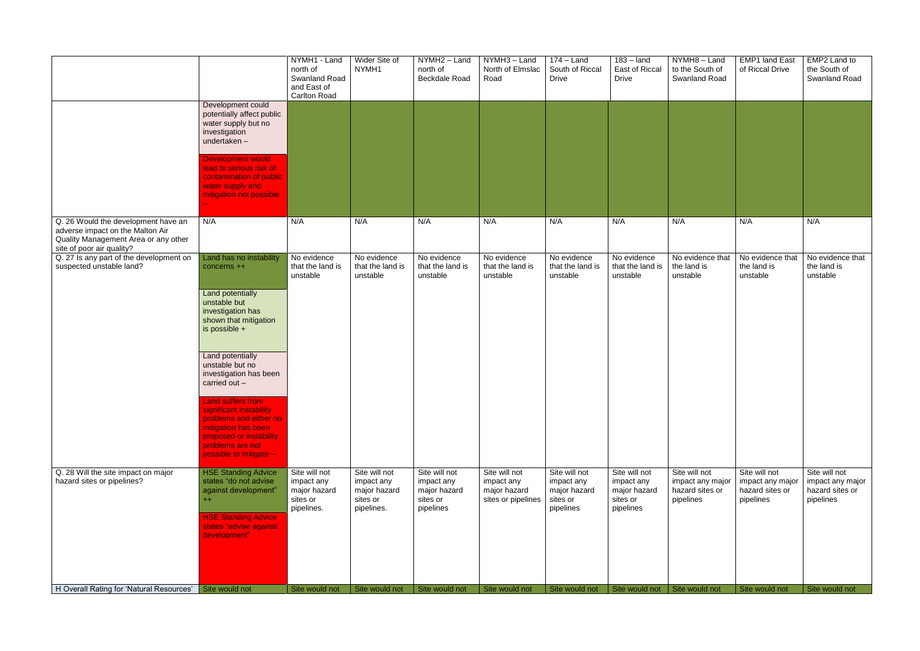|                                                                                                                                              |                                                                                                                                                                        | NYMH1 - Land<br>north of<br><b>Swanland Road</b><br>and East of<br><b>Carlton Road</b> | Wider Site of<br>NYMH1                                                | $\overline{NYMH2}$ – Land<br>north of<br><b>Beckdale Road</b>        | NYMH3-Land<br>North of Elmslac<br>Road                            | $174 -$ Land<br>South of Riccal<br><b>Drive</b>                      | $183 -$ land<br>East of Riccal<br><b>Drive</b>                       | NYMH8-Land<br>to the South of<br>Swanland Road                    | <b>EMP1 land East</b><br>of Riccal Drive                          | EMP2 Land to<br>the South of<br>Swanland Road                     |
|----------------------------------------------------------------------------------------------------------------------------------------------|------------------------------------------------------------------------------------------------------------------------------------------------------------------------|----------------------------------------------------------------------------------------|-----------------------------------------------------------------------|----------------------------------------------------------------------|-------------------------------------------------------------------|----------------------------------------------------------------------|----------------------------------------------------------------------|-------------------------------------------------------------------|-------------------------------------------------------------------|-------------------------------------------------------------------|
|                                                                                                                                              | Development could<br>potentially affect public<br>water supply but no<br>investigation<br>undertaken-                                                                  |                                                                                        |                                                                       |                                                                      |                                                                   |                                                                      |                                                                      |                                                                   |                                                                   |                                                                   |
|                                                                                                                                              | <b>Development would</b><br>lead to serious risk of<br>contamination of public<br>water supply and<br>mitigation not possible                                          |                                                                                        |                                                                       |                                                                      |                                                                   |                                                                      |                                                                      |                                                                   |                                                                   |                                                                   |
| Q. 26 Would the development have an<br>adverse impact on the Malton Air<br>Quality Management Area or any other<br>site of poor air quality? | N/A                                                                                                                                                                    | N/A                                                                                    | N/A                                                                   | N/A                                                                  | N/A                                                               | N/A                                                                  | N/A                                                                  | N/A                                                               | N/A                                                               | N/A                                                               |
| Q. 27 Is any part of the development on<br>suspected unstable land?                                                                          | Land has no instability<br>concerns ++                                                                                                                                 | No evidence<br>that the land is<br>unstable                                            | No evidence<br>that the land is<br>unstable                           | No evidence<br>that the land is<br>unstable                          | No evidence<br>that the land is<br>unstable                       | No evidence<br>that the land is<br>unstable                          | No evidence<br>that the land is<br>unstable                          | No evidence that<br>the land is<br>unstable                       | No evidence that<br>the land is<br>unstable                       | No evidence that<br>the land is<br>unstable                       |
|                                                                                                                                              | Land potentially<br>unstable but<br>investigation has<br>shown that mitigation<br>is possible +                                                                        |                                                                                        |                                                                       |                                                                      |                                                                   |                                                                      |                                                                      |                                                                   |                                                                   |                                                                   |
|                                                                                                                                              | Land potentially<br>unstable but no<br>investigation has been<br>carried out -                                                                                         |                                                                                        |                                                                       |                                                                      |                                                                   |                                                                      |                                                                      |                                                                   |                                                                   |                                                                   |
|                                                                                                                                              | Land suffers from<br>significant instability<br>problems and either no<br>mitigation has been<br>proposed or instability<br>problems are not<br>possible to mitigate - |                                                                                        |                                                                       |                                                                      |                                                                   |                                                                      |                                                                      |                                                                   |                                                                   |                                                                   |
| Q. 28 Will the site impact on major<br>hazard sites or pipelines?                                                                            | <b>HSE Standing Advice</b><br>states "do not advise<br>against development"<br>$^{++}$<br><b>HSE Standing Advice</b><br>states "advise against<br>development"         | Site will not<br>impact any<br>major hazard<br>sites or<br>pipelines.                  | Site will not<br>impact any<br>major hazard<br>sites or<br>pipelines. | Site will not<br>impact any<br>major hazard<br>sites or<br>pipelines | Site will not<br>impact any<br>major hazard<br>sites or pipelines | Site will not<br>impact any<br>major hazard<br>sites or<br>pipelines | Site will not<br>impact any<br>major hazard<br>sites or<br>pipelines | Site will not<br>impact any major<br>hazard sites or<br>pipelines | Site will not<br>impact any major<br>hazard sites or<br>pipelines | Site will not<br>impact any major<br>hazard sites or<br>pipelines |
| H Overall Rating for 'Natural Resources' Site would not                                                                                      |                                                                                                                                                                        | Site would not                                                                         | Site would not                                                        | Site would not                                                       | Site would not                                                    | Site would not                                                       | Site would not   Site would not                                      |                                                                   | Site would not                                                    | Site would not                                                    |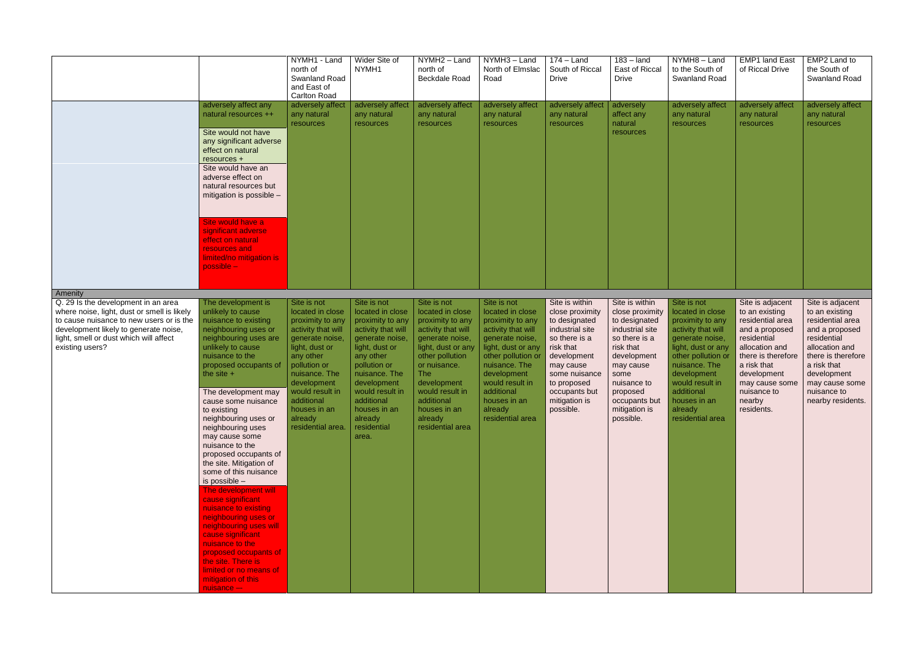|                                                                                                                                                                                                                                                 |                                                                                                                                                                                                                                                                                                                                                                                                                                                                                                                                                                                                                                                                                                                                | NYMH1 - Land<br>north of<br>Swanland Road<br>and East of<br><b>Carlton Road</b>                                                                                                                                                                              | Wider Site of<br>NYMH1                                                                                                                                                                                                                                          | NYMH2 - Land<br>north of<br><b>Beckdale Road</b>                                                                                                                                                                                                                   | NYMH3 - Land<br>North of Elmslac<br>Road                                                                                                                                                                                                                 | $174 -$ Land<br>South of Riccal<br><b>Drive</b>                                                                                                                                                                | $183 -$ land<br>East of Riccal<br><b>Drive</b>                                                                                                                                                                    | NYMH8-Land<br>to the South of<br><b>Swanland Road</b>                                                                                                                                                                                                    | <b>EMP1 land East</b><br>of Riccal Drive                                                                                                                                                                               | EMP2 Land to<br>the South of<br>Swanland Road                                                                                                                                                                       |
|-------------------------------------------------------------------------------------------------------------------------------------------------------------------------------------------------------------------------------------------------|--------------------------------------------------------------------------------------------------------------------------------------------------------------------------------------------------------------------------------------------------------------------------------------------------------------------------------------------------------------------------------------------------------------------------------------------------------------------------------------------------------------------------------------------------------------------------------------------------------------------------------------------------------------------------------------------------------------------------------|--------------------------------------------------------------------------------------------------------------------------------------------------------------------------------------------------------------------------------------------------------------|-----------------------------------------------------------------------------------------------------------------------------------------------------------------------------------------------------------------------------------------------------------------|--------------------------------------------------------------------------------------------------------------------------------------------------------------------------------------------------------------------------------------------------------------------|----------------------------------------------------------------------------------------------------------------------------------------------------------------------------------------------------------------------------------------------------------|----------------------------------------------------------------------------------------------------------------------------------------------------------------------------------------------------------------|-------------------------------------------------------------------------------------------------------------------------------------------------------------------------------------------------------------------|----------------------------------------------------------------------------------------------------------------------------------------------------------------------------------------------------------------------------------------------------------|------------------------------------------------------------------------------------------------------------------------------------------------------------------------------------------------------------------------|---------------------------------------------------------------------------------------------------------------------------------------------------------------------------------------------------------------------|
|                                                                                                                                                                                                                                                 | adversely affect any<br>natural resources ++<br>Site would not have<br>any significant adverse<br>effect on natural<br>resources +<br>Site would have an<br>adverse effect on<br>natural resources but<br>mitigation is possible -<br>Site would have a<br>significant adverse<br>effect on natural<br>resources and<br>limited/no mitigation is<br>$possible -$                                                                                                                                                                                                                                                                                                                                                               | adversely affect<br>any natural<br>resources                                                                                                                                                                                                                 | adversely affect<br>any natural<br>resources                                                                                                                                                                                                                    | adversely affect<br>any natural<br>resources                                                                                                                                                                                                                       | adversely affect<br>any natural<br>resources                                                                                                                                                                                                             | adversely affect<br>any natural<br>resources                                                                                                                                                                   | adversely<br>affect any<br>natural<br>resources                                                                                                                                                                   | adversely affect<br>any natural<br>resources                                                                                                                                                                                                             | adversely affect<br>any natural<br>resources                                                                                                                                                                           | adversely affect<br>any natural<br>resources                                                                                                                                                                        |
| Amenity<br>Q. 29 Is the development in an area<br>where noise, light, dust or smell is likely<br>to cause nuisance to new users or is the<br>development likely to generate noise,<br>light, smell or dust which will affect<br>existing users? | The development is<br>unlikely to cause<br>nuisance to existing<br>neighbouring uses or<br>neighbouring uses are<br>unlikely to cause<br>nuisance to the<br>proposed occupants of<br>the site $+$<br>The development may<br>cause some nuisance<br>to existing<br>neighbouring uses or<br>neighbouring uses<br>may cause some<br>nuisance to the<br>proposed occupants of<br>the site. Mitigation of<br>some of this nuisance<br>is possible $-$<br>The development will<br>cause significant<br>nuisance to existing<br>neighbouring uses or<br>neighbouring uses will<br>cause significant<br>nuisance to the<br>proposed occupants of<br>the site. There is<br>limited or no means of<br>mitigation of this<br>$nuisance -$ | Site is not<br>located in close<br>proximity to any<br>activity that will<br>generate noise,<br>light, dust or<br>any other<br>pollution or<br>nuisance. The<br>development<br>would result in<br>additional<br>houses in an<br>already<br>residential area. | Site is not<br>located in close<br>proximity to any<br>activity that will<br>generate noise,<br>light, dust or<br>any other<br>pollution or<br>nuisance. The<br>development<br>would result in<br>additional<br>houses in an<br>already<br>residential<br>area. | Site is not<br>located in close<br>proximity to any<br>activity that will<br>generate noise,<br>light, dust or any<br>other pollution<br>or nuisance.<br><b>The</b><br>development<br>would result in<br>additional<br>houses in an<br>already<br>residential area | Site is not<br>located in close<br>proximity to any<br>activity that will<br>generate noise,<br>light, dust or any<br>other pollution or<br>nuisance. The<br>development<br>would result in<br>additional<br>houses in an<br>already<br>residential area | Site is within<br>close proximity<br>to designated<br>industrial site<br>so there is a<br>risk that<br>development<br>may cause<br>some nuisance<br>to proposed<br>occupants but<br>mitigation is<br>possible. | Site is within<br>close proximity<br>to designated<br>industrial site<br>so there is a<br>risk that<br>development<br>may cause<br>some<br>nuisance to<br>proposed<br>occupants but<br>mitigation is<br>possible. | Site is not<br>located in close<br>proximity to any<br>activity that will<br>generate noise,<br>light, dust or any<br>other pollution or<br>nuisance. The<br>development<br>would result in<br>additional<br>houses in an<br>already<br>residential area | Site is adjacent<br>to an existing<br>residential area<br>and a proposed<br>residential<br>allocation and<br>there is therefore<br>a risk that<br>development<br>may cause some<br>nuisance to<br>nearby<br>residents. | Site is adjacent<br>to an existing<br>residential area<br>and a proposed<br>residential<br>allocation and<br>there is therefore<br>a risk that<br>development<br>may cause some<br>nuisance to<br>nearby residents. |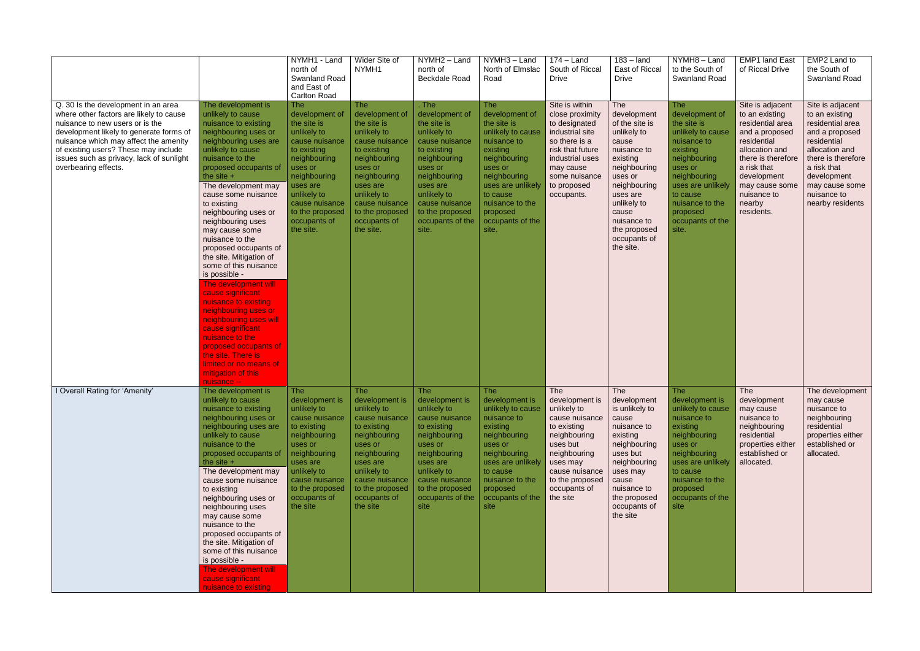|                                                                                                                                                                                                                                                                                                                   |                                                                                                                                                                                                                                                                                                                                                                                                                                                                                                                                                                                                                                                                                                                             | NYMH1 - Land<br>north of<br><b>Swanland Road</b><br>and East of<br><b>Carlton Road</b>                                                                                                                                              | Wider Site of<br>NYMH1                                                                                                                                                                                                              | NYMH2 - Land<br>north of<br>Beckdale Road                                                                                                                                                                                      | NYMH3 - Land<br>North of Elmslac<br>Road                                                                                                                                                                                            | $174 -$ Land<br>South of Riccal<br><b>Drive</b>                                                                                                                                                | $183 -$ land<br>East of Riccal<br><b>Drive</b>                                                                                                                                                                                            | NYMH8-Land<br>to the South of<br><b>Swanland Road</b>                                                                                                                                                                               | <b>EMP1 land East</b><br>of Riccal Drive                                                                                                                                                                               | EMP2 Land to<br>the South of<br>Swanland Road                                                                                                                                                                      |
|-------------------------------------------------------------------------------------------------------------------------------------------------------------------------------------------------------------------------------------------------------------------------------------------------------------------|-----------------------------------------------------------------------------------------------------------------------------------------------------------------------------------------------------------------------------------------------------------------------------------------------------------------------------------------------------------------------------------------------------------------------------------------------------------------------------------------------------------------------------------------------------------------------------------------------------------------------------------------------------------------------------------------------------------------------------|-------------------------------------------------------------------------------------------------------------------------------------------------------------------------------------------------------------------------------------|-------------------------------------------------------------------------------------------------------------------------------------------------------------------------------------------------------------------------------------|--------------------------------------------------------------------------------------------------------------------------------------------------------------------------------------------------------------------------------|-------------------------------------------------------------------------------------------------------------------------------------------------------------------------------------------------------------------------------------|------------------------------------------------------------------------------------------------------------------------------------------------------------------------------------------------|-------------------------------------------------------------------------------------------------------------------------------------------------------------------------------------------------------------------------------------------|-------------------------------------------------------------------------------------------------------------------------------------------------------------------------------------------------------------------------------------|------------------------------------------------------------------------------------------------------------------------------------------------------------------------------------------------------------------------|--------------------------------------------------------------------------------------------------------------------------------------------------------------------------------------------------------------------|
| Q. 30 Is the development in an area<br>where other factors are likely to cause<br>nuisance to new users or is the<br>development likely to generate forms of<br>nuisance which may affect the amenity<br>of existing users? These may include<br>issues such as privacy, lack of sunlight<br>overbearing effects. | The development is<br>unlikely to cause<br>nuisance to existing<br>neighbouring uses or<br>neighbouring uses are<br>unlikely to cause<br>nuisance to the<br>proposed occupants of<br>the site $+$<br>The development may<br>cause some nuisance<br>to existing<br>neighbouring uses or<br>neighbouring uses<br>may cause some<br>nuisance to the<br>proposed occupants of<br>the site. Mitigation of<br>some of this nuisance<br>is possible -<br>The development will<br>cause significant<br>nuisance to existing<br>neighbouring uses or<br>neighbouring uses will<br>cause significant<br>nuisance to the<br>proposed occupants of<br>the site. There is<br>limited or no means of<br>mitigation of this<br>nuisance -- | <b>The</b><br>development of<br>the site is<br>unlikely to<br>cause nuisance<br>to existing<br>neighbouring<br>uses or<br>neighbouring<br>uses are<br>unlikely to<br>cause nuisance<br>to the proposed<br>occupants of<br>the site. | The<br>development of<br>the site is<br>unlikely to<br>cause nuisance<br>to existing<br>neighbouring<br>uses or<br>neighbouring<br>uses are<br>unlikely to<br>cause nuisance<br>to the proposed<br>occupants of<br>the site.        | . The<br>development of<br>the site is<br>unlikely to<br>cause nuisance<br>to existing<br>neighbouring<br>uses or<br>neighbouring<br>uses are<br>unlikely to<br>cause nuisance<br>to the proposed<br>occupants of the<br>site. | <b>The</b><br>development of<br>the site is<br>unlikely to cause<br>nuisance to<br>existing<br>neighbouring<br>uses or<br>neighbouring<br>uses are unlikely<br>to cause<br>nuisance to the<br>proposed<br>occupants of the<br>site. | Site is within<br>close proximity<br>to designated<br>industrial site<br>so there is a<br>risk that future<br>industrial uses<br>may cause<br>some nuisance<br>to proposed<br>occupants.       | <b>The</b><br>development<br>of the site is<br>unlikely to<br>cause<br>nuisance to<br>existing<br>neighbouring<br>uses or<br>neighbouring<br>uses are<br>unlikely to<br>cause<br>nuisance to<br>the proposed<br>occupants of<br>the site. | <b>The</b><br>development of<br>the site is<br>unlikely to cause<br>nuisance to<br>existing<br>neighbouring<br>uses or<br>neighbouring<br>uses are unlikely<br>to cause<br>nuisance to the<br>proposed<br>occupants of the<br>site. | Site is adjacent<br>to an existing<br>residential area<br>and a proposed<br>residential<br>allocation and<br>there is therefore<br>a risk that<br>development<br>may cause some<br>nuisance to<br>nearby<br>residents. | Site is adjacent<br>to an existing<br>residential area<br>and a proposed<br>residential<br>allocation and<br>there is therefore<br>a risk that<br>development<br>may cause some<br>nuisance to<br>nearby residents |
| I Overall Rating for 'Amenity'                                                                                                                                                                                                                                                                                    | The development is<br>unlikely to cause<br>nuisance to existing<br>neighbouring uses or<br>neighbouring uses are<br>unlikely to cause<br>nuisance to the<br>proposed occupants of<br>the site $+$<br>The development may<br>cause some nuisance<br>to existing<br>neighbouring uses or<br>neighbouring uses<br>may cause some<br>nuisance to the<br>proposed occupants of<br>the site. Mitigation of<br>some of this nuisance<br>is possible -<br>The development will<br>cause significant<br>nuisance to existing                                                                                                                                                                                                         | <b>The</b><br>unlikely to<br>cause nuisance<br>to existing<br>neighbouring<br>uses or<br>neighbouring<br>uses are<br>unlikely to<br>cause nuisance<br>to the proposed<br>occupants of<br>the site                                   | The<br>development is $\vert$ development is<br>unlikely to<br>cause nuisance<br>to existing<br>neighbouring<br>uses or<br>neighbouring<br>uses are<br>unlikely to<br>cause nuisance<br>to the proposed<br>occupants of<br>the site | <b>The</b><br>development is<br>unlikely to<br>cause nuisance<br>to existing<br>neighbouring<br>uses or<br>neighbouring<br>uses are<br>unlikely to<br>cause nuisance<br>to the proposed<br>occupants of the<br>site            | <b>The</b><br>development is<br>unlikely to cause<br>nuisance to<br>existing<br>neighbouring<br>uses or<br>neighbouring<br>uses are unlikely<br>to cause<br>nuisance to the<br>proposed<br>occupants of the<br>site                 | The<br>development is<br>unlikely to<br>cause nuisance<br>to existing<br>neighbouring<br>uses but<br>neighbouring<br>uses may<br>cause nuisance<br>to the proposed<br>occupants of<br>the site | The<br>development<br>is unlikely to<br>cause<br>nuisance to<br>existing<br>neighbouring<br>uses but<br>neighbouring<br>uses may<br>cause<br>nuisance to<br>the proposed<br>occupants of<br>the site                                      | <b>The</b><br>development is<br>unlikely to cause<br>nuisance to<br>existing<br>neighbouring<br>uses or<br>neighbouring<br>uses are unlikely<br>to cause<br>nuisance to the<br>proposed<br>occupants of the<br>site                 | The<br>development<br>may cause<br>nuisance to<br>neighbouring<br>residential<br>properties either<br>established or<br>allocated.                                                                                     | The development<br>may cause<br>nuisance to<br>neighbouring<br>residential<br>properties either<br>established or<br>allocated.                                                                                    |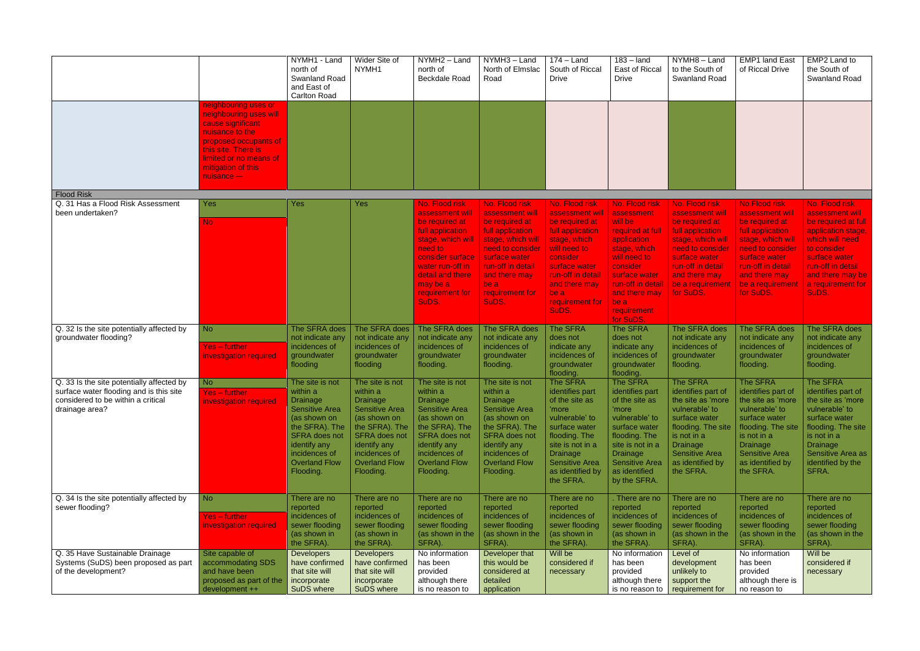|                                                                                                 |                                                                                                                                                                                                       | NYMH1 - Land<br>north of<br>Swanland Road<br>and East of<br><b>Carlton Road</b>                                                                                                      | Wider Site of<br>NYMH <sub>1</sub>                                                                                                                                                   | NYMH2 - Land<br>north of<br>Beckdale Road                                                                                                                                                                   | NYMH3 - Land<br>North of Elmslac<br>Road                                                                                                                                                                    | $174 -$ Land<br>South of Riccal<br><b>Drive</b>                                                                                                                                                               | $183 -$ land<br>East of Riccal<br><b>Drive</b>                                                                                                                                                                    | NYMH8-Land<br>to the South of<br><b>Swanland Road</b>                                                                                                                                                    | <b>EMP1 land East</b><br>of Riccal Drive                                                                                                                                                                       | EMP2 Land to<br>the South of<br>Swanland Road                                                                                                                                                            |
|-------------------------------------------------------------------------------------------------|-------------------------------------------------------------------------------------------------------------------------------------------------------------------------------------------------------|--------------------------------------------------------------------------------------------------------------------------------------------------------------------------------------|--------------------------------------------------------------------------------------------------------------------------------------------------------------------------------------|-------------------------------------------------------------------------------------------------------------------------------------------------------------------------------------------------------------|-------------------------------------------------------------------------------------------------------------------------------------------------------------------------------------------------------------|---------------------------------------------------------------------------------------------------------------------------------------------------------------------------------------------------------------|-------------------------------------------------------------------------------------------------------------------------------------------------------------------------------------------------------------------|----------------------------------------------------------------------------------------------------------------------------------------------------------------------------------------------------------|----------------------------------------------------------------------------------------------------------------------------------------------------------------------------------------------------------------|----------------------------------------------------------------------------------------------------------------------------------------------------------------------------------------------------------|
|                                                                                                 | neighbouring uses or<br>neighbouring uses will<br>cause significant<br>nuisance to the<br>proposed occupants of<br>this site. There is<br>limited or no means of<br>mitigation of this<br>nuisance -- |                                                                                                                                                                                      |                                                                                                                                                                                      |                                                                                                                                                                                                             |                                                                                                                                                                                                             |                                                                                                                                                                                                               |                                                                                                                                                                                                                   |                                                                                                                                                                                                          |                                                                                                                                                                                                                |                                                                                                                                                                                                          |
| <b>Flood Risk</b>                                                                               |                                                                                                                                                                                                       |                                                                                                                                                                                      |                                                                                                                                                                                      |                                                                                                                                                                                                             |                                                                                                                                                                                                             |                                                                                                                                                                                                               |                                                                                                                                                                                                                   |                                                                                                                                                                                                          |                                                                                                                                                                                                                |                                                                                                                                                                                                          |
| Q. 31 Has a Flood Risk Assessment<br>been undertaken?                                           | <b>Yes</b><br>No.                                                                                                                                                                                     | Yes                                                                                                                                                                                  | Yes                                                                                                                                                                                  | No. Flood risk<br>assessment will<br>be required at<br>full application<br>stage, which will<br>need to<br>consider surface<br>water run-off in<br>detail and there<br>may be a<br>requirement for<br>SuDS. | No. Flood risk<br>assessment will<br>be required at<br>full application<br>stage, which will<br>need to consider<br>surface water<br>run-off in detail<br>and there may<br>be a<br>requirement for<br>SuDS. | No. Flood risk<br>assessment wil<br>be required at<br>full application<br>stage, which<br>will need to<br>consider<br>surface water<br>run-off in detail<br>and there may<br>be a<br>requirement for<br>SuDS. | No. Flood risk<br>assessment<br>will be<br>required at full<br>application<br>stage, which<br>will need to<br>consider<br>surface water<br>run-off in detail<br>and there may<br>be a<br>requirement<br>for SuDS. | No. Flood risk<br>assessment will<br>be required at<br>full application<br>stage, which will<br>need to consider<br>surface water<br>run-off in detail<br>and there may<br>be a requirement<br>for SuDS. | <b>No.Flood risk</b><br>assessment will<br>be required at<br>full application<br>stage, which will<br>need to consider<br>surface water<br>run-off in detail<br>and there may<br>be a requirement<br>for SuDS. | No. Flood risk<br>assessment will<br>be required at full<br>application stage,<br>which will need<br>to consider<br>surface water<br>run-off in detail<br>and there may be<br>a requirement for<br>SuDS. |
| Q. 32 Is the site potentially affected by                                                       | N <sub>o</sub>                                                                                                                                                                                        | The SFRA does                                                                                                                                                                        | The SFRA does                                                                                                                                                                        | The SFRA does                                                                                                                                                                                               | The SFRA does                                                                                                                                                                                               | The SFRA                                                                                                                                                                                                      | The SFRA                                                                                                                                                                                                          | The SFRA does                                                                                                                                                                                            | The SFRA does                                                                                                                                                                                                  | The SFRA does                                                                                                                                                                                            |
| groundwater flooding?                                                                           | <b>Yes – further</b><br>investigation required                                                                                                                                                        | not indicate any<br>incidences of<br>groundwater<br>flooding                                                                                                                         | not indicate any<br>incidences of<br>groundwater<br>flooding                                                                                                                         | not indicate any<br>incidences of<br>groundwater<br>flooding.                                                                                                                                               | not indicate any<br>incidences of<br>groundwater<br>flooding.                                                                                                                                               | does not<br>indicate any<br>incidences of<br>groundwater<br>flooding.                                                                                                                                         | does not<br>indicate any<br>incidences of<br>groundwater<br>flooding.                                                                                                                                             | not indicate any<br>incidences of<br>groundwater<br>flooding.                                                                                                                                            | not indicate any<br>incidences of<br>groundwater<br>flooding.                                                                                                                                                  | not indicate any<br>incidences of<br>groundwater<br>flooding.                                                                                                                                            |
| Q. 33 Is the site potentially affected by                                                       | <b>No</b>                                                                                                                                                                                             | The site is not                                                                                                                                                                      | The site is not                                                                                                                                                                      | The site is not                                                                                                                                                                                             | The site is not                                                                                                                                                                                             | The SFRA                                                                                                                                                                                                      | The SFRA                                                                                                                                                                                                          | The SFRA                                                                                                                                                                                                 | The SFRA                                                                                                                                                                                                       | The SFRA                                                                                                                                                                                                 |
| surface water flooding and is this site<br>considered to be within a critical<br>drainage area? | <b>Yes</b> – further<br>investigation required                                                                                                                                                        | within a<br><b>Drainage</b><br><b>Sensitive Area</b><br>(as shown on<br>the SFRA). The<br><b>SFRA</b> does not<br>identify any<br>incidences of<br><b>Overland Flow</b><br>Flooding. | within a<br><b>Drainage</b><br><b>Sensitive Area</b><br>(as shown on<br>the SFRA). The<br><b>SFRA</b> does not<br>identify any<br>incidences of<br><b>Overland Flow</b><br>Flooding. | within a<br><b>Drainage</b><br><b>Sensitive Area</b><br>(as shown on<br>the SFRA). The<br><b>SFRA</b> does not<br>identify any<br>incidences of<br><b>Overland Flow</b><br>Flooding.                        | within a<br>Drainage<br><b>Sensitive Area</b><br>(as shown on<br>the SFRA). The<br><b>SFRA</b> does not<br>identify any<br>incidences of<br><b>Overland Flow</b><br>Flooding.                               | identifies part<br>of the site as<br>'more<br>vulnerable' to<br>surface water<br>flooding. The<br>site is not in a<br><b>Drainage</b><br><b>Sensitive Area</b><br>as identified by<br>the SFRA.               | identifies part<br>of the site as<br>'more<br>vulnerable' to<br>surface water<br>flooding. The<br>site is not in a<br><b>Drainage</b><br><b>Sensitive Area</b><br>as identified<br>by the SFRA.                   | identifies part of<br>the site as 'more<br>vulnerable' to<br>surface water<br>flooding. The site<br>is not in a<br><b>Drainage</b><br><b>Sensitive Area</b><br>as identified by<br>the SFRA.             | identifies part of<br>$ $ the site as 'more<br>vulnerable' to<br>surface water<br>flooding. The site<br>is not in a<br><b>Drainage</b><br><b>Sensitive Area</b><br>as identified by<br>the SFRA.               | identifies part of<br>the site as 'more<br>vulnerable' to<br>surface water<br>flooding. The site<br>is not in a<br><b>Drainage</b><br>Sensitive Area as<br>identified by the<br>SFRA.                    |
| Q. 34 Is the site potentially affected by                                                       | <b>No</b>                                                                                                                                                                                             | There are no                                                                                                                                                                         | There are no                                                                                                                                                                         | There are no                                                                                                                                                                                                | There are no                                                                                                                                                                                                | There are no                                                                                                                                                                                                  | There are no                                                                                                                                                                                                      | There are no                                                                                                                                                                                             | There are no                                                                                                                                                                                                   | There are no                                                                                                                                                                                             |
| sewer flooding?                                                                                 | <b>Yes-further</b><br>investigation required                                                                                                                                                          | reported<br>incidences of<br>sewer flooding                                                                                                                                          | reported<br>incidences of<br>sewer flooding                                                                                                                                          | reported<br>incidences of<br>sewer flooding                                                                                                                                                                 | reported<br>incidences of<br>sewer flooding                                                                                                                                                                 | reported<br>incidences of<br>sewer flooding                                                                                                                                                                   | reported<br>incidences of<br>sewer flooding                                                                                                                                                                       | reported<br>incidences of<br>sewer flooding                                                                                                                                                              | reported<br>incidences of<br>sewer flooding                                                                                                                                                                    | reported<br>incidences of<br>sewer flooding                                                                                                                                                              |
|                                                                                                 |                                                                                                                                                                                                       | (as shown in<br>the SFRA).                                                                                                                                                           | (as shown in<br>the SFRA).                                                                                                                                                           | (as shown in the<br>SFRA).                                                                                                                                                                                  | (as shown in the<br>SFRA).                                                                                                                                                                                  | (as shown in<br>the SFRA).                                                                                                                                                                                    | (as shown in<br>the SFRA).                                                                                                                                                                                        | (as shown in the<br>SFRA).                                                                                                                                                                               | (as shown in the<br>SFRA).                                                                                                                                                                                     | (as shown in the<br>SFRA).                                                                                                                                                                               |
| Q. 35 Have Sustainable Drainage                                                                 | Site capable of                                                                                                                                                                                       | <b>Developers</b>                                                                                                                                                                    | <b>Developers</b>                                                                                                                                                                    | No information                                                                                                                                                                                              | Developer that                                                                                                                                                                                              | Will be                                                                                                                                                                                                       | No information                                                                                                                                                                                                    | Level of                                                                                                                                                                                                 | No information                                                                                                                                                                                                 | Will be                                                                                                                                                                                                  |
| Systems (SuDS) been proposed as part<br>of the development?                                     | accommodating SDS<br>and have been<br>proposed as part of the<br>development ++                                                                                                                       | have confirmed<br>that site will<br>incorporate<br>SuDS where                                                                                                                        | have confirmed<br>that site will<br>incorporate<br>SuDS where                                                                                                                        | has been<br>provided<br>although there<br>is no reason to                                                                                                                                                   | this would be<br>considered at<br>detailed<br>application                                                                                                                                                   | considered if<br>necessary                                                                                                                                                                                    | has been<br>provided<br>although there<br>is no reason to                                                                                                                                                         | development<br>unlikely to<br>support the<br>requirement for                                                                                                                                             | has been<br>provided<br>although there is<br>no reason to                                                                                                                                                      | considered if<br>necessary                                                                                                                                                                               |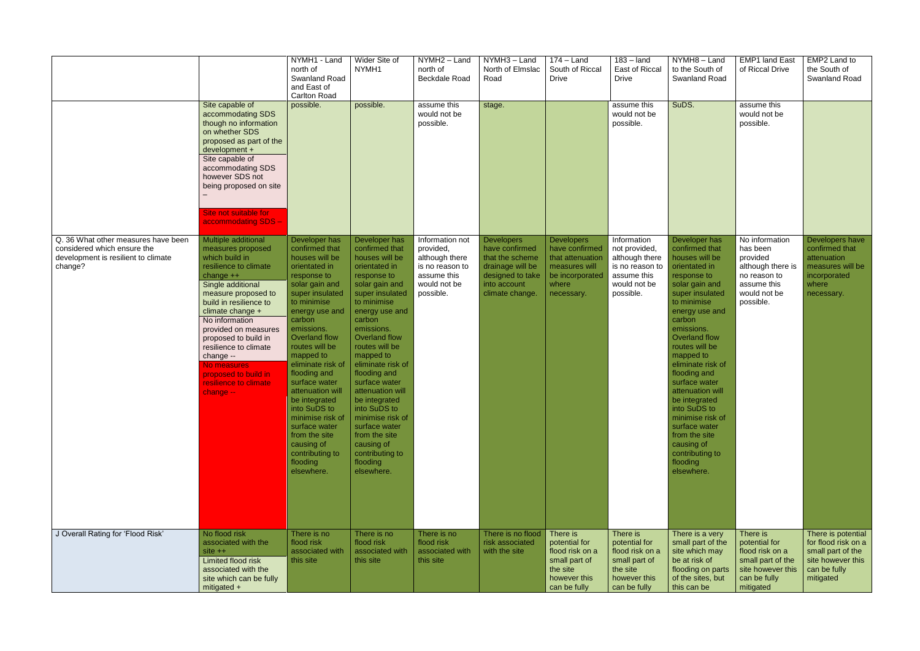|                                                                                                                      | Site capable of<br>accommodating SDS<br>though no information<br>on whether SDS<br>proposed as part of the<br>development +<br>Site capable of<br>accommodating SDS<br>however SDS not<br>being proposed on site<br>Site not suitable for<br>accommodating SDS -                                                                                                                  | NYMH1 - Land<br>north of<br>Swanland Road<br>and East of<br><b>Carlton Road</b><br>possible.                                                                                                                                                                                                                                                                                                                                                                | Wider Site of<br>NYMH1<br>possible.                                                                                                                                                                                                                                                                                                                                                                                                                         | NYMH2 - Land<br>north of<br><b>Beckdale Road</b><br>assume this<br>would not be<br>possible.                  | NYMH3 - Land<br>North of Elmslac<br>Road<br>stage.                                                                                | $174 -$ Land<br>South of Riccal<br><b>Drive</b>                                                                    | $183 -$ land<br>East of Riccal<br><b>Drive</b><br>assume this<br>would not be<br>possible.                    | NYMH8-Land<br>to the South of<br><b>Swanland Road</b><br>SuDS.                                                                                                                                                                                                                                                                                                                                                                                              | <b>EMP1 land East</b><br>of Riccal Drive<br>assume this<br>would not be<br>possible.                                    | EMP2 Land to<br>the South of<br>Swanland Road                                                                    |
|----------------------------------------------------------------------------------------------------------------------|-----------------------------------------------------------------------------------------------------------------------------------------------------------------------------------------------------------------------------------------------------------------------------------------------------------------------------------------------------------------------------------|-------------------------------------------------------------------------------------------------------------------------------------------------------------------------------------------------------------------------------------------------------------------------------------------------------------------------------------------------------------------------------------------------------------------------------------------------------------|-------------------------------------------------------------------------------------------------------------------------------------------------------------------------------------------------------------------------------------------------------------------------------------------------------------------------------------------------------------------------------------------------------------------------------------------------------------|---------------------------------------------------------------------------------------------------------------|-----------------------------------------------------------------------------------------------------------------------------------|--------------------------------------------------------------------------------------------------------------------|---------------------------------------------------------------------------------------------------------------|-------------------------------------------------------------------------------------------------------------------------------------------------------------------------------------------------------------------------------------------------------------------------------------------------------------------------------------------------------------------------------------------------------------------------------------------------------------|-------------------------------------------------------------------------------------------------------------------------|------------------------------------------------------------------------------------------------------------------|
| Q. 36 What other measures have been<br>considered which ensure the<br>development is resilient to climate<br>change? | Multiple additional<br>measures proposed<br>which build in<br>resilience to climate<br>change $++$<br>Single additional<br>measure proposed to<br>build in resilience to<br>climate change +<br>No information<br>provided on measures<br>proposed to build in<br>resilience to climate<br>change --<br>No measures<br>proposed to build in<br>resilience to climate<br>change -- | Developer has<br>confirmed that<br>houses will be<br>orientated in<br>response to<br>solar gain and<br>super insulated<br>to minimise<br>energy use and<br>carbon<br>emissions.<br>Overland flow<br>routes will be<br>mapped to<br>eliminate risk of<br>flooding and<br>surface water<br>attenuation will<br>be integrated<br>into SuDS to<br>minimise risk of<br>surface water<br>from the site<br>causing of<br>contributing to<br>flooding<br>elsewhere. | Developer has<br>confirmed that<br>houses will be<br>orientated in<br>response to<br>solar gain and<br>super insulated<br>to minimise<br>energy use and<br>carbon<br>emissions.<br>Overland flow<br>routes will be<br>mapped to<br>eliminate risk of<br>flooding and<br>surface water<br>attenuation will<br>be integrated<br>into SuDS to<br>minimise risk of<br>surface water<br>from the site<br>causing of<br>contributing to<br>flooding<br>elsewhere. | Information not<br>provided,<br>although there<br>is no reason to<br>assume this<br>would not be<br>possible. | <b>Developers</b><br>have confirmed<br>that the scheme<br>drainage will be<br>designed to take<br>into account<br>climate change. | <b>Developers</b><br>have confirmed<br>that attenuation<br>measures will<br>be incorporated<br>where<br>necessary. | Information<br>not provided,<br>although there<br>is no reason to<br>assume this<br>would not be<br>possible. | Developer has<br>confirmed that<br>houses will be<br>orientated in<br>response to<br>solar gain and<br>super insulated<br>to minimise<br>energy use and<br>carbon<br>emissions.<br>Overland flow<br>routes will be<br>mapped to<br>eliminate risk of<br>flooding and<br>surface water<br>attenuation will<br>be integrated<br>into SuDS to<br>minimise risk of<br>surface water<br>from the site<br>causing of<br>contributing to<br>flooding<br>elsewhere. | No information<br>has been<br>provided<br>although there is<br>no reason to<br>assume this<br>would not be<br>possible. | Developers have<br>confirmed that<br>attenuation<br>measures will be<br>incorporated<br>where<br>necessary.      |
| J Overall Rating for 'Flood Risk'                                                                                    | No flood risk<br>associated with the<br>$site + +$<br>Limited flood risk<br>associated with the<br>site which can be fully<br>mitigated $+$                                                                                                                                                                                                                                       | There is no<br>flood risk<br>associated with<br>this site                                                                                                                                                                                                                                                                                                                                                                                                   | There is no<br>flood risk<br>associated with<br>this site                                                                                                                                                                                                                                                                                                                                                                                                   | There is no<br>flood risk<br>associated with<br>this site                                                     | There is no flood<br>risk associated<br>with the site                                                                             | There is<br>potential for<br>flood risk on a<br>small part of<br>the site<br>however this<br>can be fully          | There is<br>potential for<br>flood risk on a<br>small part of<br>the site<br>however this<br>can be fully     | There is a very<br>small part of the<br>site which may<br>be at risk of<br>flooding on parts<br>of the sites, but<br>this can be                                                                                                                                                                                                                                                                                                                            | There is<br>potential for<br>flood risk on a<br>small part of the<br>site however this<br>can be fully<br>mitigated     | There is potential<br>for flood risk on a<br>small part of the<br>site however this<br>can be fully<br>mitigated |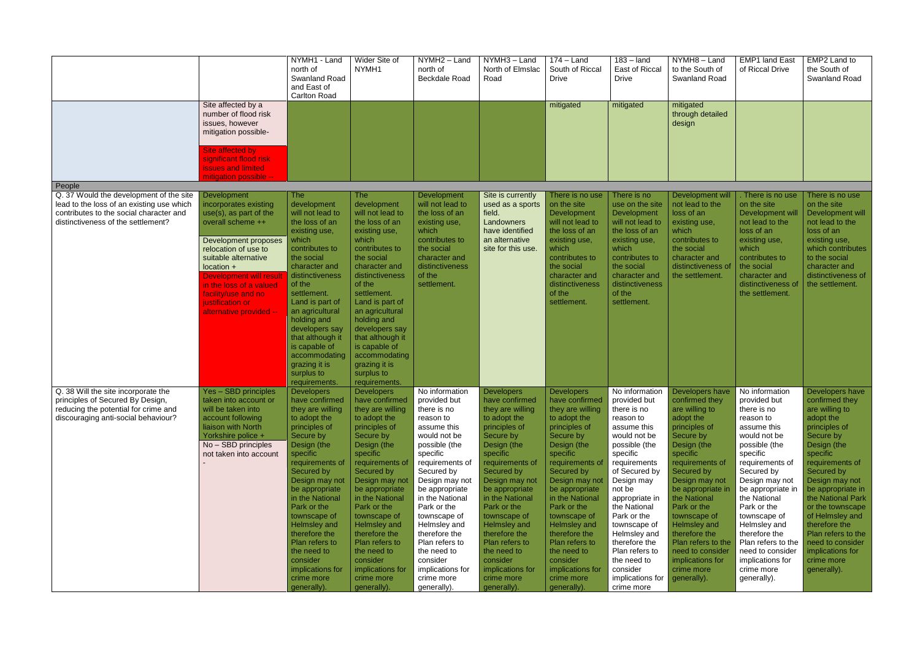|                                                                                                                                                                       |                                                                                                                                                                                                                                                                                                                     | NYMH1 - Land<br>north of<br><b>Swanland Road</b><br>and East of<br><b>Carlton Road</b>                                                                                                                                                                                                                                                                                                        | Wider Site of<br>NYMH1                                                                                                                                                                                                                                                                                                                                                                 | NYMH2 - Land<br>north of<br><b>Beckdale Road</b>                                                                                                                                                                                                                                                                                                                             | NYMH3 - Land<br>North of Elmslac<br>Road                                                                                                                                                                                                                                                                                                                                               | $174 -$ Land<br>South of Riccal<br><b>Drive</b>                                                                                                                                                                                                                                                                                                                                        | $183 -$ land<br>East of Riccal<br><b>Drive</b>                                                                                                                                                                                                                                                                                                                   | $\overline{NYMH8}$ – Land<br>to the South of<br><b>Swanland Road</b>                                                                                                                                                                                                                                                                                                         | <b>EMP1 land East</b><br>of Riccal Drive                                                                                                                                                                                                                                                                                                                                  | EMP2 Land to<br>the South of<br>Swanland Road                                                                                                                                                                                                                                                                                                                             |
|-----------------------------------------------------------------------------------------------------------------------------------------------------------------------|---------------------------------------------------------------------------------------------------------------------------------------------------------------------------------------------------------------------------------------------------------------------------------------------------------------------|-----------------------------------------------------------------------------------------------------------------------------------------------------------------------------------------------------------------------------------------------------------------------------------------------------------------------------------------------------------------------------------------------|----------------------------------------------------------------------------------------------------------------------------------------------------------------------------------------------------------------------------------------------------------------------------------------------------------------------------------------------------------------------------------------|------------------------------------------------------------------------------------------------------------------------------------------------------------------------------------------------------------------------------------------------------------------------------------------------------------------------------------------------------------------------------|----------------------------------------------------------------------------------------------------------------------------------------------------------------------------------------------------------------------------------------------------------------------------------------------------------------------------------------------------------------------------------------|----------------------------------------------------------------------------------------------------------------------------------------------------------------------------------------------------------------------------------------------------------------------------------------------------------------------------------------------------------------------------------------|------------------------------------------------------------------------------------------------------------------------------------------------------------------------------------------------------------------------------------------------------------------------------------------------------------------------------------------------------------------|------------------------------------------------------------------------------------------------------------------------------------------------------------------------------------------------------------------------------------------------------------------------------------------------------------------------------------------------------------------------------|---------------------------------------------------------------------------------------------------------------------------------------------------------------------------------------------------------------------------------------------------------------------------------------------------------------------------------------------------------------------------|---------------------------------------------------------------------------------------------------------------------------------------------------------------------------------------------------------------------------------------------------------------------------------------------------------------------------------------------------------------------------|
|                                                                                                                                                                       | Site affected by a<br>number of flood risk<br>issues, however<br>mitigation possible-                                                                                                                                                                                                                               |                                                                                                                                                                                                                                                                                                                                                                                               |                                                                                                                                                                                                                                                                                                                                                                                        |                                                                                                                                                                                                                                                                                                                                                                              |                                                                                                                                                                                                                                                                                                                                                                                        | mitigated                                                                                                                                                                                                                                                                                                                                                                              | mitigated                                                                                                                                                                                                                                                                                                                                                        | mitigated<br>through detailed<br>design                                                                                                                                                                                                                                                                                                                                      |                                                                                                                                                                                                                                                                                                                                                                           |                                                                                                                                                                                                                                                                                                                                                                           |
|                                                                                                                                                                       | Site affected by<br>significant flood risk<br><b>issues and limited</b><br>mitigation possible --                                                                                                                                                                                                                   |                                                                                                                                                                                                                                                                                                                                                                                               |                                                                                                                                                                                                                                                                                                                                                                                        |                                                                                                                                                                                                                                                                                                                                                                              |                                                                                                                                                                                                                                                                                                                                                                                        |                                                                                                                                                                                                                                                                                                                                                                                        |                                                                                                                                                                                                                                                                                                                                                                  |                                                                                                                                                                                                                                                                                                                                                                              |                                                                                                                                                                                                                                                                                                                                                                           |                                                                                                                                                                                                                                                                                                                                                                           |
| People                                                                                                                                                                |                                                                                                                                                                                                                                                                                                                     |                                                                                                                                                                                                                                                                                                                                                                                               |                                                                                                                                                                                                                                                                                                                                                                                        |                                                                                                                                                                                                                                                                                                                                                                              |                                                                                                                                                                                                                                                                                                                                                                                        |                                                                                                                                                                                                                                                                                                                                                                                        |                                                                                                                                                                                                                                                                                                                                                                  |                                                                                                                                                                                                                                                                                                                                                                              |                                                                                                                                                                                                                                                                                                                                                                           |                                                                                                                                                                                                                                                                                                                                                                           |
| Q. 37 Would the development of the site<br>lead to the loss of an existing use which<br>contributes to the social character and<br>distinctiveness of the settlement? | Development<br>incorporates existing<br>use(s), as part of the<br>overall scheme ++<br><b>Development proposes</b><br>relocation of use to<br>suitable alternative<br>location +<br><b>Development will result</b><br>in the loss of a valued<br>facility/use and no<br>justification or<br>alternative provided -- | <b>The</b><br>development<br>will not lead to<br>the loss of an<br>existing use,<br>which<br>contributes to<br>the social<br>character and<br>distinctiveness<br>of the<br>settlement.<br>Land is part of<br>an agricultural<br>holding and<br>developers say<br>that although it<br>is capable of<br>accommodating<br>grazing it is<br>surplus to<br>requirements.                           | <b>The</b><br>development<br>will not lead to<br>the loss of an<br>existing use,<br>which<br>contributes to<br>the social<br>character and<br>distinctiveness<br>of the<br>settlement.<br>Land is part of<br>an agricultural<br>holding and<br>developers say<br>that although it<br>is capable of<br>accommodating<br>grazing it is<br>surplus to<br>requirements.                    | Development<br>will not lead to<br>the loss of an<br>existing use,<br>which<br>contributes to<br>the social<br>character and<br>distinctiveness<br>of the<br>settlement.                                                                                                                                                                                                     | Site is currently<br>used as a sports<br>field.<br>Landowners<br>have identified<br>an alternative<br>site for this use.                                                                                                                                                                                                                                                               | There is no use<br>on the site<br>Development<br>will not lead to<br>the loss of an<br>existing use,<br>which<br>contributes to<br>the social<br>character and<br>distinctiveness<br>of the<br>settlement.                                                                                                                                                                             | There is no<br>use on the site<br>Development<br>will not lead to<br>the loss of an<br>existing use,<br>which<br>contributes to<br>the social<br>character and<br>distinctiveness<br>of the<br>settlement.                                                                                                                                                       | Development will<br>not lead to the<br>loss of an<br>existing use,<br>which<br>contributes to<br>the social<br>character and<br>distinctiveness of<br>the settlement.                                                                                                                                                                                                        | . There is no use<br>on the site<br>Development will<br>not lead to the<br>loss of an<br>existing use,<br>which<br>contributes to<br>the social<br>character and<br>distinctiveness of<br>the settlement.                                                                                                                                                                 | There is no use<br>on the site<br>Development will<br>not lead to the<br>loss of an<br>existing use,<br>which contributes<br>to the social<br>character and<br>distinctiveness of<br>the settlement.                                                                                                                                                                      |
| Q. 38 Will the site incorporate the<br>principles of Secured By Design,<br>reducing the potential for crime and<br>discouraging anti-social behaviour?                | Yes - SBD principles<br>taken into account or<br>will be taken into<br>account following<br>liaison with North<br>Yorkshire police +<br>No - SBD principles<br>not taken into account                                                                                                                               | <b>Developers</b><br>nave confirmed<br>they are willing<br>to adopt the<br>principles of<br>Secure by<br>Design (the<br>specific<br>requirements of<br>Secured by<br>Design may not<br>be appropriate<br>in the National<br>Park or the<br>townscape of<br><b>Helmsley and</b><br>therefore the<br>Plan refers to<br>the need to<br>consider<br>implications for<br>crime more<br>generally). | <b>Developers</b><br>nave confirmed<br>they are willing<br>to adopt the<br>principles of<br>Secure by<br>Design (the<br>specific<br>requirements of<br>Secured by<br>Design may not<br>be appropriate<br>in the National<br>Park or the<br>townscape of<br>Helmsley and<br>therefore the<br>Plan refers to<br>the need to<br>consider<br>implications for<br>crime more<br>generally). | No information<br>provided but<br>there is no<br>reason to<br>assume this<br>would not be<br>possible (the<br>specific<br>requirements of<br>Secured by<br>Design may not<br>be appropriate<br>in the National<br>Park or the<br>townscape of<br>Helmsley and<br>therefore the<br>Plan refers to<br>the need to<br>consider<br>implications for<br>crime more<br>generally). | <b>Developers</b><br>nave confirmed<br>they are willing<br>to adopt the<br>principles of<br>Secure by<br>Design (the<br>specific<br>requirements of<br>Secured by<br>Design may not<br>be appropriate<br>in the National<br>Park or the<br>townscape of<br>Helmsley and<br>therefore the<br>Plan refers to<br>the need to<br>consider<br>implications for<br>crime more<br>generally). | <b>Developers</b><br>nave confirmed<br>they are willing<br>to adopt the<br>principles of<br>Secure by<br>Design (the<br>specific<br>requirements of<br>Secured by<br>Design may not<br>be appropriate<br>in the National<br>Park or the<br>townscape of<br>Helmsley and<br>therefore the<br>Plan refers to<br>the need to<br>consider<br>implications for<br>crime more<br>generally). | No information<br>provided but<br>there is no<br>reason to<br>assume this<br>would not be<br>possible (the<br>specific<br>requirements<br>of Secured by<br>Design may<br>not be<br>appropriate in<br>the National<br>Park or the<br>townscape of<br>Helmsley and<br>therefore the<br>Plan refers to<br>the need to<br>consider<br>implications for<br>crime more | Developers have<br>confirmed they<br>are willing to<br>adopt the<br>principles of<br>Secure by<br>Design (the<br>specific<br>requirements of<br>Secured by<br>Design may not<br>be appropriate in<br>the National<br>Park or the<br>townscape of<br>Helmsley and<br>therefore the<br>Plan refers to the<br>need to consider<br>implications for<br>crime more<br>generally). | No information<br>provided but<br>there is no<br>reason to<br>assume this<br>would not be<br>possible (the<br>specific<br>requirements of<br>Secured by<br>Design may not<br>be appropriate in<br>the National<br>Park or the<br>townscape of<br>Helmsley and<br>therefore the<br>Plan refers to the<br>need to consider<br>implications for<br>crime more<br>generally). | Developers have<br>confirmed they<br>are willing to<br>adopt the<br>principles of<br>Secure by<br>Design (the<br>specific<br>requirements of<br>Secured by<br>Design may not<br>be appropriate in<br>the National Park<br>or the townscape<br>of Helmsley and<br>therefore the<br>Plan refers to the<br>need to consider<br>implications for<br>crime more<br>generally). |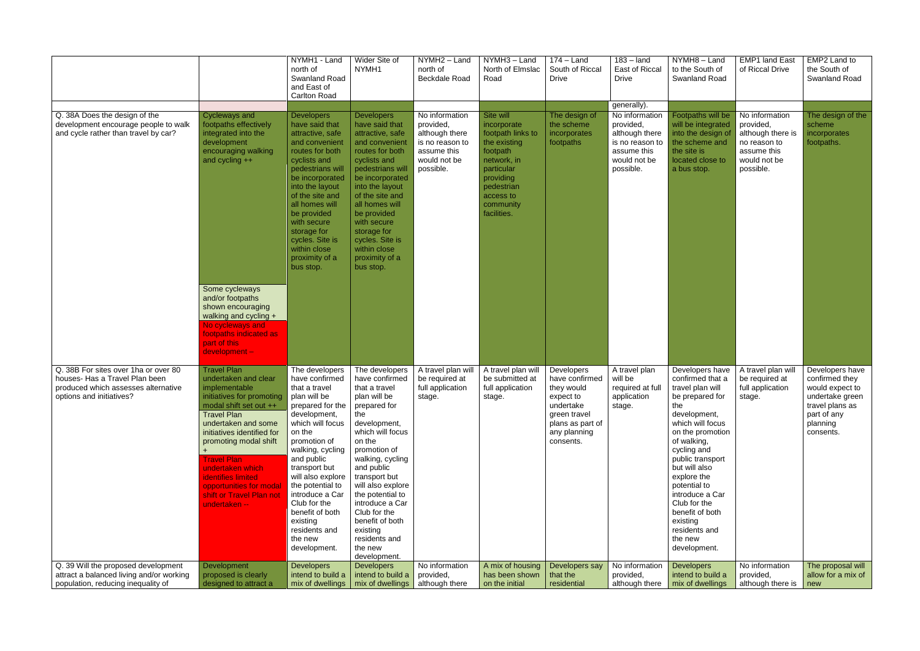|                                                                                                                                           |                                                                                                                                                                                                                                                                                                                                                                | NYMH1 - Land<br>north of<br><b>Swanland Road</b><br>and East of<br><b>Carlton Road</b>                                                                                                                                                                                                                                                                        | Wider Site of<br>NYMH1                                                                                                                                                                                                                                                                                                                                           | NYMH2 - Land<br>north of<br><b>Beckdale Road</b>                                                             | NYMH3 - Land<br>North of Elmslac<br>Road                                                                                                                                   | $174 -$ Land<br>South of Riccal<br><b>Drive</b>                                                                                       | $183 -$ land<br>East of Riccal<br><b>Drive</b>                                                               | NYMH8-Land<br>to the South of<br><b>Swanland Road</b>                                                                                                                                                                                                                                                                                                     | <b>EMP1 land East</b><br>of Riccal Drive                                                                     | EMP2 Land to<br>the South of<br>Swanland Road                                                                                      |
|-------------------------------------------------------------------------------------------------------------------------------------------|----------------------------------------------------------------------------------------------------------------------------------------------------------------------------------------------------------------------------------------------------------------------------------------------------------------------------------------------------------------|---------------------------------------------------------------------------------------------------------------------------------------------------------------------------------------------------------------------------------------------------------------------------------------------------------------------------------------------------------------|------------------------------------------------------------------------------------------------------------------------------------------------------------------------------------------------------------------------------------------------------------------------------------------------------------------------------------------------------------------|--------------------------------------------------------------------------------------------------------------|----------------------------------------------------------------------------------------------------------------------------------------------------------------------------|---------------------------------------------------------------------------------------------------------------------------------------|--------------------------------------------------------------------------------------------------------------|-----------------------------------------------------------------------------------------------------------------------------------------------------------------------------------------------------------------------------------------------------------------------------------------------------------------------------------------------------------|--------------------------------------------------------------------------------------------------------------|------------------------------------------------------------------------------------------------------------------------------------|
|                                                                                                                                           |                                                                                                                                                                                                                                                                                                                                                                |                                                                                                                                                                                                                                                                                                                                                               |                                                                                                                                                                                                                                                                                                                                                                  |                                                                                                              |                                                                                                                                                                            |                                                                                                                                       | generally).                                                                                                  |                                                                                                                                                                                                                                                                                                                                                           |                                                                                                              |                                                                                                                                    |
| Q. 38A Does the design of the<br>development encourage people to walk<br>and cycle rather than travel by car?                             | Cycleways and<br>footpaths effectively<br>integrated into the<br>development<br>encouraging walking<br>and cycling ++<br>Some cycleways<br>and/or footpaths<br>shown encouraging<br>walking and cycling +<br>No cycleways and<br>footpaths indicated as<br>part of this<br>$development -$                                                                     | <b>Developers</b><br>have said that<br>attractive, safe<br>and convenient<br>routes for both<br>cyclists and<br>pedestrians will<br>be incorporated<br>into the layout<br>of the site and<br>all homes will<br>be provided<br>with secure<br>storage for<br>cycles. Site is<br>within close<br>proximity of a<br>bus stop.                                    | <b>Developers</b><br>have said that<br>attractive, safe<br>and convenient<br>routes for both<br>cyclists and<br>pedestrians will<br>be incorporated<br>into the layout<br>of the site and<br>all homes will<br>be provided<br>with secure<br>storage for<br>cycles. Site is<br>within close<br>proximity of a<br>bus stop.                                       | No information<br>provided,<br>although there<br>is no reason to<br>assume this<br>would not be<br>possible. | Site will<br>incorporate<br>footpath links to<br>the existing<br>footpath<br>network, in<br>particular<br>providing<br>pedestrian<br>access to<br>community<br>facilities. | The design of<br>the scheme<br>incorporates<br>footpaths                                                                              | No information<br>provided,<br>although there<br>is no reason to<br>assume this<br>would not be<br>possible. | Footpaths will be<br>will be integrated<br>into the design of<br>the scheme and<br>the site is<br>located close to<br>a bus stop.                                                                                                                                                                                                                         | No information<br>provided,<br>although there is<br>no reason to<br>assume this<br>would not be<br>possible. | The design of the<br>scheme<br>incorporates<br>footpaths.                                                                          |
| Q. 38B For sites over 1ha or over 80<br>houses- Has a Travel Plan been<br>produced which assesses alternative<br>options and initiatives? | <b>Travel Plan</b><br>undertaken and clear<br>implementable<br>initiatives for promoting<br>modal shift set out ++<br><b>Travel Plan</b><br>undertaken and some<br>initiatives identified for<br>promoting modal shift<br><b>Travel Plan</b><br>undertaken which<br>identifies limited<br>opportunities for modal<br>shift or Travel Plan not<br>undertaken -- | The developers<br>have confirmed<br>that a travel<br>plan will be<br>prepared for the<br>development,<br>which will focus<br>on the<br>promotion of<br>walking, cycling<br>and public<br>transport but<br>will also explore<br>the potential to<br>introduce a Car<br>Club for the<br>benefit of both<br>existing<br>residents and<br>the new<br>development. | The developers<br>have confirmed<br>that a travel<br>plan will be<br>prepared for<br>the<br>development,<br>which will focus<br>on the<br>promotion of<br>walking, cycling<br>and public<br>transport but<br>will also explore<br>the potential to<br>introduce a Car<br>Club for the<br>benefit of both<br>existing<br>residents and<br>the new<br>development. | A travel plan will<br>be required at<br>full application<br>stage.                                           | A travel plan will<br>be submitted at<br>full application<br>stage.                                                                                                        | Developers<br>have confirmed<br>they would<br>expect to<br>undertake<br>green travel<br>plans as part of<br>any planning<br>consents. | A travel plan<br>will be<br>required at full<br>application<br>stage.                                        | Developers have<br>confirmed that a<br>travel plan will<br>be prepared for<br>the<br>development,<br>which will focus<br>on the promotion<br>of walking,<br>cycling and<br>public transport<br>but will also<br>explore the<br>potential to<br>introduce a Car<br>Club for the<br>benefit of both<br>existing<br>residents and<br>the new<br>development. | A travel plan will<br>be required at<br>full application<br>stage.                                           | Developers have<br>confirmed they<br>would expect to<br>undertake green<br>travel plans as<br>part of any<br>planning<br>consents. |
| Q. 39 Will the proposed development<br>attract a balanced living and/or working                                                           | Development<br>proposed is clearly                                                                                                                                                                                                                                                                                                                             | <b>Developers</b><br>intend to build a                                                                                                                                                                                                                                                                                                                        | <b>Developers</b><br>intend to build a                                                                                                                                                                                                                                                                                                                           | No information<br>provided,                                                                                  | A mix of housing<br>has been shown                                                                                                                                         | Developers say<br>that the                                                                                                            | No information<br>provided,                                                                                  | <b>Developers</b><br>intend to build a                                                                                                                                                                                                                                                                                                                    | No information<br>provided,                                                                                  | The proposal will<br>allow for a mix of                                                                                            |
| population, reducing inequality of                                                                                                        | designed to attract a                                                                                                                                                                                                                                                                                                                                          | mix of dwellings                                                                                                                                                                                                                                                                                                                                              | mix of dwellings                                                                                                                                                                                                                                                                                                                                                 | although there                                                                                               | on the initial                                                                                                                                                             | residential                                                                                                                           | although there                                                                                               | mix of dwellings                                                                                                                                                                                                                                                                                                                                          | although there is                                                                                            | new                                                                                                                                |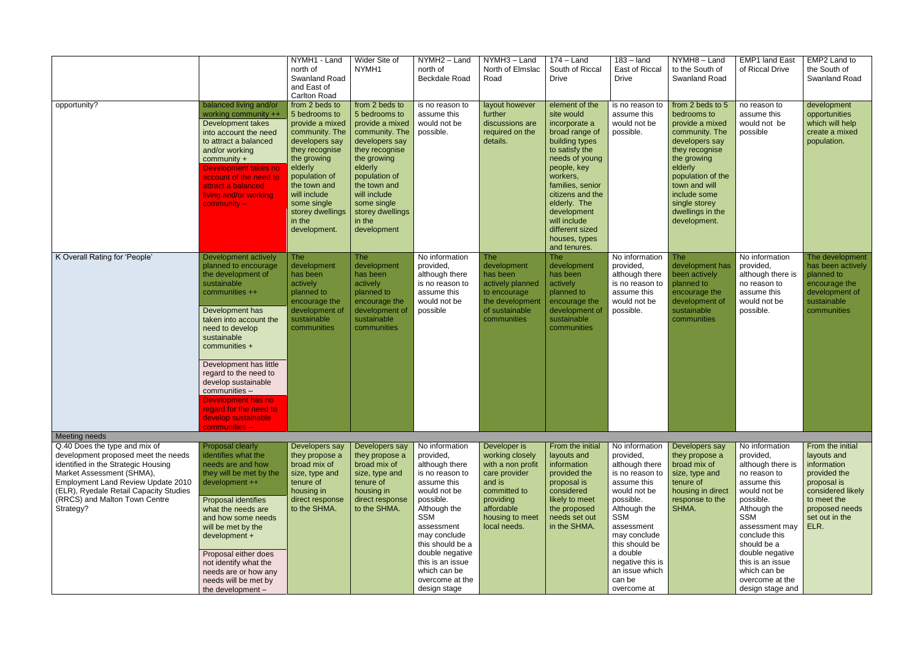|                                                                                                                                                                                                                                                                                                |                                                                                                                                                                                                                                                                                                                                                                                         | NYMH1 - Land<br>north of<br><b>Swanland Road</b><br>and East of<br><b>Carlton Road</b>                                                                                                                                                           | Wider Site of<br>NYMH1                                                                                                                                                                                                                          | NYMH2 - Land<br>north of<br><b>Beckdale Road</b>                                                                                                                                                                                                                                       | NYMH3-Land<br>North of Elmslac<br>Road                                                                                                                        | $174 -$ Land<br>South of Riccal<br><b>Drive</b>                                                                                                                                                                                                                                             | $183 -$ land<br>East of Riccal<br><b>Drive</b>                                                                                                                                                                                                                        | NYMH8-Land<br>to the South of<br><b>Swanland Road</b>                                                                                                                                                                                         | <b>EMP1 land East</b><br>of Riccal Drive                                                                                                                                                                                                                                                   | EMP2 Land to<br>the South of<br>Swanland Road                                                                                                                 |
|------------------------------------------------------------------------------------------------------------------------------------------------------------------------------------------------------------------------------------------------------------------------------------------------|-----------------------------------------------------------------------------------------------------------------------------------------------------------------------------------------------------------------------------------------------------------------------------------------------------------------------------------------------------------------------------------------|--------------------------------------------------------------------------------------------------------------------------------------------------------------------------------------------------------------------------------------------------|-------------------------------------------------------------------------------------------------------------------------------------------------------------------------------------------------------------------------------------------------|----------------------------------------------------------------------------------------------------------------------------------------------------------------------------------------------------------------------------------------------------------------------------------------|---------------------------------------------------------------------------------------------------------------------------------------------------------------|---------------------------------------------------------------------------------------------------------------------------------------------------------------------------------------------------------------------------------------------------------------------------------------------|-----------------------------------------------------------------------------------------------------------------------------------------------------------------------------------------------------------------------------------------------------------------------|-----------------------------------------------------------------------------------------------------------------------------------------------------------------------------------------------------------------------------------------------|--------------------------------------------------------------------------------------------------------------------------------------------------------------------------------------------------------------------------------------------------------------------------------------------|---------------------------------------------------------------------------------------------------------------------------------------------------------------|
| opportunity?                                                                                                                                                                                                                                                                                   | balanced living and/or<br>working community ++<br>Development takes<br>into account the need<br>to attract a balanced<br>and/or working<br>$community +$<br>Development takes no<br>account of the need to<br>attract a balanced<br>living and/or working<br>$community -$                                                                                                              | from 2 beds to<br>5 bedrooms to<br>provide a mixed<br>community. The<br>developers say<br>they recognise<br>the growing<br>elderly<br>population of<br>the town and<br>will include<br>some single<br>storey dwellings<br>in the<br>development. | from 2 beds to<br>5 bedrooms to<br>provide a mixed<br>community. The<br>developers say<br>they recognise<br>the growing<br>elderly<br>population of<br>the town and<br>will include<br>some single<br>storey dwellings<br>in the<br>development | is no reason to<br>assume this<br>would not be<br>possible.                                                                                                                                                                                                                            | layout however<br>further<br>discussions are<br>required on the<br>details.                                                                                   | element of the<br>site would<br>incorporate a<br>broad range of<br>building types<br>to satisfy the<br>needs of young<br>people, key<br>workers,<br>families, senior<br>citizens and the<br>elderly. The<br>development<br>will include<br>different sized<br>houses, types<br>and tenures. | is no reason to<br>assume this<br>would not be<br>possible.                                                                                                                                                                                                           | from 2 beds to 5<br>bedrooms to<br>provide a mixed<br>community. The<br>developers say<br>they recognise<br>the growing<br>elderly<br>population of the<br>town and will<br>include some<br>single storey<br>dwellings in the<br>development. | no reason to<br>assume this<br>would not be<br>possible                                                                                                                                                                                                                                    | development<br>opportunities<br>which will help<br>create a mixed<br>population.                                                                              |
| K Overall Rating for 'People'                                                                                                                                                                                                                                                                  | Development actively<br>planned to encourage<br>the development of<br>sustainable<br>communities ++<br>Development has<br>taken into account the<br>need to develop<br>sustainable<br>communities +<br>Development has little<br>regard to the need to<br>develop sustainable<br>communities -<br>Development has no<br>regard for the need to<br>develop sustainable<br>communities -- | <b>The</b><br>development<br>has been<br>actively<br>planned to<br>encourage the<br>development of<br>sustainable<br>communities                                                                                                                 | <b>The</b><br>development<br>has been<br>actively<br>planned to<br>encourage the<br>development of<br>sustainable<br>communities                                                                                                                | No information<br>provided,<br>although there<br>is no reason to<br>assume this<br>would not be<br>possible                                                                                                                                                                            | <b>The</b><br>development<br>has been<br>actively planned<br>to encourage<br>the development<br>of sustainable<br>communities                                 | <b>The</b><br>development<br>has been<br>actively<br>planned to<br>encourage the<br>development of<br>sustainable<br>communities                                                                                                                                                            | No information<br>provided,<br>although there<br>is no reason to<br>assume this<br>would not be<br>possible.                                                                                                                                                          | <b>The</b><br>development has<br>been actively<br>planned to<br>encourage the<br>development of<br>sustainable<br>communities                                                                                                                 | No information<br>provided,<br>although there is<br>no reason to<br>assume this<br>would not be<br>possible.                                                                                                                                                                               | The development<br>has been actively<br>planned to<br>encourage the<br>development of<br>sustainable<br>communities                                           |
| Meeting needs<br>Q.40 Does the type and mix of<br>development proposed meet the needs<br>identified in the Strategic Housing<br>Market Assessment (SHMA),<br><b>Employment Land Review Update 2010</b><br>(ELR), Ryedale Retail Capacity Studies<br>(RRCS) and Malton Town Centre<br>Strategy? | Proposal clearly<br>identifies what the<br>needs are and how<br>they will be met by the<br>development ++<br>Proposal identifies<br>what the needs are<br>and how some needs<br>will be met by the<br>development +<br>Proposal either does<br>not identify what the<br>needs are or how any<br>needs will be met by<br>the development -                                               | Developers say<br>they propose a<br>broad mix of<br>size, type and<br>tenure of<br>housing in<br>direct response<br>to the SHMA.                                                                                                                 | Developers say<br>they propose a<br>broad mix of<br>size, type and<br>tenure of<br>housing in<br>direct response<br>to the SHMA.                                                                                                                | No information<br>provided,<br>although there<br>is no reason to<br>assume this<br>would not be<br>possible.<br>Although the<br><b>SSM</b><br>assessment<br>may conclude<br>this should be a<br>double negative<br>this is an issue<br>which can be<br>overcome at the<br>design stage | Developer is<br>working closely<br>with a non profit<br>care provider<br>and is<br>committed to<br>providing<br>affordable<br>housing to meet<br>local needs. | From the initial<br>layouts and<br>information<br>provided the<br>proposal is<br>considered<br>likely to meet<br>the proposed<br>needs set out<br>in the SHMA.                                                                                                                              | No information<br>provided,<br>although there<br>is no reason to<br>assume this<br>would not be<br>possible.<br>Although the<br><b>SSM</b><br>assessment<br>may conclude<br>this should be<br>a double<br>negative this is<br>an issue which<br>can be<br>overcome at | Developers say<br>they propose a<br>broad mix of<br>size, type and<br>tenure of<br>housing in direct<br>response to the<br>SHMA.                                                                                                              | No information<br>provided,<br>although there is<br>no reason to<br>assume this<br>would not be<br>possible.<br>Although the<br><b>SSM</b><br>assessment may<br>conclude this<br>should be a<br>double negative<br>this is an issue<br>which can be<br>overcome at the<br>design stage and | From the initial<br>layouts and<br>information<br>provided the<br>proposal is<br>considered likely<br>to meet the<br>proposed needs<br>set out in the<br>ELR. |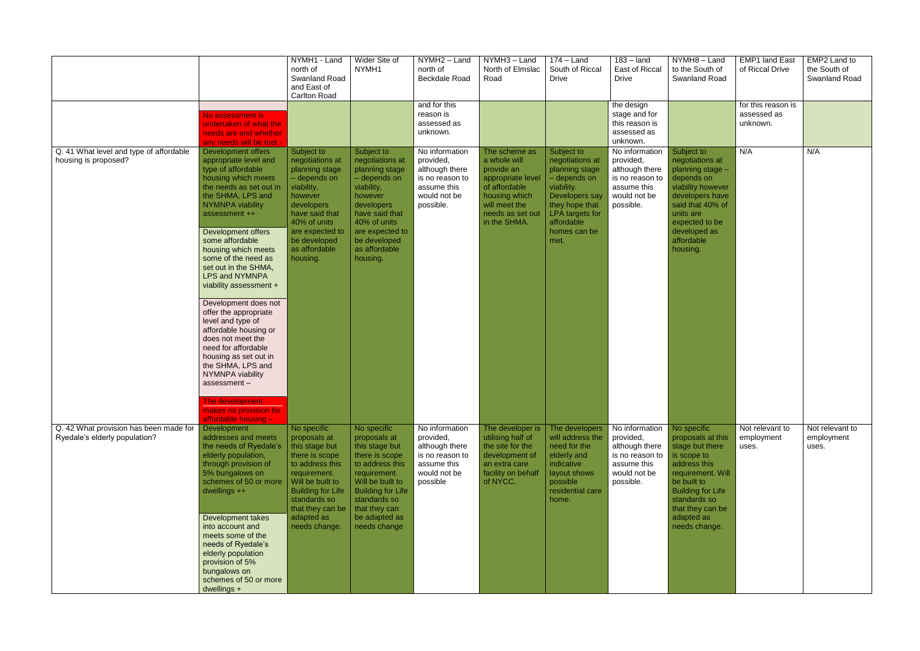|                                                                         |                                                                                                                                                                                                                                                                                                                                                                                                                                                                                                                                                                                                                                                    | NYMH1 - Land<br>north of<br>Swanland Road<br>and East of<br><b>Carlton Road</b>                                                                                                                                       | Wider Site of<br>NYMH1                                                                                                                                                                                               | NYMH2 - Land<br>north of<br>Beckdale Road<br>and for this                                                    | NYMH3 - Land<br>North of Elmslac<br>Road                                                                                                                | $174 -$ Land<br>South of Riccal<br><b>Drive</b>                                                                                                                            | $183 -$ land<br>East of Riccal<br><b>Drive</b><br>the design                                                 | NYMH8-Land<br>to the South of<br><b>Swanland Road</b>                                                                                                                                                                 | <b>EMP1 land East</b><br>of Riccal Drive<br>for this reason is | EMP2 Land to<br>the South of<br>Swanland Road |
|-------------------------------------------------------------------------|----------------------------------------------------------------------------------------------------------------------------------------------------------------------------------------------------------------------------------------------------------------------------------------------------------------------------------------------------------------------------------------------------------------------------------------------------------------------------------------------------------------------------------------------------------------------------------------------------------------------------------------------------|-----------------------------------------------------------------------------------------------------------------------------------------------------------------------------------------------------------------------|----------------------------------------------------------------------------------------------------------------------------------------------------------------------------------------------------------------------|--------------------------------------------------------------------------------------------------------------|---------------------------------------------------------------------------------------------------------------------------------------------------------|----------------------------------------------------------------------------------------------------------------------------------------------------------------------------|--------------------------------------------------------------------------------------------------------------|-----------------------------------------------------------------------------------------------------------------------------------------------------------------------------------------------------------------------|----------------------------------------------------------------|-----------------------------------------------|
|                                                                         | No assessment is<br>undertaken of what the<br>needs are and whether<br>any needs will be met                                                                                                                                                                                                                                                                                                                                                                                                                                                                                                                                                       |                                                                                                                                                                                                                       |                                                                                                                                                                                                                      | reason is<br>assessed as<br>unknown.                                                                         |                                                                                                                                                         |                                                                                                                                                                            | stage and for<br>this reason is<br>assessed as<br>unknown.                                                   |                                                                                                                                                                                                                       | assessed as<br>unknown.                                        |                                               |
| Q. 41 What level and type of affordable<br>housing is proposed?         | Development offers<br>appropriate level and<br>type of affordable<br>housing which meets<br>the needs as set out in<br>the SHMA, LPS and<br>NYMNPA viability<br>assessment ++<br>Development offers<br>some affordable<br>housing which meets<br>some of the need as<br>set out in the SHMA,<br>LPS and NYMNPA<br>viability assessment +<br>Development does not<br>offer the appropriate<br>level and type of<br>affordable housing or<br>does not meet the<br>need for affordable<br>housing as set out in<br>the SHMA, LPS and<br>NYMNPA viability<br>assessment-<br><u>i në development </u><br>makes no provision for<br>affordable housing - | Subject to<br>negotiations at<br>planning stage<br>- depends on<br>viability,<br>however<br>developers<br>have said that<br>40% of units<br>are expected to<br>be developed<br>as affordable<br>housing.              | Subject to<br>negotiations at<br>planning stage<br>- depends on<br>viability,<br>however<br>developers<br>have said that<br>40% of units<br>are expected to<br>be developed<br>as affordable<br>housing.             | No information<br>provided,<br>although there<br>is no reason to<br>assume this<br>would not be<br>possible. | The scheme as<br>a whole will<br>provide an<br>appropriate level<br>of affordable<br>housing which<br>will meet the<br>needs as set out<br>in the SHMA. | Subject to<br>negotiations at<br>planning stage<br>- depends on<br>viability.<br>Developers say<br>they hope that<br>LPA targets for<br>affordable<br>homes can be<br>met. | No information<br>provided,<br>although there<br>is no reason to<br>assume this<br>would not be<br>possible. | Subject to<br>negotiations at<br>planning stage -<br>depends on<br>viability however<br>developers have<br>said that 40% of<br>units are<br>expected to be<br>developed as<br>affordable<br>housing.                  | N/A                                                            | N/A                                           |
| Q. 42 What provision has been made for<br>Ryedale's elderly population? | Development<br>addresses and meets<br>the needs of Ryedale's<br>elderly population,<br>through provision of<br>5% bungalows on<br>schemes of 50 or more<br>dwellings $++$<br>Development takes<br>into account and<br>meets some of the<br>needs of Ryedale's<br>elderly population<br>provision of 5%<br>bungalows on<br>schemes of 50 or more<br>dwellings +                                                                                                                                                                                                                                                                                     | No specific<br>proposals at<br>this stage but<br>there is scope<br>to address this<br>requirement.<br>Will be built to<br><b>Building for Life</b><br>standards so<br>that they can be<br>adapted as<br>needs change. | No specific<br>proposals at<br>this stage but<br>there is scope<br>to address this<br>requirement.<br>Will be built to<br><b>Building for Life</b><br>standards so<br>that they can<br>be adapted as<br>needs change | No information<br>provided,<br>although there<br>is no reason to<br>assume this<br>would not be<br>possible  | The developer is<br>utilising half of<br>the site for the<br>development of<br>an extra care<br>facility on behalf<br>of NYCC.                          | The developers<br>will address the<br>need for the<br>elderly and<br>indicative<br>layout shows<br>possible<br>residential care<br>home.                                   | No information<br>provided,<br>although there<br>is no reason to<br>assume this<br>would not be<br>possible. | No specific<br>proposals at this<br>stage but there<br>is scope to<br>address this<br>requirement. Will<br>be built to<br><b>Building for Life</b><br>standards so<br>that they can be<br>adapted as<br>needs change. | Not relevant to<br>employment<br>uses.                         | Not relevant to<br>employment<br>uses.        |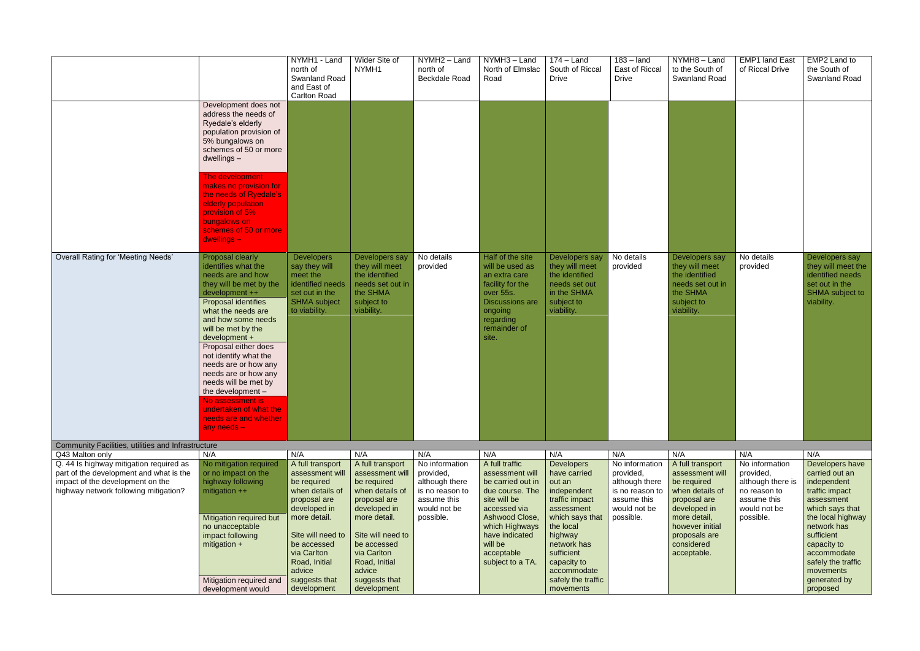|                                                                                                                                       | NYMH1 - Land<br>north of<br><b>Swanland Road</b><br>and East of<br><b>Carlton Road</b>                                                                                                                                                                                                                                                                                                                                                                                                                                                                                   | Wider Site of<br>NYMH1                                                                                         | NYMH2 - Land<br>north of<br><b>Beckdale Road</b>                                           | NYMH3 - Land<br>North of Elmslac<br>Road                                                                                                                         | $174 -$ Land<br>South of Riccal<br><b>Drive</b>                                                                | $183 -$ land<br>East of Riccal<br><b>Drive</b>                                             | NYMH8-Land<br>to the South of<br>Swanland Road                                                                       | <b>EMP1 land East</b><br>of Riccal Drive                                                   | EMP2 Land to<br>the South of<br>Swanland Road                                                                        |
|---------------------------------------------------------------------------------------------------------------------------------------|--------------------------------------------------------------------------------------------------------------------------------------------------------------------------------------------------------------------------------------------------------------------------------------------------------------------------------------------------------------------------------------------------------------------------------------------------------------------------------------------------------------------------------------------------------------------------|----------------------------------------------------------------------------------------------------------------|--------------------------------------------------------------------------------------------|------------------------------------------------------------------------------------------------------------------------------------------------------------------|----------------------------------------------------------------------------------------------------------------|--------------------------------------------------------------------------------------------|----------------------------------------------------------------------------------------------------------------------|--------------------------------------------------------------------------------------------|----------------------------------------------------------------------------------------------------------------------|
| $dwellings -$                                                                                                                         | Development does not<br>address the needs of<br>Ryedale's elderly<br>population provision of<br>5% bungalows on<br>schemes of 50 or more                                                                                                                                                                                                                                                                                                                                                                                                                                 |                                                                                                                |                                                                                            |                                                                                                                                                                  |                                                                                                                |                                                                                            |                                                                                                                      |                                                                                            |                                                                                                                      |
| bungalows on<br>$dwellings -$                                                                                                         | The development<br>makes no provision for<br>the needs of Ryedale's<br>elderly population<br>provision of 5%<br>schemes of 50 or more                                                                                                                                                                                                                                                                                                                                                                                                                                    |                                                                                                                |                                                                                            |                                                                                                                                                                  |                                                                                                                |                                                                                            |                                                                                                                      |                                                                                            |                                                                                                                      |
| <b>Overall Rating for 'Meeting Needs'</b><br>any needs $-$                                                                            | <b>Proposal clearly</b><br><b>Developers</b><br>identifies what the<br>say they will<br>needs are and how<br>meet the<br>identified needs<br>they will be met by the<br>set out in the<br>development ++<br>SHMA subject<br>Proposal identifies<br>to viability.<br>what the needs are<br>and how some needs<br>will be met by the<br>development +<br>Proposal either does<br>not identify what the<br>needs are or how any<br>needs are or how any<br>needs will be met by<br>the development -<br>vo assessment is<br>undertaken of what the<br>needs are and whether | Developers say<br>they will meet<br>the identified<br>needs set out in<br>the SHMA<br>subject to<br>viability. | No details<br>provided                                                                     | Half of the site<br>will be used as<br>an extra care<br>facility for the<br>over 55s.<br><b>Discussions are</b><br>ongoing<br>regarding<br>remainder of<br>site. | Developers say<br>they will meet<br>the identified<br>needs set out<br>in the SHMA<br>subject to<br>viability. | No details<br>provided                                                                     | Developers say<br>they will meet<br>the identified<br>needs set out in<br>the SHMA<br>subject to<br>viability.       | No details<br>provided                                                                     | Developers say<br>they will meet the<br>identified needs<br>set out in the<br>SHMA subject to<br>viability.          |
| Community Facilities, utilities and Infrastructure                                                                                    |                                                                                                                                                                                                                                                                                                                                                                                                                                                                                                                                                                          |                                                                                                                |                                                                                            |                                                                                                                                                                  |                                                                                                                |                                                                                            |                                                                                                                      |                                                                                            |                                                                                                                      |
| Q43 Malton only<br>N/A<br>Q. 44 Is highway mitigation required as                                                                     | N/A<br>A full transport<br>No mitigation required                                                                                                                                                                                                                                                                                                                                                                                                                                                                                                                        | N/A<br>A full transport                                                                                        | N/A<br>No information                                                                      | N/A<br>A full traffic                                                                                                                                            | N/A<br><b>Developers</b>                                                                                       | N/A<br>No information                                                                      | N/A<br>A full transport                                                                                              | N/A<br>No information                                                                      | N/A<br>Developers have                                                                                               |
| part of the development and what is the<br>impact of the development on the<br>highway network following mitigation?<br>mitigation ++ | or no impact on the<br>assessment will<br>highway following<br>be required<br>when details of<br>proposal are<br>developed in<br>more detail.<br><b>Mitigation required but</b><br>no unacceptable                                                                                                                                                                                                                                                                                                                                                                       | assessment will<br>be required<br>when details of<br>proposal are<br>developed in<br>more detail.              | provided,<br>although there<br>is no reason to<br>assume this<br>would not be<br>possible. | assessment will<br>be carried out in<br>due course. The<br>site will be<br>accessed via<br>Ashwood Close,<br>which Highways                                      | have carried<br>out an<br>independent<br>traffic impact<br>assessment<br>which says that<br>the local          | provided,<br>although there<br>is no reason to<br>assume this<br>would not be<br>possible. | assessment will<br>be required<br>when details of<br>proposal are<br>developed in<br>more detail,<br>however initial | provided,<br>although there is<br>no reason to<br>assume this<br>would not be<br>possible. | carried out an<br>independent<br>traffic impact<br>assessment<br>which says that<br>the local highway<br>network has |
| mitigation $+$                                                                                                                        | impact following<br>Site will need to<br>be accessed<br>via Carlton<br>Road, Initial<br>advice<br>Mitigation required and<br>suggests that<br>development<br>development would                                                                                                                                                                                                                                                                                                                                                                                           | Site will need to<br>be accessed<br>via Carlton<br>Road, Initial<br>advice<br>suggests that<br>development     |                                                                                            | have indicated<br>will be<br>acceptable<br>subject to a TA.                                                                                                      | highway<br>network has<br>sufficient<br>capacity to<br>accommodate<br>safely the traffic<br>movements          |                                                                                            | proposals are<br>considered<br>acceptable.                                                                           |                                                                                            | sufficient<br>capacity to<br>accommodate<br>safely the traffic<br>movements<br>generated by<br>proposed              |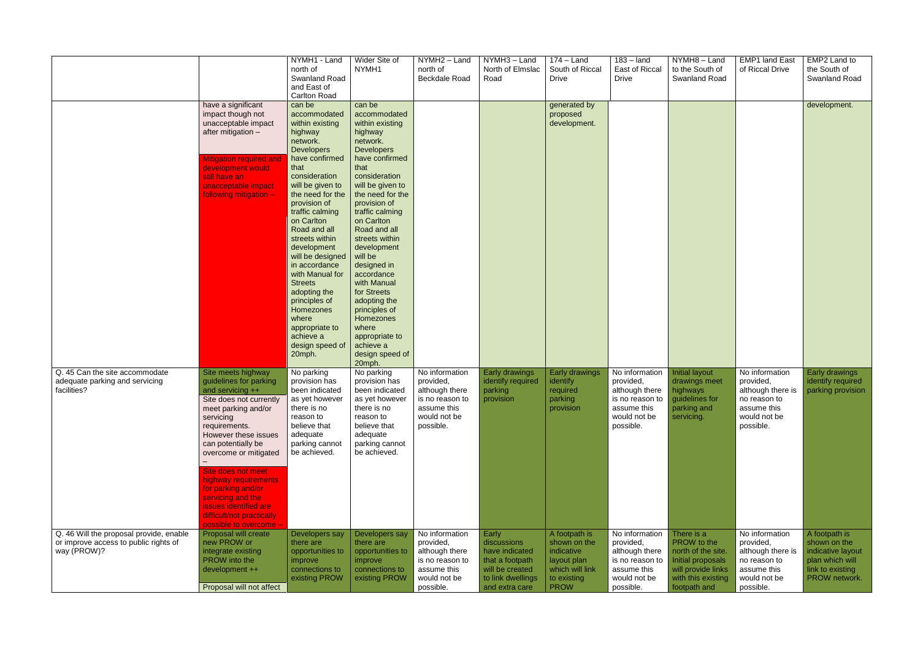|                                                                                                 |                                                                                                                                                                                                                                                                                                                                                                                                  | NYMH1 - Land<br>north of<br>Swanland Road<br>and East of<br><b>Carlton Road</b>                                                                                                                                                                                                                                                                                                                                                                                         | Wider Site of<br>NYMH1                                                                                                                                                                                                                                                                                                                                                                                                                                              | NYMH2 - Land<br>north of<br>Beckdale Road                                                                    | NYMH3-Land<br>North of Elmslac<br>Road                                                                              | $174 -$ Land<br>South of Riccal<br><b>Drive</b>                                                             | $183 -$ land<br>East of Riccal<br><b>Drive</b>                                                                              | NYMH8-Land<br>to the South of<br>Swanland Road                                                                                   | <b>EMP1 land East</b><br>of Riccal Drive                                                                     | EMP2 Land to<br>the South of<br>Swanland Road                                                              |
|-------------------------------------------------------------------------------------------------|--------------------------------------------------------------------------------------------------------------------------------------------------------------------------------------------------------------------------------------------------------------------------------------------------------------------------------------------------------------------------------------------------|-------------------------------------------------------------------------------------------------------------------------------------------------------------------------------------------------------------------------------------------------------------------------------------------------------------------------------------------------------------------------------------------------------------------------------------------------------------------------|---------------------------------------------------------------------------------------------------------------------------------------------------------------------------------------------------------------------------------------------------------------------------------------------------------------------------------------------------------------------------------------------------------------------------------------------------------------------|--------------------------------------------------------------------------------------------------------------|---------------------------------------------------------------------------------------------------------------------|-------------------------------------------------------------------------------------------------------------|-----------------------------------------------------------------------------------------------------------------------------|----------------------------------------------------------------------------------------------------------------------------------|--------------------------------------------------------------------------------------------------------------|------------------------------------------------------------------------------------------------------------|
|                                                                                                 | have a significant<br>impact though not<br>unacceptable impact<br>after mitigation -<br><b>Mitigation required and</b><br>development would<br>still have an<br>unacceptable impact<br>following mitigation -                                                                                                                                                                                    | can be<br>accommodated<br>within existing<br>highway<br>network.<br><b>Developers</b><br>have confirmed<br>that<br>consideration<br>will be given to<br>the need for the<br>provision of<br>traffic calming<br>on Carlton<br>Road and all<br>streets within<br>development<br>will be designed<br>in accordance<br>with Manual for<br><b>Streets</b><br>adopting the<br>principles of<br>Homezones<br>where<br>appropriate to<br>achieve a<br>design speed of<br>20mph. | can be<br>accommodated<br>within existing<br>highway<br>network.<br><b>Developers</b><br>have confirmed<br>that<br>consideration<br>will be given to<br>the need for the<br>provision of<br>traffic calming<br>on Carlton<br>Road and all<br>streets within<br>development<br>will be<br>designed in<br>accordance<br>with Manual<br>for Streets<br>adopting the<br>principles of<br>Homezones<br>where<br>appropriate to<br>achieve a<br>design speed of<br>20mph. |                                                                                                              |                                                                                                                     | generated by<br>proposed<br>development.                                                                    |                                                                                                                             |                                                                                                                                  |                                                                                                              | development.                                                                                               |
| Q. 45 Can the site accommodate<br>adequate parking and servicing<br>facilities?                 | Site meets highway<br>guidelines for parking<br>and servicing ++<br>Site does not currently<br>meet parking and/or<br>servicing<br>requirements.<br>However these issues<br>can potentially be<br>overcome or mitigated<br>Site does not meet<br>highway requirements<br>for parking and/or<br>servicing and the<br>issues identified are<br>difficult/not practically<br>possible to overcome - | No parking<br>provision has<br>been indicated<br>as yet however<br>there is no<br>reason to<br>believe that<br>adequate<br>parking cannot<br>be achieved.                                                                                                                                                                                                                                                                                                               | No parking<br>provision has<br>been indicated<br>as yet however<br>there is no<br>reason to<br>believe that<br>adequate<br>parking cannot<br>be achieved.                                                                                                                                                                                                                                                                                                           | No information<br>provided,<br>although there<br>is no reason to<br>assume this<br>would not be<br>possible. | <b>Early drawings</b><br>identify required<br>parking<br>provision                                                  | <b>Early drawings</b><br>identify<br>required<br>parking<br>provision                                       | No information<br>provided,<br>although there<br>is no reason to guidelines for<br>assume this<br>would not be<br>possible. | <b>Initial layout</b><br>drawings meet<br>highways<br>parking and<br>servicing.                                                  | No information<br>provided,<br>although there is<br>no reason to<br>assume this<br>would not be<br>possible. | <b>Early drawings</b><br>identify required<br>parking provision                                            |
| Q. 46 Will the proposal provide, enable<br>or improve access to public rights of<br>way (PROW)? | Proposal will create<br>new PROW or<br>integrate existing<br>PROW into the<br>development ++<br>Proposal will not affect                                                                                                                                                                                                                                                                         | Developers say<br>there are<br>opportunities to<br>improve<br>connections to<br>existing PROW                                                                                                                                                                                                                                                                                                                                                                           | Developers say<br>there are<br>opportunities to<br>improve<br>connections to<br>existing PROW                                                                                                                                                                                                                                                                                                                                                                       | No information<br>provided,<br>although there<br>is no reason to<br>assume this<br>would not be<br>possible. | Early<br>discussions<br>have indicated<br>that a footpath<br>will be created<br>to link dwellings<br>and extra care | A footpath is<br>shown on the<br>indicative<br>layout plan<br>which will link<br>to existing<br><b>PROW</b> | No information<br>provided,<br>although there<br>is no reason to<br>assume this<br>would not be<br>possible.                | There is a<br>PROW to the<br>north of the site.<br>Initial proposals<br>will provide links<br>with this existing<br>footpath and | No information<br>provided,<br>although there is<br>no reason to<br>assume this<br>would not be<br>possible. | A footpath is<br>shown on the<br>indicative layout<br>plan which will<br>link to existing<br>PROW network. |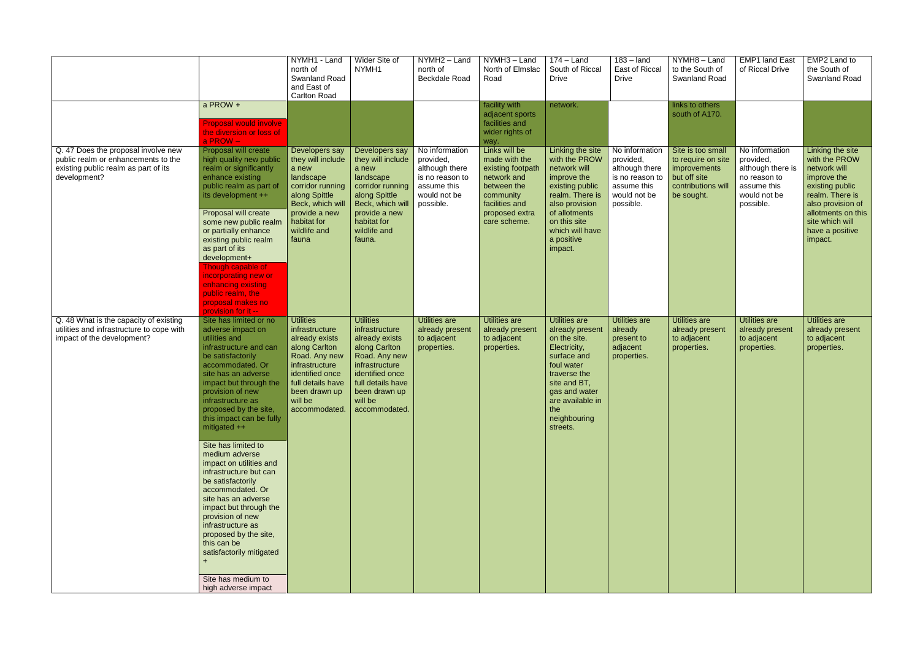|                                                                                                                                    |                                                                                                                                                                                                                                                                                                                                                                                                                                                                                                                                                                                                                                                  | NYMH1 - Land<br>north of<br><b>Swanland Road</b><br>and East of<br><b>Carlton Road</b>                                                                                                        | Wider Site of<br>NYMH1                                                                                                                                                                        | NYMH2 - Land<br>north of<br><b>Beckdale Road</b>                                                             | NYMH3 - Land<br>North of Elmslac<br>Road                                                                                                           | $174 -$ Land<br>South of Riccal<br><b>Drive</b>                                                                                                                                                       | $183 -$ land<br>East of Riccal<br><b>Drive</b>                                                               | NYMH8-Land<br>to the South of<br>Swanland Road                                                              | <b>EMP1 land East</b><br>of Riccal Drive                                                                     | EMP2 Land to<br>the South of<br>Swanland Road                                                                                                                                                      |
|------------------------------------------------------------------------------------------------------------------------------------|--------------------------------------------------------------------------------------------------------------------------------------------------------------------------------------------------------------------------------------------------------------------------------------------------------------------------------------------------------------------------------------------------------------------------------------------------------------------------------------------------------------------------------------------------------------------------------------------------------------------------------------------------|-----------------------------------------------------------------------------------------------------------------------------------------------------------------------------------------------|-----------------------------------------------------------------------------------------------------------------------------------------------------------------------------------------------|--------------------------------------------------------------------------------------------------------------|----------------------------------------------------------------------------------------------------------------------------------------------------|-------------------------------------------------------------------------------------------------------------------------------------------------------------------------------------------------------|--------------------------------------------------------------------------------------------------------------|-------------------------------------------------------------------------------------------------------------|--------------------------------------------------------------------------------------------------------------|----------------------------------------------------------------------------------------------------------------------------------------------------------------------------------------------------|
|                                                                                                                                    | a PROW +<br><b>Proposal would involve</b><br>the diversion or loss of<br>a PROW-                                                                                                                                                                                                                                                                                                                                                                                                                                                                                                                                                                 |                                                                                                                                                                                               |                                                                                                                                                                                               |                                                                                                              | facility with<br>adjacent sports<br>facilities and<br>wider rights of<br>way.                                                                      | network.                                                                                                                                                                                              |                                                                                                              | links to others<br>south of A170.                                                                           |                                                                                                              |                                                                                                                                                                                                    |
| Q. 47 Does the proposal involve new<br>public realm or enhancements to the<br>existing public realm as part of its<br>development? | Proposal will create<br>high quality new public<br>realm or significantly<br>enhance existing<br>public realm as part of<br>its development ++<br>Proposal will create<br>some new public realm<br>or partially enhance<br>existing public realm<br>as part of its<br>development+<br>Though capable of<br>incorporating new or<br>enhancing existing<br>public realm, the<br>proposal makes no<br>provision for it --                                                                                                                                                                                                                           | Developers say<br>they will include<br>a new<br>landscape<br>corridor running<br>along Spittle<br>Beck, which will<br>provide a new<br>habitat for<br>wildlife and<br>fauna                   | Developers say<br>they will include<br>a new<br>landscape<br>corridor running<br>along Spittle<br>Beck, which will<br>provide a new<br>habitat for<br>wildlife and<br>fauna.                  | No information<br>provided,<br>although there<br>is no reason to<br>assume this<br>would not be<br>possible. | Links will be<br>made with the<br>existing footpath<br>network and<br>between the<br>community<br>facilities and<br>proposed extra<br>care scheme. | Linking the site<br>with the PROW<br>network will<br>improve the<br>existing public<br>realm. There is<br>also provision<br>of allotments<br>on this site<br>which will have<br>a positive<br>impact. | No information<br>provided,<br>although there<br>is no reason to<br>assume this<br>would not be<br>possible. | Site is too small<br>to require on site<br>improvements<br>but off site<br>contributions will<br>be sought. | No information<br>provided,<br>although there is<br>no reason to<br>assume this<br>would not be<br>possible. | Linking the site<br>with the PROW<br>network will<br>improve the<br>existing public<br>realm. There is<br>also provision of<br>allotments on this<br>site which will<br>have a positive<br>impact. |
| Q. 48 What is the capacity of existing<br>utilities and infrastructure to cope with<br>impact of the development?                  | Site has limited or no<br>adverse impact on<br>utilities and<br>infrastructure and can<br>be satisfactorily<br>accommodated. Or<br>site has an adverse<br>impact but through the<br>provision of new<br>infrastructure as<br>proposed by the site,<br>this impact can be fully<br>mitigated ++<br>Site has limited to<br>medium adverse<br>impact on utilities and<br>infrastructure but can<br>be satisfactorily<br>accommodated. Or<br>site has an adverse<br>impact but through the<br>provision of new<br>infrastructure as<br>proposed by the site,<br>this can be<br>satisfactorily mitigated<br>Site has medium to<br>high adverse impact | <b>Utilities</b><br>infrastructure<br>already exists<br>along Carlton<br>Road. Any new<br>infrastructure<br>identified once<br>full details have<br>been drawn up<br>will be<br>accommodated. | <b>Utilities</b><br>infrastructure<br>already exists<br>along Carlton<br>Road. Any new<br>infrastructure<br>identified once<br>full details have<br>been drawn up<br>will be<br>accommodated. | <b>Utilities are</b><br>already present<br>to adjacent<br>properties.                                        | Utilities are<br>already present<br>to adjacent<br>properties.                                                                                     | Utilities are<br>already present<br>on the site.<br>Electricity,<br>surface and<br>foul water<br>traverse the<br>site and BT,<br>gas and water<br>are available in<br>the<br>neighbouring<br>streets. | <b>Utilities are</b><br>already<br>present to<br>adjacent<br>properties.                                     | Utilities are<br>already present<br>to adjacent<br>properties.                                              | <b>Utilities are</b><br>already present<br>to adjacent<br>properties.                                        | <b>Utilities are</b><br>already present<br>to adjacent<br>properties.                                                                                                                              |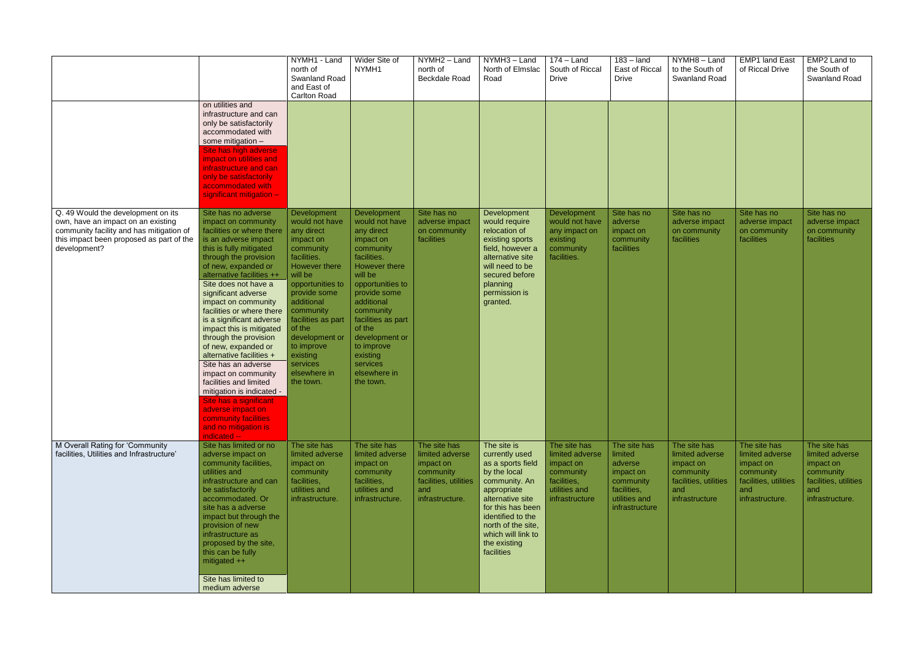|                                                                                                                                                                                  |                                                                                                                                                                                                                                                                                                                                                                                                                                                                                                                                                                                                                                                                      | NYMH1 - Land<br>north of<br><b>Swanland Road</b><br>and East of<br><b>Carlton Road</b>                                                                                                                                                                                                                      | Wider Site of<br>NYMH1                                                                                                                                                                                                                                                                               | $\overline{NYMH2}$ – Land<br>north of<br><b>Beckdale Road</b>                                                | NYMH3 - Land<br>North of Elmslac<br>Road                                                                                                                                                                                                   | $174 -$ Land<br>South of Riccal<br><b>Drive</b>                                                             | $183 -$ land<br>East of Riccal<br><b>Drive</b>                                                                 | $\overline{NYMH8}$ – Land<br>to the South of<br>Swanland Road                                               | <b>EMP1 land East</b><br>of Riccal Drive                                                                     | EMP2 Land to<br>the South of<br>Swanland Road                                                                |
|----------------------------------------------------------------------------------------------------------------------------------------------------------------------------------|----------------------------------------------------------------------------------------------------------------------------------------------------------------------------------------------------------------------------------------------------------------------------------------------------------------------------------------------------------------------------------------------------------------------------------------------------------------------------------------------------------------------------------------------------------------------------------------------------------------------------------------------------------------------|-------------------------------------------------------------------------------------------------------------------------------------------------------------------------------------------------------------------------------------------------------------------------------------------------------------|------------------------------------------------------------------------------------------------------------------------------------------------------------------------------------------------------------------------------------------------------------------------------------------------------|--------------------------------------------------------------------------------------------------------------|--------------------------------------------------------------------------------------------------------------------------------------------------------------------------------------------------------------------------------------------|-------------------------------------------------------------------------------------------------------------|----------------------------------------------------------------------------------------------------------------|-------------------------------------------------------------------------------------------------------------|--------------------------------------------------------------------------------------------------------------|--------------------------------------------------------------------------------------------------------------|
|                                                                                                                                                                                  | on utilities and<br>infrastructure and can<br>only be satisfactorily<br>accommodated with<br>some mitigation -<br>Site has high adverse<br>impact on utilities and<br>infrastructure and can<br>only be satisfactorily<br>accommodated with<br>significant mitigation -                                                                                                                                                                                                                                                                                                                                                                                              |                                                                                                                                                                                                                                                                                                             |                                                                                                                                                                                                                                                                                                      |                                                                                                              |                                                                                                                                                                                                                                            |                                                                                                             |                                                                                                                |                                                                                                             |                                                                                                              |                                                                                                              |
| Q. 49 Would the development on its<br>own, have an impact on an existing<br>community facility and has mitigation of<br>this impact been proposed as part of the<br>development? | Site has no adverse<br>impact on community<br>facilities or where there<br>is an adverse impact<br>this is fully mitigated<br>through the provision<br>of new, expanded or<br>alternative facilities ++<br>Site does not have a<br>significant adverse<br>impact on community<br>facilities or where there<br>is a significant adverse<br>impact this is mitigated<br>through the provision<br>of new, expanded or<br>alternative facilities +<br>Site has an adverse<br>impact on community<br>facilities and limited<br>mitigation is indicated -<br>Site has a significant l<br>adverse impact on<br>community facilities<br>and no mitigation is<br>indicated -- | Development<br>would not have<br>any direct<br>impact on<br>community<br>facilities.<br><b>However there</b><br>will be<br>opportunities to<br>provide some<br>additional<br>community<br>facilities as part<br>of the<br>development or<br>to improve<br>existing<br>services<br>elsewhere in<br>the town. | Development<br>would not have<br>any direct<br>impact on<br>community<br>facilities.<br>However there<br>will be<br>opportunities to<br>provide some<br>additional<br>community<br>facilities as part<br>of the<br>development or<br>to improve<br>existing<br>services<br>elsewhere in<br>the town. | Site has no<br>adverse impact<br>on community<br>facilities                                                  | Development<br>would require<br>relocation of<br>existing sports<br>field, however a<br>alternative site<br>will need to be<br>secured before<br>planning<br>permission is<br>granted.                                                     | Development<br>would not have<br>any impact on<br>existing<br>community<br>facilities.                      | Site has no<br>adverse<br>impact on<br>community<br>facilities                                                 | Site has no<br>adverse impact<br>on community<br>facilities                                                 | Site has no<br>adverse impact<br>on community<br>facilities                                                  | Site has no<br>adverse impact<br>on community<br>facilities                                                  |
| M Overall Rating for 'Community<br>facilities, Utilities and Infrastructure'                                                                                                     | Site has limited or no<br>adverse impact on<br>community facilities,<br>utilities and<br>infrastructure and can<br>be satisfactorily<br>accommodated. Or<br>site has a adverse<br>impact but through the<br>provision of new<br>infrastructure as<br>proposed by the site,<br>this can be fully<br>mitigated ++<br>Site has limited to<br>medium adverse                                                                                                                                                                                                                                                                                                             | The site has<br>limited adverse<br>impact on<br>community<br>facilities,<br>utilities and<br>infrastructure.                                                                                                                                                                                                | The site has<br>limited adverse<br>impact on<br>community<br>facilities,<br>utilities and<br>infrastructure.                                                                                                                                                                                         | The site has<br>limited adverse<br>impact on<br>community<br>facilities, utilities<br>and<br>infrastructure. | The site is<br>currently used<br>as a sports field<br>by the local<br>community. An<br>appropriate<br>alternative site<br>for this has been<br>identified to the<br>north of the site,<br>which will link to<br>the existing<br>facilities | The site has<br>limited adverse<br>impact on<br>community<br>facilities,<br>utilities and<br>infrastructure | The site has<br>limited<br>adverse<br>impact on<br>community<br>facilities,<br>utilities and<br>infrastructure | The site has<br>limited adverse<br>impact on<br>community<br>facilities, utilities<br>and<br>infrastructure | The site has<br>limited adverse<br>impact on<br>community<br>facilities, utilities<br>and<br>infrastructure. | The site has<br>limited adverse<br>impact on<br>community<br>facilities, utilities<br>and<br>infrastructure. |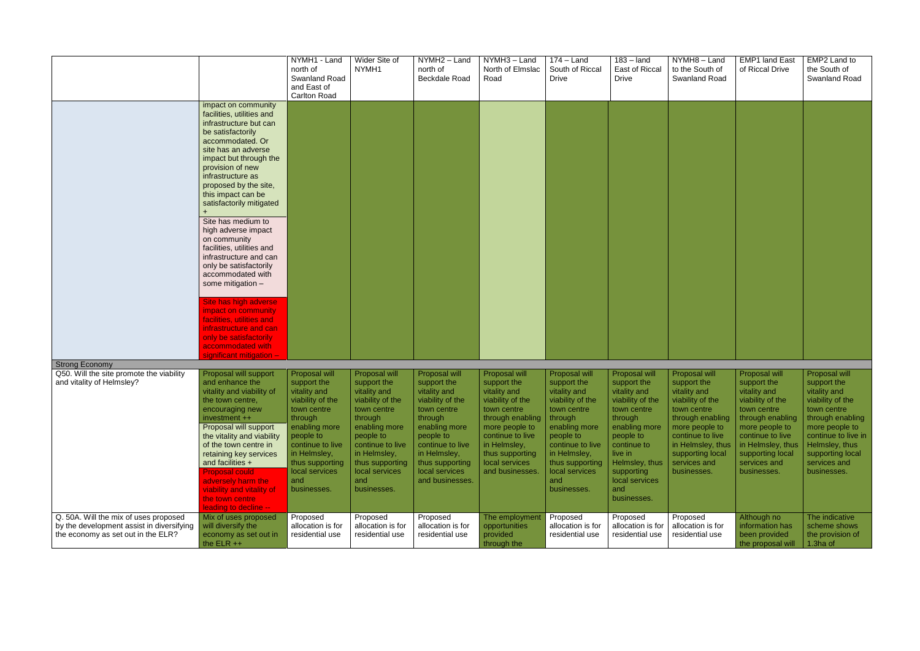|                                                                                                                |                                                                                                                                                                                                                                                                                                                                                                                                                                                                                                                                                                                                                   | NYMH1 - Land<br>north of<br>Swanland Road<br>and East of<br><b>Carlton Road</b>                                                                                                                                                     | Wider Site of<br>NYMH1                                                                                                                                                                                                              | NYMH2 - Land<br>north of<br><b>Beckdale Road</b>                                                                                                                                                                                 | NYMH3 - Land<br>North of Elmslac<br>Road                                                                                                                                                                                            | $174 -$ Land<br>South of Riccal<br><b>Drive</b>                                                                                                                                                                                     | $183 -$ land<br>East of Riccal<br><b>Drive</b>                                                                                                                                                                                         | NYMH8-Land<br>to the South of<br>Swanland Road                                                                                                                                                                                | <b>EMP1 land East</b><br>of Riccal Drive                                                                                                                                                                                         | EMP2 Land to<br>the South of<br>Swanland Road                                                                                                                                                                                       |
|----------------------------------------------------------------------------------------------------------------|-------------------------------------------------------------------------------------------------------------------------------------------------------------------------------------------------------------------------------------------------------------------------------------------------------------------------------------------------------------------------------------------------------------------------------------------------------------------------------------------------------------------------------------------------------------------------------------------------------------------|-------------------------------------------------------------------------------------------------------------------------------------------------------------------------------------------------------------------------------------|-------------------------------------------------------------------------------------------------------------------------------------------------------------------------------------------------------------------------------------|----------------------------------------------------------------------------------------------------------------------------------------------------------------------------------------------------------------------------------|-------------------------------------------------------------------------------------------------------------------------------------------------------------------------------------------------------------------------------------|-------------------------------------------------------------------------------------------------------------------------------------------------------------------------------------------------------------------------------------|----------------------------------------------------------------------------------------------------------------------------------------------------------------------------------------------------------------------------------------|-------------------------------------------------------------------------------------------------------------------------------------------------------------------------------------------------------------------------------|----------------------------------------------------------------------------------------------------------------------------------------------------------------------------------------------------------------------------------|-------------------------------------------------------------------------------------------------------------------------------------------------------------------------------------------------------------------------------------|
|                                                                                                                | impact on community<br>facilities, utilities and<br>infrastructure but can<br>be satisfactorily<br>accommodated. Or<br>site has an adverse<br>impact but through the<br>provision of new<br>infrastructure as<br>proposed by the site,<br>this impact can be<br>satisfactorily mitigated<br>Site has medium to<br>high adverse impact<br>on community<br>facilities, utilities and<br>infrastructure and can<br>only be satisfactorily<br>accommodated with<br>some mitigation -<br>Site has high adverse<br>impact on community<br>facilities, utilities and<br>infrastructure and can<br>only be satisfactorily |                                                                                                                                                                                                                                     |                                                                                                                                                                                                                                     |                                                                                                                                                                                                                                  |                                                                                                                                                                                                                                     |                                                                                                                                                                                                                                     |                                                                                                                                                                                                                                        |                                                                                                                                                                                                                               |                                                                                                                                                                                                                                  |                                                                                                                                                                                                                                     |
|                                                                                                                | accommodated with<br>significant mitigation -                                                                                                                                                                                                                                                                                                                                                                                                                                                                                                                                                                     |                                                                                                                                                                                                                                     |                                                                                                                                                                                                                                     |                                                                                                                                                                                                                                  |                                                                                                                                                                                                                                     |                                                                                                                                                                                                                                     |                                                                                                                                                                                                                                        |                                                                                                                                                                                                                               |                                                                                                                                                                                                                                  |                                                                                                                                                                                                                                     |
| <b>Strong Economy</b>                                                                                          |                                                                                                                                                                                                                                                                                                                                                                                                                                                                                                                                                                                                                   |                                                                                                                                                                                                                                     |                                                                                                                                                                                                                                     |                                                                                                                                                                                                                                  |                                                                                                                                                                                                                                     |                                                                                                                                                                                                                                     |                                                                                                                                                                                                                                        |                                                                                                                                                                                                                               |                                                                                                                                                                                                                                  |                                                                                                                                                                                                                                     |
| Q50. Will the site promote the viability<br>and vitality of Helmsley?<br>Q. 50A. Will the mix of uses proposed | Proposal will support<br>and enhance the<br>vitality and viability of<br>the town centre,<br>encouraging new<br>investment ++<br>Proposal will support<br>the vitality and viability<br>of the town centre in<br>retaining key services<br>and facilities +<br><b>Proposal could</b><br>adversely harm the<br>viability and vitality of<br>the town centre<br>leading to decline --<br>Mix of uses proposed                                                                                                                                                                                                       | Proposal will<br>support the<br>vitality and<br>viability of the<br>town centre<br>through<br>enabling more<br>people to<br>continue to live<br>in Helmsley,<br>thus supporting<br>local services<br>and<br>businesses.<br>Proposed | Proposal will<br>support the<br>vitality and<br>viability of the<br>town centre<br>through<br>enabling more<br>people to<br>continue to live<br>in Helmsley,<br>thus supporting<br>local services<br>and<br>businesses.<br>Proposed | Proposal will<br>support the<br>vitality and<br>viability of the<br>town centre<br>through<br>enabling more<br>people to<br>continue to live<br>in Helmsley,<br>thus supporting<br>local services<br>and businesses.<br>Proposed | Proposal will<br>support the<br>vitality and<br>viability of the<br>town centre<br>through enabling<br>more people to<br>continue to live<br>in Helmsley,<br>thus supporting<br>local services<br>and businesses.<br>The employment | Proposal will<br>support the<br>vitality and<br>viability of the<br>town centre<br>through<br>enabling more<br>people to<br>continue to live<br>in Helmsley,<br>thus supporting<br>local services<br>and<br>businesses.<br>Proposed | Proposal will<br>support the<br>vitality and<br>viability of the<br>town centre<br>through<br>enabling more<br>people to<br>continue to<br>live in<br>Helmsley, thus<br>supporting<br>local services<br>and<br>businesses.<br>Proposed | Proposal will<br>support the<br>vitality and<br>viability of the<br>town centre<br>through enabling<br>more people to<br>continue to live<br>in Helmsley, thus<br>supporting local<br>services and<br>businesses.<br>Proposed | Proposal will<br>support the<br>vitality and<br>viability of the<br>town centre<br>through enabling<br>more people to<br>continue to live<br>in Helmsley, thus<br>supporting local<br>services and<br>businesses.<br>Although no | Proposal will<br>support the<br>vitality and<br>viability of the<br>town centre<br>through enabling<br>more people to<br>continue to live in<br>Helmsley, thus<br>supporting local<br>services and<br>businesses.<br>The indicative |
| by the development assist in diversifying<br>the economy as set out in the ELR?                                | will diversify the<br>economy as set out in<br>the $ELR + +$                                                                                                                                                                                                                                                                                                                                                                                                                                                                                                                                                      | allocation is for<br>residential use                                                                                                                                                                                                | allocation is for<br>residential use                                                                                                                                                                                                | allocation is for<br>residential use                                                                                                                                                                                             | opportunities<br>provided<br>through the                                                                                                                                                                                            | allocation is for<br>residential use                                                                                                                                                                                                | allocation is for<br>residential use                                                                                                                                                                                                   | allocation is for<br>residential use                                                                                                                                                                                          | information has<br>been provided<br>the proposal will                                                                                                                                                                            | scheme shows<br>the provision of<br>1.3ha of                                                                                                                                                                                        |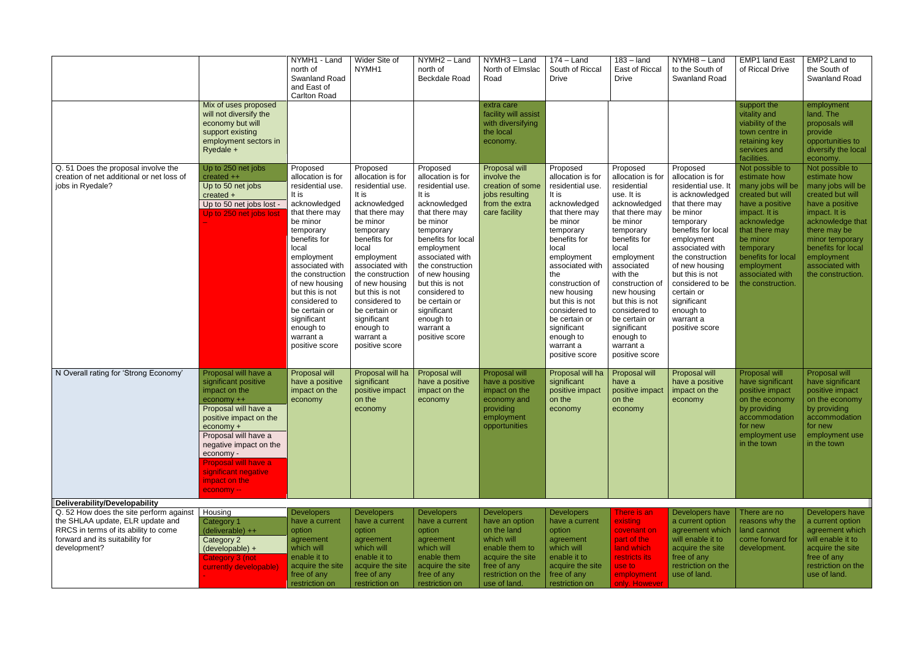|                                                                                                                                                                        |                                                                                                                                                                                                                                                                                          | NYMH1 - Land<br>north of<br><b>Swanland Road</b><br>and East of<br><b>Carlton Road</b>                                                                                                                                                                                                                                                | Wider Site of<br>NYMH1                                                                                                                                                                                                                                                                                                                | NYMH2 - Land<br>north of<br><b>Beckdale Road</b>                                                                                                                                                                                                                                                                                   | NYMH3 - Land<br>North of Elmslac<br>Road                                                                                                                    | $174 -$ Land<br>South of Riccal<br><b>Drive</b>                                                                                                                                                                                                                                                                                          | $183 -$ land<br>East of Riccal<br><b>Drive</b>                                                                                                                                                                                                                                                                                           | NYMH8-Land<br>to the South of<br>Swanland Road                                                                                                                                                                                                                                                                                  | <b>EMP1 land East</b><br>of Riccal Drive                                                                                                                                                                                                           | EMP2 Land to<br>the South of<br>Swanland Road                                                                                                                                                                                                   |
|------------------------------------------------------------------------------------------------------------------------------------------------------------------------|------------------------------------------------------------------------------------------------------------------------------------------------------------------------------------------------------------------------------------------------------------------------------------------|---------------------------------------------------------------------------------------------------------------------------------------------------------------------------------------------------------------------------------------------------------------------------------------------------------------------------------------|---------------------------------------------------------------------------------------------------------------------------------------------------------------------------------------------------------------------------------------------------------------------------------------------------------------------------------------|------------------------------------------------------------------------------------------------------------------------------------------------------------------------------------------------------------------------------------------------------------------------------------------------------------------------------------|-------------------------------------------------------------------------------------------------------------------------------------------------------------|------------------------------------------------------------------------------------------------------------------------------------------------------------------------------------------------------------------------------------------------------------------------------------------------------------------------------------------|------------------------------------------------------------------------------------------------------------------------------------------------------------------------------------------------------------------------------------------------------------------------------------------------------------------------------------------|---------------------------------------------------------------------------------------------------------------------------------------------------------------------------------------------------------------------------------------------------------------------------------------------------------------------------------|----------------------------------------------------------------------------------------------------------------------------------------------------------------------------------------------------------------------------------------------------|-------------------------------------------------------------------------------------------------------------------------------------------------------------------------------------------------------------------------------------------------|
|                                                                                                                                                                        | Mix of uses proposed<br>will not diversify the<br>economy but will<br>support existing<br>employment sectors in<br>Ryedale +                                                                                                                                                             |                                                                                                                                                                                                                                                                                                                                       |                                                                                                                                                                                                                                                                                                                                       |                                                                                                                                                                                                                                                                                                                                    | extra care<br>facility will assist<br>with diversifying<br>the local<br>economy.                                                                            |                                                                                                                                                                                                                                                                                                                                          |                                                                                                                                                                                                                                                                                                                                          |                                                                                                                                                                                                                                                                                                                                 | support the<br>vitality and<br>viability of the<br>town centre in<br>retaining key<br>services and<br>facilities.                                                                                                                                  | employment<br>land. The<br>proposals will<br>provide<br>opportunities to<br>diversify the local<br>economy.                                                                                                                                     |
| Q. 51 Does the proposal involve the<br>creation of net additional or net loss of<br>jobs in Ryedale?                                                                   | Up to 250 net jobs<br>created $++$<br>Up to 50 net jobs<br>created +<br>Up to 50 net jobs lost -<br>Up to 250 net jobs lost                                                                                                                                                              | Proposed<br>allocation is for<br>residential use.<br>It is<br>acknowledged<br>that there may<br>be minor<br>temporary<br>benefits for<br>local<br>employment<br>associated with<br>the construction<br>of new housing<br>but this is not<br>considered to<br>be certain or<br>significant<br>enough to<br>warrant a<br>positive score | Proposed<br>allocation is for<br>residential use.<br>It is<br>acknowledged<br>that there may<br>be minor<br>temporary<br>benefits for<br>local<br>employment<br>associated with<br>the construction<br>of new housing<br>but this is not<br>considered to<br>be certain or<br>significant<br>enough to<br>warrant a<br>positive score | Proposed<br>allocation is for<br>residential use.<br>It is<br>acknowledged<br>that there may<br>be minor<br>temporary<br>benefits for local<br>employment<br>associated with<br>the construction<br>of new housing<br>but this is not<br>considered to<br>be certain or<br>significant<br>enough to<br>warrant a<br>positive score | Proposal will<br>involve the<br>creation of some<br>jobs resulting<br>from the extra<br>care facility                                                       | Proposed<br>allocation is for<br>residential use.<br>It is<br>acknowledged<br>that there may<br>be minor<br>temporary<br>benefits for<br>local<br>employment<br>associated with<br>the<br>construction of<br>new housing<br>but this is not<br>considered to<br>be certain or<br>significant<br>enough to<br>warrant a<br>positive score | Proposed<br>allocation is for<br>residential<br>use. It is<br>acknowledged<br>that there may<br>be minor<br>temporary<br>benefits for<br>local<br>employment<br>associated<br>with the<br>construction of<br>new housing<br>but this is not<br>considered to<br>be certain or<br>significant<br>enough to<br>warrant a<br>positive score | Proposed<br>allocation is for<br>residential use. It<br>is acknowledged<br>that there may<br>be minor<br>temporary<br>benefits for local<br>employment<br>associated with<br>the construction<br>of new housing<br>but this is not<br>considered to be<br>certain or<br>significant<br>enough to<br>warrant a<br>positive score | Not possible to<br>estimate how<br>many jobs will be<br>created but will<br>have a positive<br>impact. It is<br>acknowledge<br>that there may<br>be minor<br>temporary<br>benefits for local<br>employment<br>associated with<br>the construction. | Not possible to<br>estimate how<br>many jobs will be<br>created but will<br>have a positive<br>impact. It is<br>acknowledge that<br>there may be<br>minor temporary<br>benefits for local<br>employment<br>associated with<br>the construction. |
| N Overall rating for 'Strong Economy'                                                                                                                                  | Proposal will have a<br>significant positive<br>impact on the<br>economy ++<br>Proposal will have a<br>positive impact on the<br>economy +<br>Proposal will have a<br>negative impact on the<br>economy -<br>Proposal will have a<br>significant negative<br>impact on the<br>economy -- | Proposal will<br>have a positive<br>impact on the<br>economy                                                                                                                                                                                                                                                                          | Proposal will ha<br>significant<br>positive impact<br>on the<br>economy                                                                                                                                                                                                                                                               | Proposal will<br>have a positive<br>impact on the<br>economy                                                                                                                                                                                                                                                                       | Proposal will<br>have a positive<br>impact on the<br>economy and<br>providing<br>employment<br>opportunities                                                | Proposal will ha<br>significant<br>positive impact<br>on the<br>economy                                                                                                                                                                                                                                                                  | Proposal will<br>have a<br>positive impact<br>on the<br>economy                                                                                                                                                                                                                                                                          | Proposal will<br>have a positive<br>impact on the<br>economy                                                                                                                                                                                                                                                                    | Proposal will<br>have significant<br>positive impact<br>on the economy<br>by providing<br>accommodation<br>for new<br>employment use<br>in the town                                                                                                | Proposal will<br>have significant<br>positive impact<br>on the economy<br>by providing<br>accommodation<br>for new<br>employment use<br>in the town                                                                                             |
| Deliverability/Developability                                                                                                                                          |                                                                                                                                                                                                                                                                                          |                                                                                                                                                                                                                                                                                                                                       |                                                                                                                                                                                                                                                                                                                                       |                                                                                                                                                                                                                                                                                                                                    |                                                                                                                                                             |                                                                                                                                                                                                                                                                                                                                          |                                                                                                                                                                                                                                                                                                                                          |                                                                                                                                                                                                                                                                                                                                 |                                                                                                                                                                                                                                                    |                                                                                                                                                                                                                                                 |
| Q. 52 How does the site perform against<br>the SHLAA update, ELR update and<br>RRCS in terms of its ability to come<br>forward and its suitability for<br>development? | Housing<br>Category 1<br>(deliverable) ++<br>Category 2<br>(developable) +<br><b>Category 3 (not</b><br>currently developable)                                                                                                                                                           | <b>Developers</b><br>have a current<br>option<br>agreement<br>which will<br>enable it to<br>acquire the site<br>free of any<br>restriction on                                                                                                                                                                                         | <b>Developers</b><br>have a current<br>option<br>agreement<br>which will<br>enable it to<br>acquire the site<br>free of any<br>restriction on                                                                                                                                                                                         | <b>Developers</b><br>have a current<br>option<br>agreement<br>which will<br>enable them<br>acquire the site<br>free of any<br>restriction on                                                                                                                                                                                       | <b>Developers</b><br>have an option<br>on the land<br>which will<br>enable them to<br>acquire the site<br>free of any<br>restriction on the<br>use of land. | <b>Developers</b><br>have a current<br>option<br>agreement<br>which will<br>enable it to<br>acquire the site<br>free of any<br>restriction on                                                                                                                                                                                            | There is an<br>existing<br>covenant on<br>part of the<br>land which<br>restricts its<br>use to<br>employment<br>only. However                                                                                                                                                                                                            | Developers have<br>a current option<br>agreement which<br>will enable it to<br>acquire the site<br>free of any<br>restriction on the<br>use of land.                                                                                                                                                                            | There are no<br>reasons why the<br>land cannot<br>come forward for<br>development.                                                                                                                                                                 | Developers have<br>a current option<br>agreement which<br>will enable it to<br>acquire the site<br>free of any<br>restriction on the<br>use of land.                                                                                            |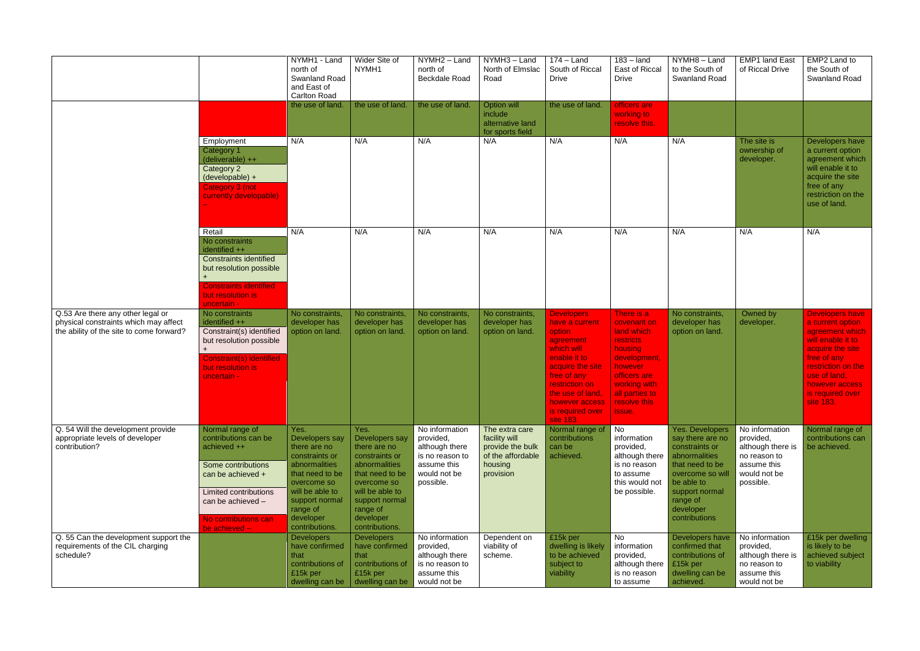|                                                                                                                        |                                                                                                                                                                                                 | NYMH1 - Land<br>north of<br>Swanland Road<br>and East of<br><b>Carlton Road</b>                                                                                                             | Wider Site of<br>NYMH1                                                                                                                                                                      | NYMH2 - Land<br>north of<br>Beckdale Road                                                                    | NYMH3 - Land<br>North of Elmslac<br>Road                                                         | $174 -$ Land<br>South of Riccal<br><b>Drive</b>                                                                                                                                                                      | $\overline{183}$ – land<br>East of Riccal<br><b>Drive</b>                                                                                                                     | $\overline{NYMH8}$ – Land<br>to the South of<br><b>Swanland Road</b>                                                                                                                           | <b>EMP1 land East</b><br>of Riccal Drive                                                                     | EMP2 Land to<br>the South of<br>Swanland Road                                                                                                                                                                  |
|------------------------------------------------------------------------------------------------------------------------|-------------------------------------------------------------------------------------------------------------------------------------------------------------------------------------------------|---------------------------------------------------------------------------------------------------------------------------------------------------------------------------------------------|---------------------------------------------------------------------------------------------------------------------------------------------------------------------------------------------|--------------------------------------------------------------------------------------------------------------|--------------------------------------------------------------------------------------------------|----------------------------------------------------------------------------------------------------------------------------------------------------------------------------------------------------------------------|-------------------------------------------------------------------------------------------------------------------------------------------------------------------------------|------------------------------------------------------------------------------------------------------------------------------------------------------------------------------------------------|--------------------------------------------------------------------------------------------------------------|----------------------------------------------------------------------------------------------------------------------------------------------------------------------------------------------------------------|
|                                                                                                                        |                                                                                                                                                                                                 | the use of land.                                                                                                                                                                            | the use of land.                                                                                                                                                                            | the use of land.                                                                                             | Option will<br>include<br>alternative land<br>for sports field                                   | the use of land.                                                                                                                                                                                                     | officers are<br>working to<br>resolve this.                                                                                                                                   |                                                                                                                                                                                                |                                                                                                              |                                                                                                                                                                                                                |
|                                                                                                                        | Employment<br>Category 1<br>(deliverable) ++<br>Category 2<br>(developable) +<br>Category 3 (not<br>currently developable)                                                                      | N/A                                                                                                                                                                                         | N/A                                                                                                                                                                                         | N/A                                                                                                          | N/A                                                                                              | N/A                                                                                                                                                                                                                  | N/A                                                                                                                                                                           | N/A                                                                                                                                                                                            | The site is<br>ownership of<br>developer.                                                                    | Developers have<br>a current option<br>agreement which<br>will enable it to<br>acquire the site<br>free of any<br>restriction on the<br>use of land.                                                           |
|                                                                                                                        | Retail<br>No constraints<br>identified ++<br><b>Constraints identified</b><br>but resolution possible<br><b>Constraints identified</b><br>but resolution is<br>uncertain -                      | N/A                                                                                                                                                                                         | N/A                                                                                                                                                                                         | N/A                                                                                                          | N/A                                                                                              | N/A                                                                                                                                                                                                                  | N/A                                                                                                                                                                           | N/A                                                                                                                                                                                            | N/A                                                                                                          | N/A                                                                                                                                                                                                            |
| Q.53 Are there any other legal or<br>physical constraints which may affect<br>the ability of the site to come forward? | No constraints<br>identified ++<br>Constraint(s) identified<br>but resolution possible<br><b>Constraint(s) identified</b><br>but resolution is<br>uncertain -                                   | No constraints,<br>developer has<br>option on land.                                                                                                                                         | No constraints,<br>developer has<br>option on land.                                                                                                                                         | No constraints,<br>developer has<br>option on land.                                                          | No constraints,<br>developer has<br>option on land.                                              | <b>Developers</b><br>have a current<br>option<br>agreement<br>which will<br>enable it to<br>acquire the site<br>free of any<br>restriction on<br>the use of land,<br>however access<br>is required over<br>site 183. | There is a<br>covenant on<br>land which<br><b>restricts</b><br>housing<br>development,<br>however<br>officers are<br>working with<br>all parties to<br>resolve this<br>issue. | No constraints,<br>developer has<br>option on land.                                                                                                                                            | Owned by<br>developer.                                                                                       | <b>Developers have</b><br>a current option<br>agreement which<br>will enable it to<br>acquire the site<br>free of any<br>restriction on the<br>use of land,<br>however access<br>is required over<br>site 183. |
| Q. 54 Will the development provide<br>appropriate levels of developer<br>contribution?                                 | Normal range of<br>contributions can be<br>achieved ++<br>Some contributions<br>can be achieved +<br><b>Limited contributions</b><br>can be achieved -<br>No contributions can<br>be achieved - | Yes.<br>Developers say<br>there are no<br>constraints or<br>abnormalities<br>that need to be<br>overcome so<br>will be able to<br>support normal<br>range of<br>developer<br>contributions. | Yes.<br>Developers say<br>there are no<br>constraints or<br>abnormalities<br>that need to be<br>overcome so<br>will be able to<br>support normal<br>range of<br>developer<br>contributions. | No information<br>provided,<br>although there<br>is no reason to<br>assume this<br>would not be<br>possible. | The extra care<br>facility will<br>provide the bulk<br>of the affordable<br>housing<br>provision | Normal range of<br>contributions<br>can be<br>achieved.                                                                                                                                                              | No<br>information<br>provided,<br>although there<br>is no reason<br>to assume<br>this would not<br>be possible.                                                               | <b>Yes. Developers</b><br>say there are no<br>constraints or<br>abnormalities<br>that need to be<br>overcome so will<br>be able to<br>support normal<br>range of<br>developer<br>contributions | No information<br>provided,<br>although there is<br>no reason to<br>assume this<br>would not be<br>possible. | Normal range of<br>contributions can<br>be achieved.                                                                                                                                                           |
| Q. 55 Can the development support the<br>requirements of the CIL charging<br>schedule?                                 |                                                                                                                                                                                                 | <b>Developers</b><br>have confirmed<br>that<br>contributions of<br>£15k per<br>dwelling can be                                                                                              | <b>Developers</b><br>have confirmed<br>that<br>contributions of<br>£15k per<br>dwelling can be                                                                                              | No information<br>provided,<br>although there<br>is no reason to<br>assume this<br>would not be              | Dependent on<br>viability of<br>scheme.                                                          | £15k per<br>dwelling is likely<br>to be achieved<br>subject to<br>viability                                                                                                                                          | No<br>information<br>provided,<br>although there<br>is no reason<br>to assume                                                                                                 | Developers have<br>confirmed that<br>contributions of<br>£15k per<br>dwelling can be<br>achieved.                                                                                              | No information<br>provided,<br>although there is<br>no reason to<br>assume this<br>would not be              | £15k per dwelling<br>is likely to be<br>achieved subject<br>to viability                                                                                                                                       |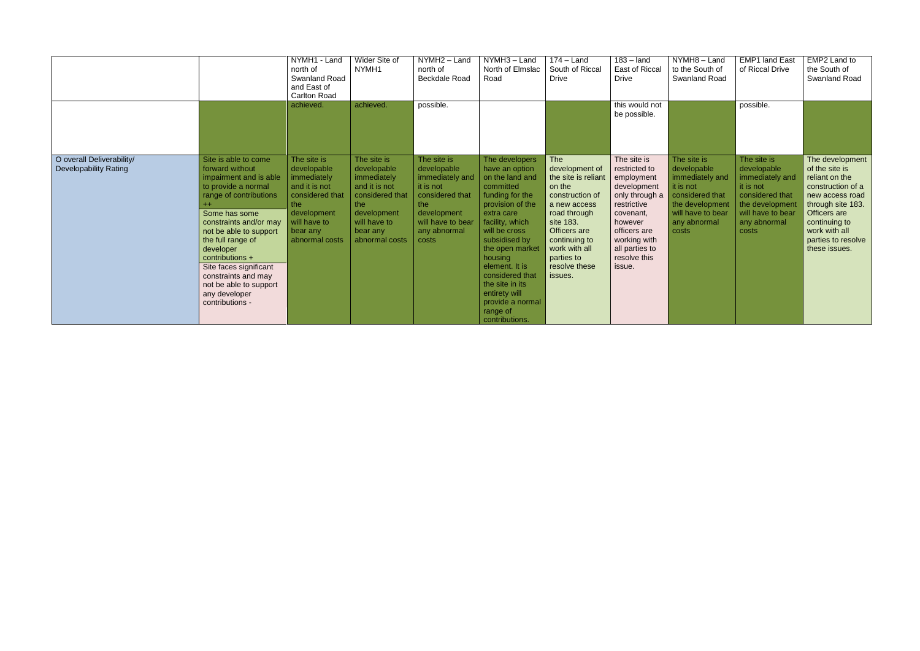|                                                           |                                                                                                                                                                                                                                                                                                                                                             | NYMH1 - Land<br>north of<br><b>Swanland Road</b><br>and East of<br><b>Carlton Road</b>                                                            | Wider Site of<br>NYMH1                                                                                                                            | NYMH2 - Land<br>north of<br>Beckdale Road                                                                                                         | NYMH3 - Land<br>North of Elmslac<br>Road                                                                                                                                                                                                                                                                                            | $\overline{174}$ – Land<br>South of Riccal<br><b>Drive</b>                                                                                                                                                                | $183 -$ land<br>East of Riccal<br><b>Drive</b>                                                                                                                                                 | NYMH8-Land<br>to the South of<br><b>Swanland Road</b>                                                                                          | <b>EMP1 land East</b><br>of Riccal Drive                                                                                                       | EMP2 Land to<br>the South of<br><b>Swanland Road</b>                                                                                                                                                      |
|-----------------------------------------------------------|-------------------------------------------------------------------------------------------------------------------------------------------------------------------------------------------------------------------------------------------------------------------------------------------------------------------------------------------------------------|---------------------------------------------------------------------------------------------------------------------------------------------------|---------------------------------------------------------------------------------------------------------------------------------------------------|---------------------------------------------------------------------------------------------------------------------------------------------------|-------------------------------------------------------------------------------------------------------------------------------------------------------------------------------------------------------------------------------------------------------------------------------------------------------------------------------------|---------------------------------------------------------------------------------------------------------------------------------------------------------------------------------------------------------------------------|------------------------------------------------------------------------------------------------------------------------------------------------------------------------------------------------|------------------------------------------------------------------------------------------------------------------------------------------------|------------------------------------------------------------------------------------------------------------------------------------------------|-----------------------------------------------------------------------------------------------------------------------------------------------------------------------------------------------------------|
|                                                           |                                                                                                                                                                                                                                                                                                                                                             | achieved.                                                                                                                                         | achieved.                                                                                                                                         | possible.                                                                                                                                         |                                                                                                                                                                                                                                                                                                                                     |                                                                                                                                                                                                                           | this would not<br>be possible.                                                                                                                                                                 |                                                                                                                                                | possible.                                                                                                                                      |                                                                                                                                                                                                           |
| O overall Deliverability/<br><b>Developability Rating</b> | Site is able to come<br>forward without<br>impairment and is able<br>to provide a normal<br>range of contributions<br>Some has some<br>constraints and/or may<br>not be able to support<br>the full range of<br>developer<br>contributions +<br>Site faces significant<br>constraints and may<br>not be able to support<br>any developer<br>contributions - | The site is<br>developable<br>immediately<br>and it is not<br>considered that<br>the<br>development<br>will have to<br>bear any<br>abnormal costs | The site is<br>developable<br>immediately<br>and it is not<br>considered that<br>the<br>development<br>will have to<br>bear any<br>abnormal costs | The site is<br>developable<br>immediately and<br>it is not<br>considered that<br>the<br>development<br>will have to bear<br>any abnormal<br>costs | The developers<br>have an option<br>on the land and<br>committed<br>funding for the<br>provision of the<br>extra care<br>facility, which<br>will be cross<br>subsidised by<br>the open market<br>housing<br>element. It is<br>considered that<br>the site in its<br>entirety will<br>provide a normal<br>range of<br>contributions. | <b>The</b><br>development of<br>the site is reliant<br>on the<br>construction of<br>a new access<br>road through<br>site 183.<br>Officers are<br>continuing to<br>work with all<br>parties to<br>resolve these<br>issues. | The site is<br>restricted to<br>employment<br>development<br>only through a<br>restrictive<br>covenant,<br>however<br>officers are<br>working with<br>all parties to<br>resolve this<br>issue. | The site is<br>developable<br>immediately and<br>it is not<br>considered that<br>the development<br>will have to bear<br>any abnormal<br>costs | The site is<br>developable<br>immediately and<br>it is not<br>considered that<br>the development<br>will have to bear<br>any abnormal<br>costs | The development<br>of the site is<br>reliant on the<br>construction of a<br>new access road<br>through site 183.<br>Officers are<br>continuing to<br>work with all<br>parties to resolve<br>these issues. |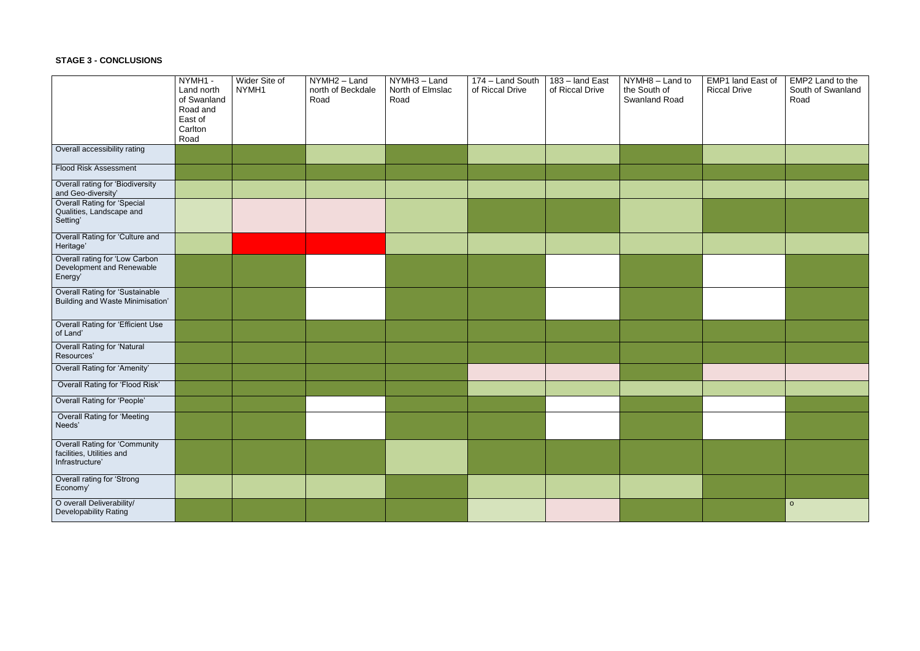## **STAGE 3 - CONCLUSIONS**

|                                                                               | NYMH1 -<br>Land north<br>of Swanland<br>Road and<br>East of<br>Carlton<br>Road | Wider Site of<br>NYMH1 | NYMH <sub>2</sub> - Land<br>north of Beckdale<br>Road | $\overline{NYMH3}$ – Land<br>North of Elmslac<br>Road | 174 - Land South<br>of Riccal Drive | 183 - land East<br>of Riccal Drive | NYMH8 - Land to<br>the South of<br>Swanland Road | <b>EMP1 land East of</b><br><b>Riccal Drive</b> | EMP2 Land to the<br>South of Swanland<br>Road |
|-------------------------------------------------------------------------------|--------------------------------------------------------------------------------|------------------------|-------------------------------------------------------|-------------------------------------------------------|-------------------------------------|------------------------------------|--------------------------------------------------|-------------------------------------------------|-----------------------------------------------|
| Overall accessibility rating                                                  |                                                                                |                        |                                                       |                                                       |                                     |                                    |                                                  |                                                 |                                               |
| Flood Risk Assessment                                                         |                                                                                |                        |                                                       |                                                       |                                     |                                    |                                                  |                                                 |                                               |
| Overall rating for 'Biodiversity<br>and Geo-diversity'                        |                                                                                |                        |                                                       |                                                       |                                     |                                    |                                                  |                                                 |                                               |
| Overall Rating for 'Special<br>Qualities, Landscape and<br>Setting'           |                                                                                |                        |                                                       |                                                       |                                     |                                    |                                                  |                                                 |                                               |
| Overall Rating for 'Culture and<br>Heritage'                                  |                                                                                |                        |                                                       |                                                       |                                     |                                    |                                                  |                                                 |                                               |
| Overall rating for 'Low Carbon<br>Development and Renewable<br>Energy'        |                                                                                |                        |                                                       |                                                       |                                     |                                    |                                                  |                                                 |                                               |
| <b>Overall Rating for 'Sustainable</b><br>Building and Waste Minimisation'    |                                                                                |                        |                                                       |                                                       |                                     |                                    |                                                  |                                                 |                                               |
| Overall Rating for 'Efficient Use<br>of Land'                                 |                                                                                |                        |                                                       |                                                       |                                     |                                    |                                                  |                                                 |                                               |
| <b>Overall Rating for 'Natural</b><br>Resources'                              |                                                                                |                        |                                                       |                                                       |                                     |                                    |                                                  |                                                 |                                               |
| Overall Rating for 'Amenity'                                                  |                                                                                |                        |                                                       |                                                       |                                     |                                    |                                                  |                                                 |                                               |
| Overall Rating for 'Flood Risk'                                               |                                                                                |                        |                                                       |                                                       |                                     |                                    |                                                  |                                                 |                                               |
| Overall Rating for 'People'                                                   |                                                                                |                        |                                                       |                                                       |                                     |                                    |                                                  |                                                 |                                               |
| <b>Overall Rating for 'Meeting</b><br>Needs'                                  |                                                                                |                        |                                                       |                                                       |                                     |                                    |                                                  |                                                 |                                               |
| Overall Rating for 'Community<br>facilities, Utilities and<br>Infrastructure' |                                                                                |                        |                                                       |                                                       |                                     |                                    |                                                  |                                                 |                                               |
| Overall rating for 'Strong<br>Economy'                                        |                                                                                |                        |                                                       |                                                       |                                     |                                    |                                                  |                                                 |                                               |
| O overall Deliverability/<br>Developability Rating                            |                                                                                |                        |                                                       |                                                       |                                     |                                    |                                                  |                                                 | $\circ$                                       |